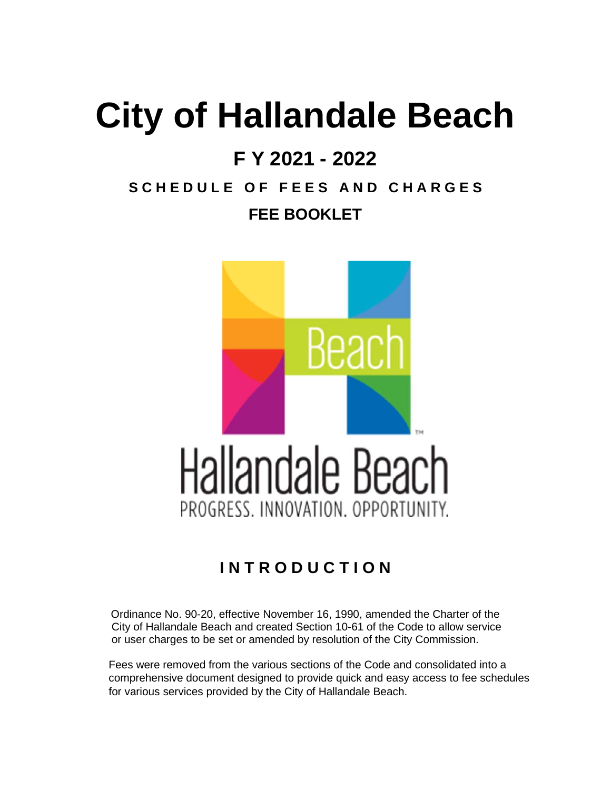# **City of Hallandale Beach**

# **F Y 2021 - 2022**

# **S C H E D U L E O F F E E S A N D C H A R G E S FEE BOOKLET**



## **I N T R O D U C T I O N**

Ordinance No. 90-20, effective November 16, 1990, amended the Charter of the City of Hallandale Beach and created Section 10-61 of the Code to allow service or user charges to be set or amended by resolution of the City Commission.

 Fees were removed from the various sections of the Code and consolidated into a comprehensive document designed to provide quick and easy access to fee schedules for various services provided by the City of Hallandale Beach.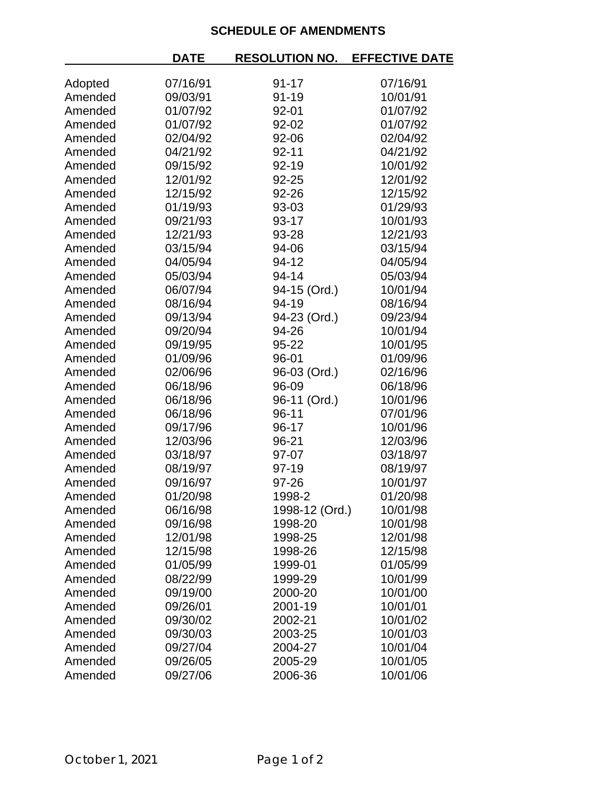## **SCHEDULE OF AMENDMENTS**

|         | <b>DATE</b> | <b>RESOLUTION NO.</b> | <b>EFFECTIVE DATE</b> |
|---------|-------------|-----------------------|-----------------------|
| Adopted | 07/16/91    | $91 - 17$             | 07/16/91              |
| Amended | 09/03/91    | 91-19                 | 10/01/91              |
| Amended | 01/07/92    | 92-01                 | 01/07/92              |
| Amended | 01/07/92    | 92-02                 | 01/07/92              |
| Amended | 02/04/92    | 92-06                 | 02/04/92              |
| Amended | 04/21/92    | $92 - 11$             | 04/21/92              |
| Amended | 09/15/92    | 92-19                 | 10/01/92              |
| Amended | 12/01/92    | 92-25                 | 12/01/92              |
| Amended | 12/15/92    | 92-26                 | 12/15/92              |
| Amended | 01/19/93    | 93-03                 | 01/29/93              |
| Amended | 09/21/93    | 93-17                 | 10/01/93              |
| Amended | 12/21/93    | 93-28                 | 12/21/93              |
| Amended | 03/15/94    | 94-06                 | 03/15/94              |
| Amended | 04/05/94    | 94-12                 | 04/05/94              |
| Amended | 05/03/94    | 94-14                 | 05/03/94              |
| Amended | 06/07/94    | 94-15 (Ord.)          | 10/01/94              |
| Amended | 08/16/94    | 94-19                 | 08/16/94              |
| Amended | 09/13/94    | 94-23 (Ord.)          | 09/23/94              |
| Amended | 09/20/94    | 94-26                 | 10/01/94              |
| Amended | 09/19/95    | 95-22                 | 10/01/95              |
| Amended | 01/09/96    | 96-01                 | 01/09/96              |
| Amended | 02/06/96    | 96-03 (Ord.)          | 02/16/96              |
| Amended | 06/18/96    | 96-09                 | 06/18/96              |
| Amended | 06/18/96    | 96-11 (Ord.)          | 10/01/96              |
| Amended | 06/18/96    | 96-11                 | 07/01/96              |
| Amended | 09/17/96    | 96-17                 | 10/01/96              |
| Amended | 12/03/96    | 96-21                 | 12/03/96              |
| Amended | 03/18/97    | 97-07                 | 03/18/97              |
| Amended | 08/19/97    | 97-19                 | 08/19/97              |
| Amended | 09/16/97    | 97-26                 | 10/01/97              |
| Amended | 01/20/98    | 1998-2                | 01/20/98              |
| Amended | 06/16/98    | 1998-12 (Ord.)        | 10/01/98              |
| Amended | 09/16/98    | 1998-20               | 10/01/98              |
| Amended | 12/01/98    | 1998-25               | 12/01/98              |
| Amended | 12/15/98    | 1998-26               | 12/15/98              |
| Amended | 01/05/99    | 1999-01               | 01/05/99              |
| Amended | 08/22/99    | 1999-29               | 10/01/99              |
| Amended | 09/19/00    | 2000-20               | 10/01/00              |
| Amended | 09/26/01    | 2001-19               | 10/01/01              |
| Amended | 09/30/02    | 2002-21               | 10/01/02              |
| Amended | 09/30/03    | 2003-25               | 10/01/03              |
| Amended | 09/27/04    | 2004-27               | 10/01/04              |
| Amended | 09/26/05    | 2005-29               | 10/01/05              |
| Amended | 09/27/06    | 2006-36               | 10/01/06              |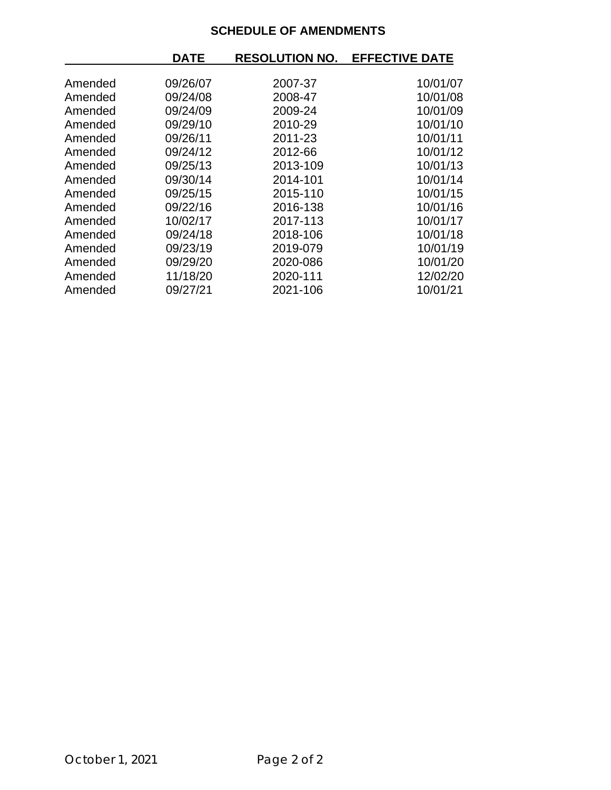## **SCHEDULE OF AMENDMENTS**

|         | <b>DATE</b> | <b>RESOLUTION NO.</b> | <b>EFFECTIVE DATE</b> |
|---------|-------------|-----------------------|-----------------------|
|         |             |                       |                       |
| Amended | 09/26/07    | 2007-37               | 10/01/07              |
| Amended | 09/24/08    | 2008-47               | 10/01/08              |
| Amended | 09/24/09    | 2009-24               | 10/01/09              |
| Amended | 09/29/10    | 2010-29               | 10/01/10              |
| Amended | 09/26/11    | 2011-23               | 10/01/11              |
| Amended | 09/24/12    | 2012-66               | 10/01/12              |
| Amended | 09/25/13    | 2013-109              | 10/01/13              |
| Amended | 09/30/14    | 2014-101              | 10/01/14              |
| Amended | 09/25/15    | 2015-110              | 10/01/15              |
| Amended | 09/22/16    | 2016-138              | 10/01/16              |
| Amended | 10/02/17    | 2017-113              | 10/01/17              |
| Amended | 09/24/18    | 2018-106              | 10/01/18              |
| Amended | 09/23/19    | 2019-079              | 10/01/19              |
| Amended | 09/29/20    | 2020-086              | 10/01/20              |
| Amended | 11/18/20    | 2020-111              | 12/02/20              |
| Amended | 09/27/21    | 2021-106              | 10/01/21              |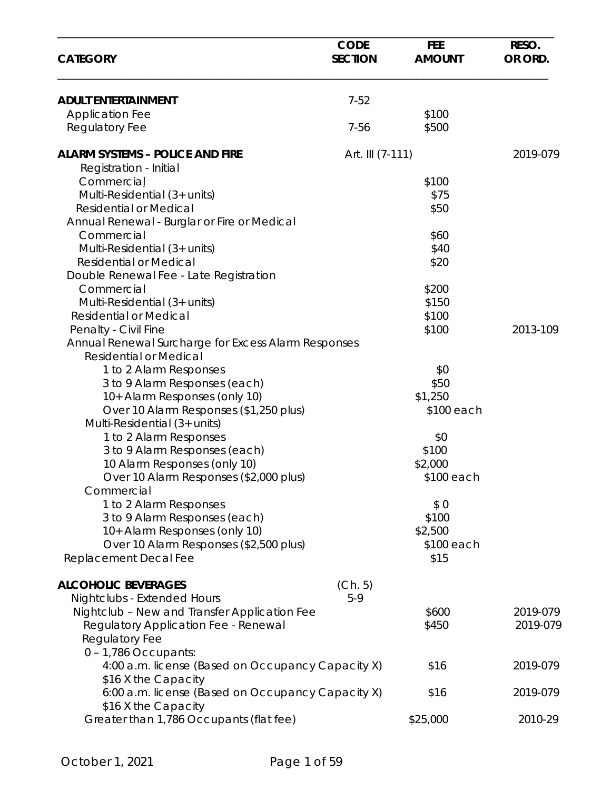| <b>CATEGORY</b>                                     | <b>CODE</b><br><b>SECTION</b> | <b>FEE</b><br><b>AMOUNT</b> | RESO.<br>OR ORD. |
|-----------------------------------------------------|-------------------------------|-----------------------------|------------------|
| <b>ADULT ENTERTAINMENT</b>                          | $7 - 52$                      |                             |                  |
| <b>Application Fee</b>                              |                               | \$100                       |                  |
| <b>Regulatory Fee</b>                               | 7-56                          | \$500                       |                  |
|                                                     |                               |                             |                  |
| <b>ALARM SYSTEMS - POLICE AND FIRE</b>              | Art. III (7-111)              |                             | 2019-079         |
| Registration - Initial                              |                               |                             |                  |
| Commercial                                          |                               | \$100                       |                  |
| Multi-Residential (3+ units)                        |                               | \$75                        |                  |
| <b>Residential or Medical</b>                       |                               | \$50                        |                  |
| Annual Renewal - Burglar or Fire or Medical         |                               |                             |                  |
| Commercial                                          |                               | \$60                        |                  |
| Multi-Residential (3+ units)                        |                               | \$40                        |                  |
| <b>Residential or Medical</b>                       |                               | \$20                        |                  |
| Double Renewal Fee - Late Registration              |                               |                             |                  |
| Commercial                                          |                               | \$200                       |                  |
| Multi-Residential (3+ units)                        |                               | \$150                       |                  |
| <b>Residential or Medical</b>                       |                               | \$100                       |                  |
| Penalty - Civil Fine                                |                               | \$100                       | 2013-109         |
| Annual Renewal Surcharge for Excess Alarm Responses |                               |                             |                  |
| <b>Residential or Medical</b>                       |                               |                             |                  |
| 1 to 2 Alarm Responses                              |                               | \$0                         |                  |
| 3 to 9 Alarm Responses (each)                       |                               | \$50                        |                  |
| 10+ Alarm Responses (only 10)                       |                               | \$1,250                     |                  |
| Over 10 Alarm Responses (\$1,250 plus)              |                               | \$100 each                  |                  |
| Multi-Residential (3+ units)                        |                               |                             |                  |
| 1 to 2 Alarm Responses                              |                               | \$0                         |                  |
| 3 to 9 Alarm Responses (each)                       |                               | \$100                       |                  |
| 10 Alarm Responses (only 10)                        |                               | \$2,000                     |                  |
| Over 10 Alarm Responses (\$2,000 plus)              |                               | \$100 each                  |                  |
| Commercial                                          |                               |                             |                  |
| 1 to 2 Alarm Responses                              |                               | \$0                         |                  |
| 3 to 9 Alarm Responses (each)                       |                               | \$100                       |                  |
| 10+ Alarm Responses (only 10)                       |                               | \$2,500                     |                  |
| Over 10 Alarm Responses (\$2,500 plus)              |                               | \$100 each                  |                  |
| Replacement Decal Fee                               |                               | \$15                        |                  |
| <b>ALCOHOLIC BEVERAGES</b>                          | (Ch. 5)                       |                             |                  |
| Nightclubs - Extended Hours                         | $5-9$                         |                             |                  |
| Nightclub - New and Transfer Application Fee        |                               | \$600                       | 2019-079         |
| Regulatory Application Fee - Renewal                |                               | \$450                       | 2019-079         |
| Regulatory Fee                                      |                               |                             |                  |
| $0 - 1,786$ Occupants:                              |                               |                             |                  |
| 4:00 a.m. license (Based on Occupancy Capacity X)   |                               | \$16                        | 2019-079         |
| \$16 X the Capacity                                 |                               |                             |                  |
| 6:00 a.m. license (Based on Occupancy Capacity X)   |                               | \$16                        | 2019-079         |
| \$16 X the Capacity                                 |                               |                             |                  |
| Greater than 1,786 Occupants (flat fee)             |                               | \$25,000                    | 2010-29          |
|                                                     |                               |                             |                  |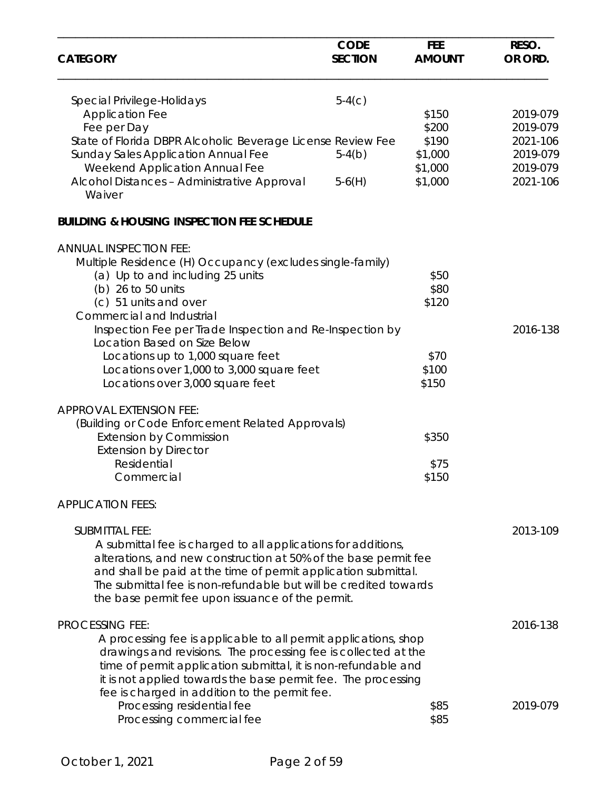|                                                                  | <b>CODE</b>    | <b>FEE</b>    | RESO.    |
|------------------------------------------------------------------|----------------|---------------|----------|
| <b>CATEGORY</b>                                                  | <b>SECTION</b> | <b>AMOUNT</b> | OR ORD.  |
| Special Privilege-Holidays                                       | $5-4(c)$       |               |          |
| <b>Application Fee</b>                                           |                | \$150         | 2019-079 |
| Fee per Day                                                      |                | \$200         | 2019-079 |
| State of Florida DBPR Alcoholic Beverage License Review Fee      |                | \$190         | 2021-106 |
| <b>Sunday Sales Application Annual Fee</b>                       | $5-4(b)$       | \$1,000       | 2019-079 |
| <b>Weekend Application Annual Fee</b>                            |                | \$1,000       | 2019-079 |
| Alcohol Distances - Administrative Approval<br>Waiver            | $5-6(H)$       | \$1,000       | 2021-106 |
| <b>BUILDING &amp; HOUSING INSPECTION FEE SCHEDULE</b>            |                |               |          |
| <b>ANNUAL INSPECTION FEE:</b>                                    |                |               |          |
| Multiple Residence (H) Occupancy (excludes single-family)        |                |               |          |
| (a) Up to and including 25 units                                 |                | \$50          |          |
| (b) 26 to 50 units                                               |                | \$80          |          |
| (c) 51 units and over                                            |                | \$120         |          |
| Commercial and Industrial                                        |                |               |          |
| Inspection Fee per Trade Inspection and Re-Inspection by         |                |               | 2016-138 |
| Location Based on Size Below                                     |                |               |          |
| Locations up to 1,000 square feet                                |                | \$70          |          |
| Locations over 1,000 to 3,000 square feet                        |                | \$100         |          |
| Locations over 3,000 square feet                                 |                | \$150         |          |
| APPROVAL EXTENSION FEE:                                          |                |               |          |
| (Building or Code Enforcement Related Approvals)                 |                |               |          |
| <b>Extension by Commission</b>                                   |                | \$350         |          |
| <b>Extension by Director</b>                                     |                |               |          |
| Residential                                                      |                | \$75          |          |
| Commercial                                                       |                | \$150         |          |
| <b>APPLICATION FEES:</b>                                         |                |               |          |
|                                                                  |                |               |          |
| <b>SUBMITTAL FEE:</b>                                            |                |               | 2013-109 |
| A submittal fee is charged to all applications for additions,    |                |               |          |
| alterations, and new construction at 50% of the base permit fee  |                |               |          |
| and shall be paid at the time of permit application submittal.   |                |               |          |
| The submittal fee is non-refundable but will be credited towards |                |               |          |
| the base permit fee upon issuance of the permit.                 |                |               |          |
| <b>PROCESSING FEE:</b>                                           |                |               | 2016-138 |
| A processing fee is applicable to all permit applications, shop  |                |               |          |
| drawings and revisions. The processing fee is collected at the   |                |               |          |
| time of permit application submittal, it is non-refundable and   |                |               |          |
| it is not applied towards the base permit fee. The processing    |                |               |          |
| fee is charged in addition to the permit fee.                    |                |               |          |
| Processing residential fee                                       |                | \$85          | 2019-079 |
| Processing commercial fee                                        |                | \$85          |          |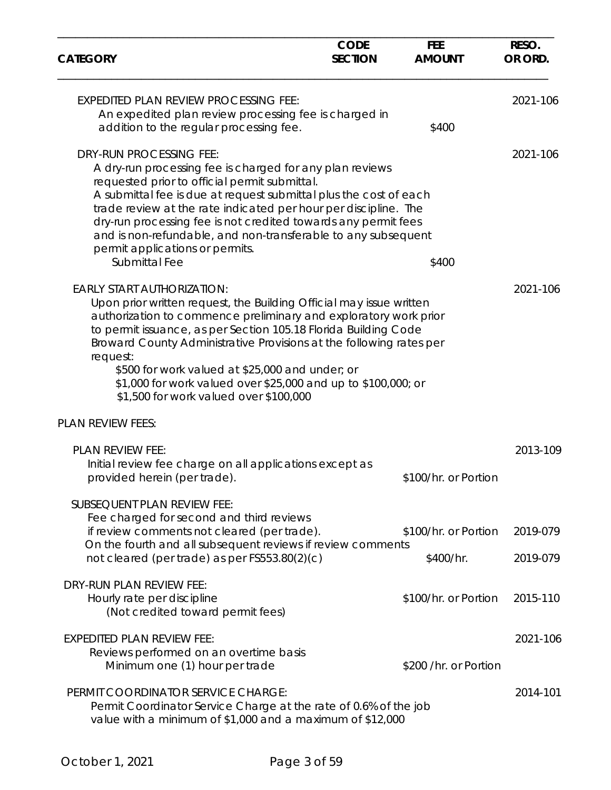| <b>CATEGORY</b>                                                                                                                                                                                                                                                                                                                                                                                                                                                                                  | <b>CODE</b><br><b>SECTION</b> | <b>FEE</b><br><b>AMOUNT</b>       | RESO.<br>OR ORD.     |
|--------------------------------------------------------------------------------------------------------------------------------------------------------------------------------------------------------------------------------------------------------------------------------------------------------------------------------------------------------------------------------------------------------------------------------------------------------------------------------------------------|-------------------------------|-----------------------------------|----------------------|
| <b>EXPEDITED PLAN REVIEW PROCESSING FEE:</b><br>An expedited plan review processing fee is charged in<br>addition to the regular processing fee.                                                                                                                                                                                                                                                                                                                                                 |                               | \$400                             | 2021-106             |
| <b>DRY-RUN PROCESSING FEE:</b><br>A dry-run processing fee is charged for any plan reviews<br>requested prior to official permit submittal.<br>A submittal fee is due at request submittal plus the cost of each<br>trade review at the rate indicated per hour per discipline. The<br>dry-run processing fee is not credited towards any permit fees<br>and is non-refundable, and non-transferable to any subsequent<br>permit applications or permits.<br>Submittal Fee                       |                               | \$400                             | 2021-106             |
| <b>EARLY START AUTHORIZATION:</b><br>Upon prior written request, the Building Official may issue written<br>authorization to commence preliminary and exploratory work prior<br>to permit issuance, as per Section 105.18 Florida Building Code<br>Broward County Administrative Provisions at the following rates per<br>request:<br>\$500 for work valued at \$25,000 and under; or<br>\$1,000 for work valued over \$25,000 and up to \$100,000; or<br>\$1,500 for work valued over \$100,000 |                               |                                   | 2021-106             |
| <b>PLAN REVIEW FEES:</b>                                                                                                                                                                                                                                                                                                                                                                                                                                                                         |                               |                                   |                      |
| PLAN REVIEW FEE:<br>Initial review fee charge on all applications except as<br>provided herein (per trade).                                                                                                                                                                                                                                                                                                                                                                                      |                               | \$100/hr. or Portion              | 2013-109             |
| SUBSEQUENT PLAN REVIEW FEE:<br>Fee charged for second and third reviews<br>if review comments not cleared (per trade).<br>On the fourth and all subsequent reviews if review comments<br>not cleared (per trade) as per FS553.80(2)(c)                                                                                                                                                                                                                                                           |                               | \$100/hr. or Portion<br>\$400/hr. | 2019-079<br>2019-079 |
| DRY-RUN PLAN REVIEW FEE:<br>Hourly rate per discipline<br>(Not credited toward permit fees)                                                                                                                                                                                                                                                                                                                                                                                                      |                               | \$100/hr. or Portion              | 2015-110             |
| <b>EXPEDITED PLAN REVIEW FEE:</b><br>Reviews performed on an overtime basis<br>Minimum one (1) hour per trade                                                                                                                                                                                                                                                                                                                                                                                    |                               | \$200 /hr. or Portion             | 2021-106             |
| PERMIT COORDINATOR SERVICE CHARGE:<br>Permit Coordinator Service Charge at the rate of 0.6% of the job<br>value with a minimum of \$1,000 and a maximum of \$12,000                                                                                                                                                                                                                                                                                                                              |                               |                                   | 2014-101             |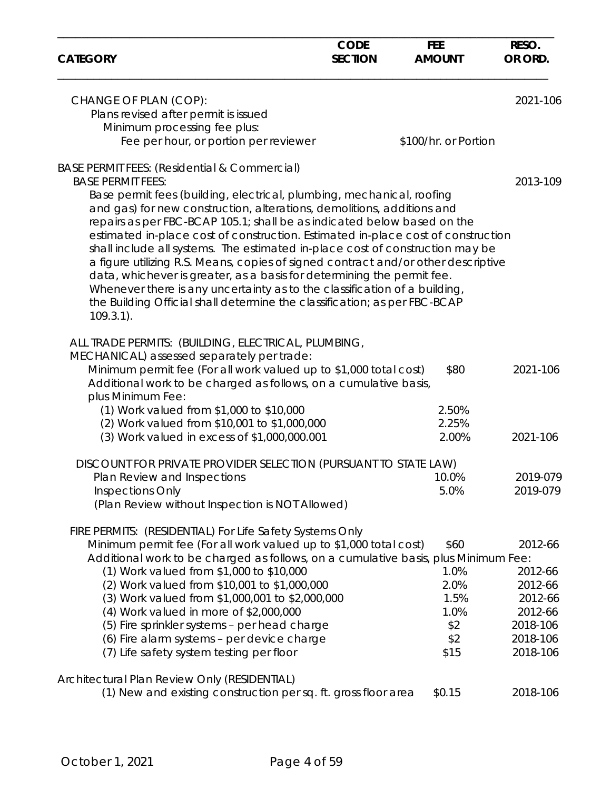| <b>CATEGORY</b>                                                                                                                                                                                                                                                                                                                                                                                                                                                                                                                                                                                                                                                                                                                                                      | <b>CODE</b><br><b>SECTION</b> | <b>FEE</b><br><b>AMOUNT</b>                 | RESO.<br>OR ORD.                                                |
|----------------------------------------------------------------------------------------------------------------------------------------------------------------------------------------------------------------------------------------------------------------------------------------------------------------------------------------------------------------------------------------------------------------------------------------------------------------------------------------------------------------------------------------------------------------------------------------------------------------------------------------------------------------------------------------------------------------------------------------------------------------------|-------------------------------|---------------------------------------------|-----------------------------------------------------------------|
| CHANGE OF PLAN (COP):<br>Plans revised after permit is issued                                                                                                                                                                                                                                                                                                                                                                                                                                                                                                                                                                                                                                                                                                        |                               |                                             | 2021-106                                                        |
| Minimum processing fee plus:                                                                                                                                                                                                                                                                                                                                                                                                                                                                                                                                                                                                                                                                                                                                         |                               |                                             |                                                                 |
| Fee per hour, or portion per reviewer                                                                                                                                                                                                                                                                                                                                                                                                                                                                                                                                                                                                                                                                                                                                |                               | \$100/hr. or Portion                        |                                                                 |
| BASE PERMIT FEES: (Residential & Commercial)                                                                                                                                                                                                                                                                                                                                                                                                                                                                                                                                                                                                                                                                                                                         |                               |                                             |                                                                 |
| <b>BASE PERMIT FEES:</b><br>Base permit fees (building, electrical, plumbing, mechanical, roofing<br>and gas) for new construction, alterations, demolitions, additions and<br>repairs as per FBC-BCAP 105.1; shall be as indicated below based on the<br>estimated in-place cost of construction. Estimated in-place cost of construction<br>shall include all systems. The estimated in-place cost of construction may be<br>a figure utilizing R.S. Means, copies of signed contract and/or other descriptive<br>data, whichever is greater, as a basis for determining the permit fee.<br>Whenever there is any uncertainty as to the classification of a building,<br>the Building Official shall determine the classification; as per FBC-BCAP<br>$109.3.1$ ). |                               |                                             | 2013-109                                                        |
| ALL TRADE PERMITS: (BUILDING, ELECTRICAL, PLUMBING,<br>MECHANICAL) assessed separately per trade:<br>Minimum permit fee (For all work valued up to \$1,000 total cost)<br>Additional work to be charged as follows, on a cumulative basis,<br>plus Minimum Fee:                                                                                                                                                                                                                                                                                                                                                                                                                                                                                                      |                               | \$80                                        | 2021-106                                                        |
| (1) Work valued from \$1,000 to \$10,000                                                                                                                                                                                                                                                                                                                                                                                                                                                                                                                                                                                                                                                                                                                             |                               | 2.50%                                       |                                                                 |
| (2) Work valued from \$10,001 to \$1,000,000                                                                                                                                                                                                                                                                                                                                                                                                                                                                                                                                                                                                                                                                                                                         |                               | 2.25%                                       |                                                                 |
| (3) Work valued in excess of \$1,000,000.001                                                                                                                                                                                                                                                                                                                                                                                                                                                                                                                                                                                                                                                                                                                         |                               | 2.00%                                       | 2021-106                                                        |
| DISCOUNT FOR PRIVATE PROVIDER SELECTION (PURSUANT TO STATE LAW)                                                                                                                                                                                                                                                                                                                                                                                                                                                                                                                                                                                                                                                                                                      |                               |                                             |                                                                 |
| Plan Review and Inspections                                                                                                                                                                                                                                                                                                                                                                                                                                                                                                                                                                                                                                                                                                                                          |                               | 10.0%                                       | 2019-079                                                        |
| Inspections Only<br>(Plan Review without Inspection is NOT Allowed)                                                                                                                                                                                                                                                                                                                                                                                                                                                                                                                                                                                                                                                                                                  |                               | 5.0%                                        | 2019-079                                                        |
| FIRE PERMITS: (RESIDENTIAL) For Life Safety Systems Only<br>Minimum permit fee (For all work valued up to \$1,000 total cost)<br>Additional work to be charged as follows, on a cumulative basis, plus Minimum Fee:<br>(1) Work valued from \$1,000 to \$10,000<br>(2) Work valued from \$10,001 to \$1,000,000<br>(3) Work valued from \$1,000,001 to \$2,000,000<br>(4) Work valued in more of \$2,000,000<br>(5) Fire sprinkler systems - per head charge                                                                                                                                                                                                                                                                                                         |                               | \$60<br>1.0%<br>2.0%<br>1.5%<br>1.0%<br>\$2 | 2012-66<br>2012-66<br>2012-66<br>2012-66<br>2012-66<br>2018-106 |
| (6) Fire alarm systems - per device charge                                                                                                                                                                                                                                                                                                                                                                                                                                                                                                                                                                                                                                                                                                                           |                               | \$2                                         | 2018-106                                                        |
| (7) Life safety system testing per floor                                                                                                                                                                                                                                                                                                                                                                                                                                                                                                                                                                                                                                                                                                                             |                               | \$15                                        | 2018-106                                                        |
| Architectural Plan Review Only (RESIDENTIAL)                                                                                                                                                                                                                                                                                                                                                                                                                                                                                                                                                                                                                                                                                                                         |                               |                                             |                                                                 |
| (1) New and existing construction per sq. ft. gross floor area                                                                                                                                                                                                                                                                                                                                                                                                                                                                                                                                                                                                                                                                                                       |                               | \$0.15                                      | 2018-106                                                        |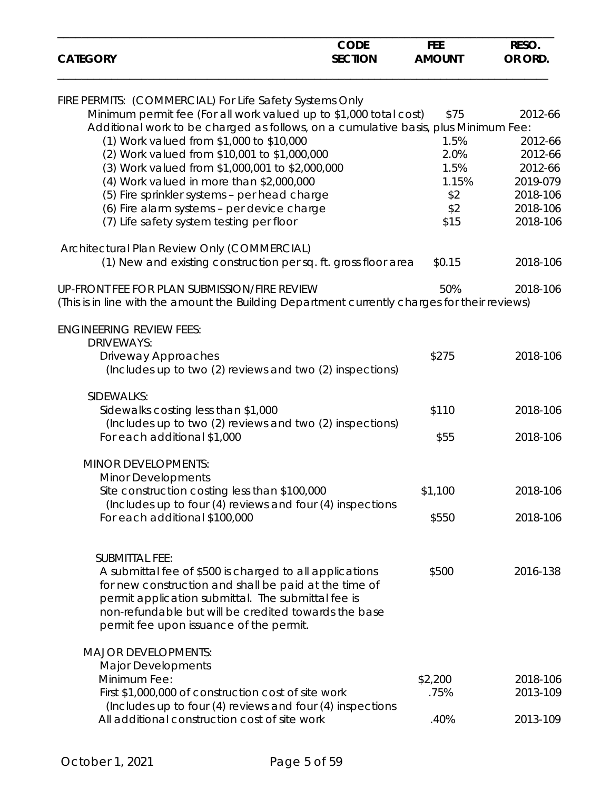| <b>CATEGORY</b>                                                                               | <b>CODE</b><br><b>SECTION</b> | <b>FEE</b><br><b>AMOUNT</b> | RESO.<br>OR ORD. |
|-----------------------------------------------------------------------------------------------|-------------------------------|-----------------------------|------------------|
|                                                                                               |                               |                             |                  |
| FIRE PERMITS: (COMMERCIAL) For Life Safety Systems Only                                       |                               |                             |                  |
| Minimum permit fee (For all work valued up to \$1,000 total cost)                             |                               | \$75                        | 2012-66          |
| Additional work to be charged as follows, on a cumulative basis, plus Minimum Fee:            |                               |                             |                  |
| (1) Work valued from \$1,000 to \$10,000                                                      |                               | 1.5%                        | 2012-66          |
| (2) Work valued from \$10,001 to \$1,000,000                                                  |                               | 2.0%                        | 2012-66          |
| (3) Work valued from \$1,000,001 to \$2,000,000                                               |                               | 1.5%                        | 2012-66          |
| (4) Work valued in more than \$2,000,000                                                      |                               | 1.15%                       | 2019-079         |
| (5) Fire sprinkler systems - per head charge                                                  |                               | \$2                         | 2018-106         |
| (6) Fire alarm systems - per device charge                                                    |                               | \$2                         | 2018-106         |
| (7) Life safety system testing per floor                                                      |                               | \$15                        | 2018-106         |
| Architectural Plan Review Only (COMMERCIAL)                                                   |                               |                             |                  |
| (1) New and existing construction per sq. ft. gross floor area                                |                               | \$0.15                      | 2018-106         |
| UP-FRONT FEE FOR PLAN SUBMISSION/FIRE REVIEW                                                  |                               | 50%                         | 2018-106         |
| (This is in line with the amount the Building Department currently charges for their reviews) |                               |                             |                  |
| <b>ENGINEERING REVIEW FEES:</b>                                                               |                               |                             |                  |
| <b>DRIVEWAYS:</b>                                                                             |                               |                             |                  |
| Driveway Approaches                                                                           |                               | \$275                       | 2018-106         |
| (Includes up to two (2) reviews and two (2) inspections)                                      |                               |                             |                  |
| SIDEWALKS:                                                                                    |                               |                             |                  |
| Sidewalks costing less than \$1,000                                                           |                               | \$110                       | 2018-106         |
| (Includes up to two (2) reviews and two (2) inspections)                                      |                               |                             |                  |
| For each additional \$1,000                                                                   |                               | \$55                        | 2018-106         |
| <b>MINOR DEVELOPMENTS:</b>                                                                    |                               |                             |                  |
| Minor Developments                                                                            |                               |                             |                  |
| Site construction costing less than \$100,000                                                 |                               | \$1,100                     | 2018-106         |
| (Includes up to four (4) reviews and four (4) inspections                                     |                               |                             |                  |
| For each additional \$100,000                                                                 |                               | \$550                       | 2018-106         |
|                                                                                               |                               |                             |                  |
| <b>SUBMITTAL FEE:</b>                                                                         |                               |                             |                  |
| A submittal fee of \$500 is charged to all applications                                       |                               | \$500                       | 2016-138         |
| for new construction and shall be paid at the time of                                         |                               |                             |                  |
| permit application submittal. The submittal fee is                                            |                               |                             |                  |
| non-refundable but will be credited towards the base                                          |                               |                             |                  |
| permit fee upon issuance of the permit.                                                       |                               |                             |                  |
| <b>MAJOR DEVELOPMENTS:</b>                                                                    |                               |                             |                  |
| <b>Major Developments</b>                                                                     |                               |                             |                  |
| Minimum Fee:                                                                                  |                               | \$2,200                     | 2018-106         |
| First \$1,000,000 of construction cost of site work                                           |                               | .75%                        | 2013-109         |
| (Includes up to four (4) reviews and four (4) inspections                                     |                               |                             |                  |
| All additional construction cost of site work                                                 |                               | .40%                        | 2013-109         |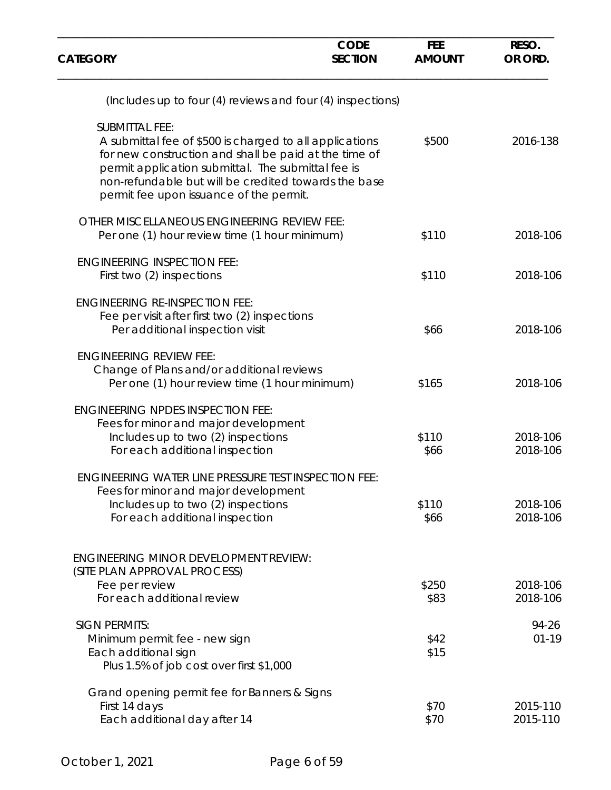| <b>CATEGORY</b>                                                                                                                                                                                                                                                                                    | <b>CODE</b><br><b>SECTION</b> | <b>FEE</b><br><b>AMOUNT</b> | RESO.<br>OR ORD.     |
|----------------------------------------------------------------------------------------------------------------------------------------------------------------------------------------------------------------------------------------------------------------------------------------------------|-------------------------------|-----------------------------|----------------------|
| (Includes up to four (4) reviews and four (4) inspections)                                                                                                                                                                                                                                         |                               |                             |                      |
| <b>SUBMITTAL FEE:</b><br>A submittal fee of \$500 is charged to all applications<br>for new construction and shall be paid at the time of<br>permit application submittal. The submittal fee is<br>non-refundable but will be credited towards the base<br>permit fee upon issuance of the permit. |                               | \$500                       | 2016-138             |
| OTHER MISCELLANEOUS ENGINEERING REVIEW FEE:<br>Per one (1) hour review time (1 hour minimum)                                                                                                                                                                                                       |                               | \$110                       | 2018-106             |
| <b>ENGINEERING INSPECTION FEE:</b><br>First two (2) inspections                                                                                                                                                                                                                                    |                               | \$110                       | 2018-106             |
| <b>ENGINEERING RE-INSPECTION FEE:</b><br>Fee per visit after first two (2) inspections<br>Per additional inspection visit                                                                                                                                                                          |                               | \$66                        | 2018-106             |
| <b>ENGINEERING REVIEW FEE:</b><br>Change of Plans and/or additional reviews<br>Per one (1) hour review time (1 hour minimum)                                                                                                                                                                       |                               | \$165                       | 2018-106             |
| <b>ENGINEERING NPDES INSPECTION FEE:</b><br>Fees for minor and major development<br>Includes up to two (2) inspections<br>For each additional inspection                                                                                                                                           |                               | \$110<br>\$66               | 2018-106<br>2018-106 |
| <b>ENGINEERING WATER LINE PRESSURE TEST INSPECTION FEE:</b><br>Fees for minor and major development<br>Includes up to two (2) inspections<br>For each additional inspection                                                                                                                        |                               | \$110<br>\$66               | 2018-106<br>2018-106 |
| <b>ENGINEERING MINOR DEVELOPMENT REVIEW:</b><br>(SITE PLAN APPROVAL PROCESS)<br>Fee per review<br>For each additional review                                                                                                                                                                       |                               | \$250<br>\$83               | 2018-106<br>2018-106 |
| <b>SIGN PERMITS:</b><br>Minimum permit fee - new sign<br>Each additional sign<br>Plus 1.5% of job cost over first \$1,000                                                                                                                                                                          |                               | \$42<br>\$15                | 94-26<br>$01 - 19$   |
| Grand opening permit fee for Banners & Signs<br>First 14 days<br>Each additional day after 14                                                                                                                                                                                                      |                               | \$70<br>\$70                | 2015-110<br>2015-110 |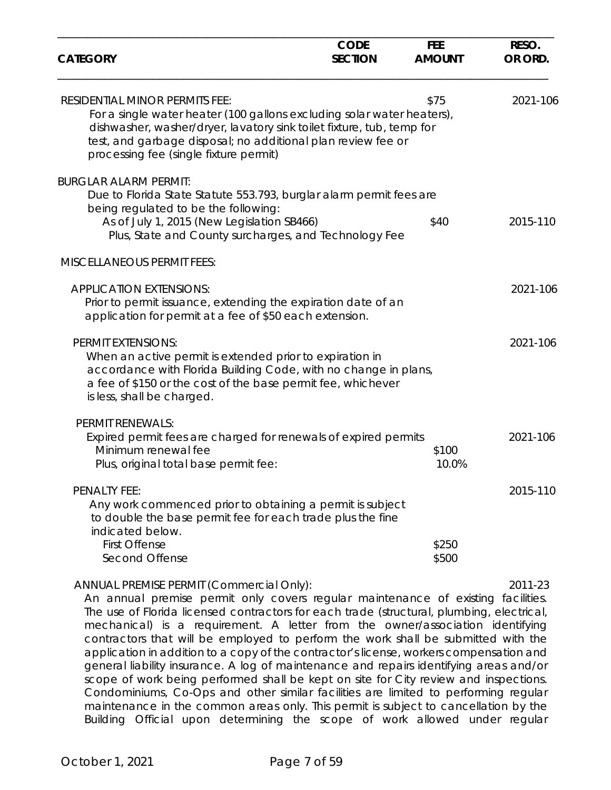| <b>CATEGORY</b>                                                                                                                                                                                                                                                                                                                                                                                                                                                                                                                                                                      | <b>CODE</b><br><b>SECTION</b> | <b>FEE</b><br><b>AMOUNT</b> | RESO.<br>OR ORD. |
|--------------------------------------------------------------------------------------------------------------------------------------------------------------------------------------------------------------------------------------------------------------------------------------------------------------------------------------------------------------------------------------------------------------------------------------------------------------------------------------------------------------------------------------------------------------------------------------|-------------------------------|-----------------------------|------------------|
| <b>RESIDENTIAL MINOR PERMITS FEE:</b><br>For a single water heater (100 gallons excluding solar water heaters),<br>dishwasher, washer/dryer, lavatory sink toilet fixture, tub, temp for<br>test, and garbage disposal; no additional plan review fee or<br>processing fee (single fixture permit)                                                                                                                                                                                                                                                                                   |                               | \$75                        | 2021-106         |
| <b>BURGLAR ALARM PERMIT:</b><br>Due to Florida State Statute 553.793, burglar alarm permit fees are<br>being regulated to be the following:                                                                                                                                                                                                                                                                                                                                                                                                                                          |                               |                             |                  |
| As of July 1, 2015 (New Legislation SB466)<br>Plus, State and County surcharges, and Technology Fee                                                                                                                                                                                                                                                                                                                                                                                                                                                                                  |                               | \$40                        | 2015-110         |
| <b>MISCELLANEOUS PERMIT FEES:</b>                                                                                                                                                                                                                                                                                                                                                                                                                                                                                                                                                    |                               |                             |                  |
| <b>APPLICATION EXTENSIONS:</b><br>Prior to permit issuance, extending the expiration date of an<br>application for permit at a fee of \$50 each extension.                                                                                                                                                                                                                                                                                                                                                                                                                           |                               |                             | 2021-106         |
| <b>PERMIT EXTENSIONS:</b><br>When an active permit is extended prior to expiration in<br>accordance with Florida Building Code, with no change in plans,<br>a fee of \$150 or the cost of the base permit fee, whichever<br>is less, shall be charged.                                                                                                                                                                                                                                                                                                                               |                               |                             | 2021-106         |
| <b>PERMIT RENEWALS:</b>                                                                                                                                                                                                                                                                                                                                                                                                                                                                                                                                                              |                               |                             |                  |
| Expired permit fees are charged for renewals of expired permits<br>Minimum renewal fee<br>Plus, original total base permit fee:                                                                                                                                                                                                                                                                                                                                                                                                                                                      |                               | \$100<br>10.0%              | 2021-106         |
| PENALTY FEE:<br>Any work commenced prior to obtaining a permit is subject<br>to double the base permit fee for each trade plus the fine<br>indicated below.                                                                                                                                                                                                                                                                                                                                                                                                                          |                               |                             | 2015-110         |
| <b>First Offense</b><br>Second Offense                                                                                                                                                                                                                                                                                                                                                                                                                                                                                                                                               |                               | \$250<br>\$500              |                  |
| ANNUAL PREMISE PERMIT (Commercial Only):<br>An annual premise permit only covers regular maintenance of existing facilities.<br>The use of Florida licensed contractors for each trade (structural, plumbing, electrical,<br>mechanical) is a requirement. A letter from the owner/association identifying<br>contractors that will be employed to perform the work shall be submitted with the<br>application in addition to a copy of the contractor's license, workers compensation and<br>conoral lighility insurance. A log of maintenance and repairs identifying areas and/or |                               |                             | 2011-23          |

general liability insurance. A log of maintenance and repairs identifying areas and/or scope of work being performed shall be kept on site for City review and inspections. Condominiums, Co-Ops and other similar facilities are limited to performing regular maintenance in the common areas only. This permit is subject to cancellation by the Building Official upon determining the scope of work allowed under regular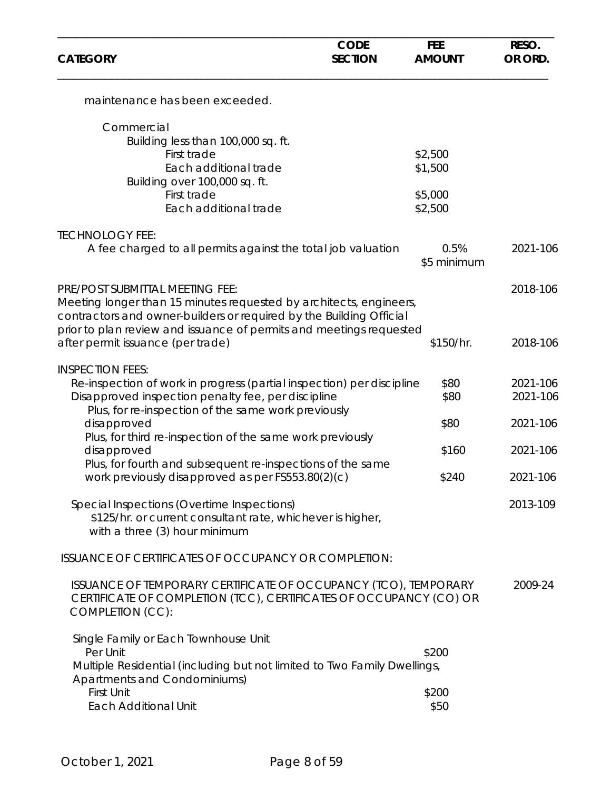| <b>CATEGORY</b>                                                                                                                                                                                                                                     | <b>CODE</b><br><b>SECTION</b> | <b>FEE</b><br><b>AMOUNT</b> | RESO.<br>OR ORD.     |
|-----------------------------------------------------------------------------------------------------------------------------------------------------------------------------------------------------------------------------------------------------|-------------------------------|-----------------------------|----------------------|
| maintenance has been exceeded.                                                                                                                                                                                                                      |                               |                             |                      |
| Commercial                                                                                                                                                                                                                                          |                               |                             |                      |
| Building less than 100,000 sq. ft.                                                                                                                                                                                                                  |                               |                             |                      |
| First trade                                                                                                                                                                                                                                         |                               | \$2,500                     |                      |
| Each additional trade                                                                                                                                                                                                                               |                               | \$1,500                     |                      |
| Building over 100,000 sq. ft.<br>First trade                                                                                                                                                                                                        |                               | \$5,000                     |                      |
| Each additional trade                                                                                                                                                                                                                               |                               | \$2,500                     |                      |
| <b>TECHNOLOGY FEE:</b>                                                                                                                                                                                                                              |                               |                             |                      |
| A fee charged to all permits against the total job valuation                                                                                                                                                                                        |                               | 0.5%<br>\$5 minimum         | 2021-106             |
| PRE/POST SUBMITTAL MEETING FEE:<br>Meeting longer than 15 minutes requested by architects, engineers,<br>contractors and owner-builders or required by the Building Official<br>prior to plan review and issuance of permits and meetings requested |                               |                             | 2018-106             |
| after permit issuance (per trade)                                                                                                                                                                                                                   |                               | \$150/hr.                   | 2018-106             |
| <b>INSPECTION FEES:</b><br>Re-inspection of work in progress (partial inspection) per discipline<br>Disapproved inspection penalty fee, per discipline                                                                                              |                               | \$80<br>\$80                | 2021-106<br>2021-106 |
| Plus, for re-inspection of the same work previously                                                                                                                                                                                                 |                               |                             |                      |
| disapproved                                                                                                                                                                                                                                         |                               | \$80                        | 2021-106             |
| Plus, for third re-inspection of the same work previously                                                                                                                                                                                           |                               |                             |                      |
| disapproved                                                                                                                                                                                                                                         |                               | \$160                       | 2021-106             |
| Plus, for fourth and subsequent re-inspections of the same<br>work previously disapproved as per FS553.80(2)(c)                                                                                                                                     |                               | \$240                       | 2021-106             |
| Special Inspections (Overtime Inspections)<br>\$125/hr. or current consultant rate, whichever is higher,<br>with a three (3) hour minimum                                                                                                           |                               |                             | 2013-109             |
| ISSUANCE OF CERTIFICATES OF OCCUPANCY OR COMPLETION:                                                                                                                                                                                                |                               |                             |                      |
| ISSUANCE OF TEMPORARY CERTIFICATE OF OCCUPANCY (TCO), TEMPORARY<br>CERTIFICATE OF COMPLETION (TCC), CERTIFICATES OF OCCUPANCY (CO) OR<br>COMPLETION (CC):                                                                                           |                               |                             | 2009-24              |
| Single Family or Each Townhouse Unit                                                                                                                                                                                                                |                               |                             |                      |
| Per Unit<br>Multiple Residential (including but not limited to Two Family Dwellings,                                                                                                                                                                |                               | \$200                       |                      |
| Apartments and Condominiums)                                                                                                                                                                                                                        |                               |                             |                      |
| First Unit                                                                                                                                                                                                                                          |                               | \$200                       |                      |
| <b>Each Additional Unit</b>                                                                                                                                                                                                                         |                               | \$50                        |                      |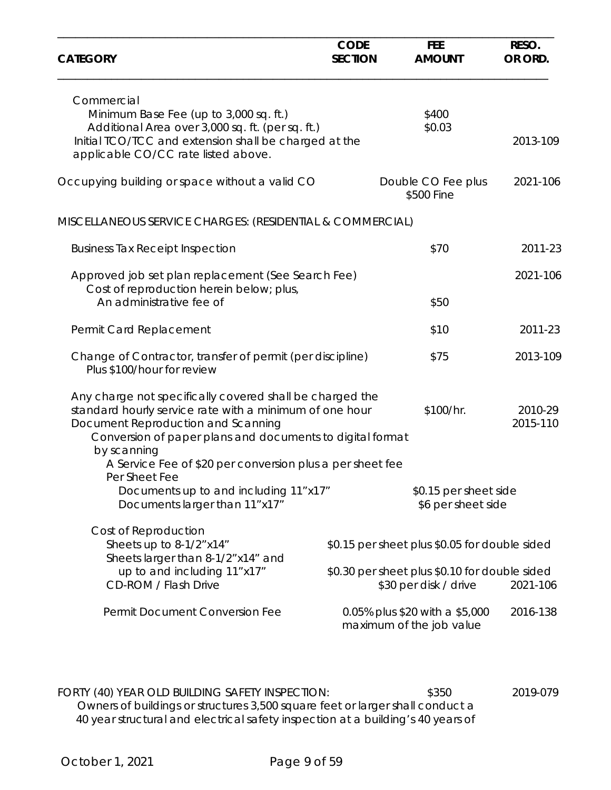| <b>CATEGORY</b>                                                                                                                                                                                                                       | <b>CODE</b><br><b>SECTION</b> | <b>FEE</b><br><b>AMOUNT</b>                                                                                             | RESO.<br>OR ORD.    |
|---------------------------------------------------------------------------------------------------------------------------------------------------------------------------------------------------------------------------------------|-------------------------------|-------------------------------------------------------------------------------------------------------------------------|---------------------|
| Commercial<br>Minimum Base Fee (up to 3,000 sq. ft.)<br>Additional Area over 3,000 sq. ft. (per sq. ft.)<br>Initial TCO/TCC and extension shall be charged at the<br>applicable CO/CC rate listed above.                              |                               | \$400<br>\$0.03                                                                                                         | 2013-109            |
| Occupying building or space without a valid CO                                                                                                                                                                                        |                               | Double CO Fee plus<br>\$500 Fine                                                                                        | 2021-106            |
| MISCELLANEOUS SERVICE CHARGES: (RESIDENTIAL & COMMERCIAL)                                                                                                                                                                             |                               |                                                                                                                         |                     |
| <b>Business Tax Receipt Inspection</b>                                                                                                                                                                                                |                               | \$70                                                                                                                    | 2011-23             |
| Approved job set plan replacement (See Search Fee)<br>Cost of reproduction herein below; plus,                                                                                                                                        |                               |                                                                                                                         | 2021-106            |
| An administrative fee of                                                                                                                                                                                                              |                               | \$50                                                                                                                    |                     |
| Permit Card Replacement                                                                                                                                                                                                               |                               | \$10                                                                                                                    | 2011-23             |
| Change of Contractor, transfer of permit (per discipline)<br>Plus \$100/hour for review                                                                                                                                               |                               | \$75                                                                                                                    | 2013-109            |
| Any charge not specifically covered shall be charged the<br>standard hourly service rate with a minimum of one hour<br>Document Reproduction and Scanning<br>Conversion of paper plans and documents to digital format<br>by scanning |                               | \$100/hr.                                                                                                               | 2010-29<br>2015-110 |
| A Service Fee of \$20 per conversion plus a per sheet fee                                                                                                                                                                             |                               |                                                                                                                         |                     |
| Per Sheet Fee<br>Documents up to and including 11"x17"<br>Documents larger than 11"x17"                                                                                                                                               |                               | \$0.15 per sheet side<br>\$6 per sheet side                                                                             |                     |
| Cost of Reproduction<br>Sheets up to 8-1/2" x14"<br>Sheets larger than 8-1/2" x14" and<br>up to and including 11"x17"<br><b>CD-ROM / Flash Drive</b>                                                                                  |                               | \$0.15 per sheet plus \$0.05 for double sided<br>\$0.30 per sheet plus \$0.10 for double sided<br>\$30 per disk / drive | 2021-106            |
| Permit Document Conversion Fee                                                                                                                                                                                                        |                               | 0.05% plus \$20 with a \$5,000<br>maximum of the job value                                                              | 2016-138            |

FORTY (40) YEAR OLD BUILDING SAFETY INSPECTION: \$350 \$350 2019-079 Owners of buildings or structures 3,500 square feet or larger shall conduct a 40 year structural and electrical safety inspection at a building's 40 years of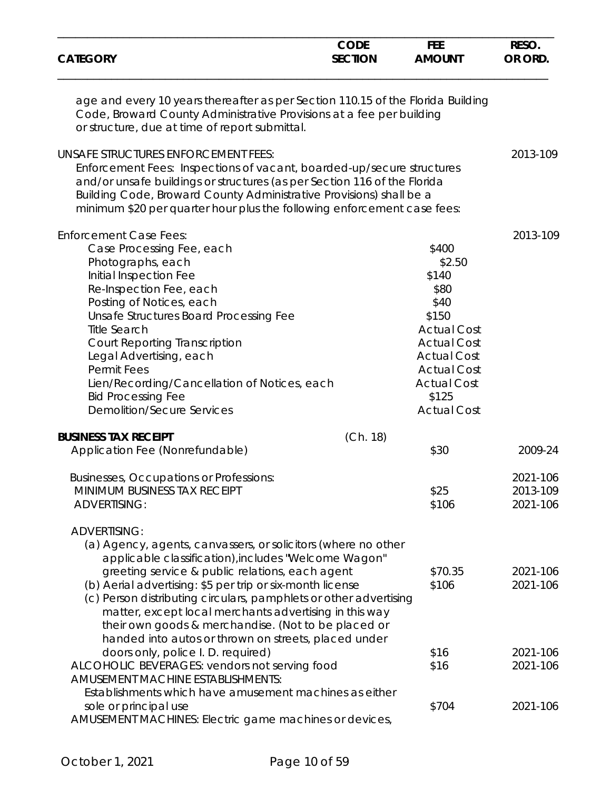| <b>CATEGORY</b>                                                                                                                                                                                                                                                                                                                                                                                                                                                                                                                                                                                                                               | <b>CODE</b><br><b>SECTION</b> | <b>FEE</b><br><b>AMOUNT</b>                                                                                                                                                                    | RESO.<br>OR ORD.                             |
|-----------------------------------------------------------------------------------------------------------------------------------------------------------------------------------------------------------------------------------------------------------------------------------------------------------------------------------------------------------------------------------------------------------------------------------------------------------------------------------------------------------------------------------------------------------------------------------------------------------------------------------------------|-------------------------------|------------------------------------------------------------------------------------------------------------------------------------------------------------------------------------------------|----------------------------------------------|
| age and every 10 years thereafter as per Section 110.15 of the Florida Building<br>Code, Broward County Administrative Provisions at a fee per building<br>or structure, due at time of report submittal.                                                                                                                                                                                                                                                                                                                                                                                                                                     |                               |                                                                                                                                                                                                |                                              |
| <b>UNSAFE STRUCTURES ENFORCEMENT FEES:</b><br>Enforcement Fees: Inspections of vacant, boarded-up/secure structures<br>and/or unsafe buildings or structures (as per Section 116 of the Florida<br>Building Code, Broward County Administrative Provisions) shall be a<br>minimum \$20 per quarter hour plus the following enforcement case fees:                                                                                                                                                                                                                                                                                             |                               |                                                                                                                                                                                                | 2013-109                                     |
| <b>Enforcement Case Fees:</b><br>Case Processing Fee, each<br>Photographs, each<br>Initial Inspection Fee<br>Re-Inspection Fee, each<br>Posting of Notices, each<br>Unsafe Structures Board Processing Fee<br><b>Title Search</b><br><b>Court Reporting Transcription</b><br>Legal Advertising, each<br><b>Permit Fees</b><br>Lien/Recording/Cancellation of Notices, each<br><b>Bid Processing Fee</b><br><b>Demolition/Secure Services</b>                                                                                                                                                                                                  |                               | \$400<br>\$2.50<br>\$140<br>\$80<br>\$40<br>\$150<br><b>Actual Cost</b><br><b>Actual Cost</b><br><b>Actual Cost</b><br><b>Actual Cost</b><br><b>Actual Cost</b><br>\$125<br><b>Actual Cost</b> | 2013-109                                     |
| <b>BUSINESS TAX RECEIPT</b><br>Application Fee (Nonrefundable)                                                                                                                                                                                                                                                                                                                                                                                                                                                                                                                                                                                | (Ch. 18)                      | \$30                                                                                                                                                                                           | 2009-24                                      |
| Businesses, Occupations or Professions:<br>MINIMUM BUSINESS TAX RECEIPT<br><b>ADVERTISING:</b>                                                                                                                                                                                                                                                                                                                                                                                                                                                                                                                                                |                               | \$25<br>\$106                                                                                                                                                                                  | 2021-106<br>2013-109<br>2021-106             |
| <b>ADVERTISING:</b><br>(a) Agency, agents, canvassers, or solicitors (where no other<br>applicable classification), includes "Welcome Wagon"<br>greeting service & public relations, each agent<br>(b) Aerial advertising: \$5 per trip or six-month license<br>(c) Person distributing circulars, pamphlets or other advertising<br>matter, except local merchants advertising in this way<br>their own goods & merchandise. (Not to be placed or<br>handed into autos or thrown on streets, placed under<br>doors only, police I. D. required)<br>ALCOHOLIC BEVERAGES: vendors not serving food<br><b>AMUSEMENT MACHINE ESTABLISHMENTS:</b> |                               | \$70.35<br>\$106<br>\$16<br>\$16                                                                                                                                                               | 2021-106<br>2021-106<br>2021-106<br>2021-106 |
| Establishments which have amusement machines as either<br>sole or principal use<br>AMUSEMENT MACHINES: Electric game machines or devices,                                                                                                                                                                                                                                                                                                                                                                                                                                                                                                     |                               | \$704                                                                                                                                                                                          | 2021-106                                     |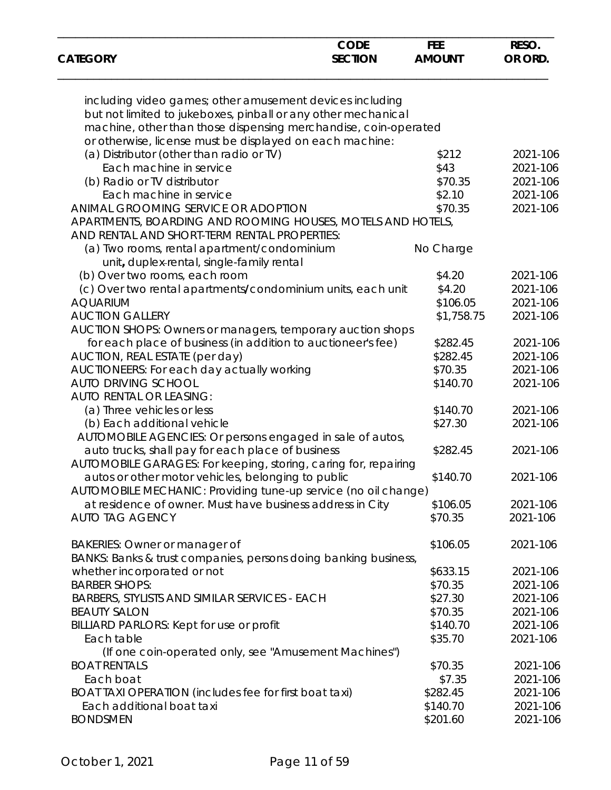| <b>CATEGORY</b>                                                 | <b>CODE</b><br><b>SECTION</b> | <b>FEE</b><br><b>AMOUNT</b> | RESO.<br>OR ORD. |
|-----------------------------------------------------------------|-------------------------------|-----------------------------|------------------|
|                                                                 |                               |                             |                  |
| including video games; other amusement devices including        |                               |                             |                  |
| but not limited to jukeboxes, pinball or any other mechanical   |                               |                             |                  |
| machine, other than those dispensing merchandise, coin-operated |                               |                             |                  |
| or otherwise, license must be displayed on each machine:        |                               |                             |                  |
| (a) Distributor (other than radio or TV)                        |                               | \$212                       | 2021-106         |
| Each machine in service                                         |                               | \$43                        | 2021-106         |
| (b) Radio or TV distributor                                     |                               | \$70.35                     | 2021-106         |
| Each machine in service                                         |                               | \$2.10                      | 2021-106         |
| ANIMAL GROOMING SERVICE OR ADOPTION                             |                               | \$70.35                     | 2021-106         |
| APARTMENTS, BOARDING AND ROOMING HOUSES, MOTELS AND HOTELS,     |                               |                             |                  |
| AND RENTAL AND SHORT-TERM RENTAL PROPERTIES:                    |                               |                             |                  |
| (a) Two rooms, rental apartment/condominium                     |                               | No Charge                   |                  |
| unit, duplex-rental, single-family rental                       |                               |                             |                  |
|                                                                 |                               |                             |                  |
| (b) Over two rooms, each room                                   |                               | \$4.20                      | 2021-106         |
| (c) Over two rental apartments/condominium units, each unit     |                               | \$4.20                      | 2021-106         |
| <b>AQUARIUM</b>                                                 |                               | \$106.05                    | 2021-106         |
| <b>AUCTION GALLERY</b>                                          |                               | \$1,758.75                  | 2021-106         |
| AUCTION SHOPS: Owners or managers, temporary auction shops      |                               |                             |                  |
| for each place of business (in addition to auctioneer's fee)    |                               | \$282.45                    | 2021-106         |
| AUCTION, REAL ESTATE (per day)                                  |                               | \$282.45                    | 2021-106         |
| AUCTIONEERS: For each day actually working                      |                               | \$70.35                     | 2021-106         |
| <b>AUTO DRIVING SCHOOL</b>                                      |                               | \$140.70                    | 2021-106         |
| AUTO RENTAL OR LEASING:                                         |                               |                             |                  |
| (a) Three vehicles or less                                      |                               | \$140.70                    | 2021-106         |
| (b) Each additional vehicle                                     |                               | \$27.30                     | 2021-106         |
| AUTOMOBILE AGENCIES: Or persons engaged in sale of autos,       |                               |                             |                  |
| auto trucks, shall pay for each place of business               |                               | \$282.45                    | 2021-106         |
|                                                                 |                               |                             |                  |
| AUTOMOBILE GARAGES: For keeping, storing, caring for, repairing |                               |                             |                  |
| autos or other motor vehicles, belonging to public              |                               | \$140.70                    | 2021-106         |
| AUTOMOBILE MECHANIC: Providing tune-up service (no oil change)  |                               |                             |                  |
| at residence of owner. Must have business address in City       |                               | \$106.05                    | 2021-106         |
| <b>AUTO TAG AGENCY</b>                                          |                               | \$70.35                     | 2021-106         |
| <b>BAKERIES: Owner or manager of</b>                            |                               | \$106.05                    | 2021-106         |
| BANKS: Banks & trust companies, persons doing banking business, |                               |                             |                  |
| whether incorporated or not                                     |                               | \$633.15                    | 2021-106         |
|                                                                 |                               |                             |                  |
| <b>BARBER SHOPS:</b>                                            |                               | \$70.35                     | 2021-106         |
| <b>BARBERS, STYLISTS AND SIMILAR SERVICES - EACH</b>            |                               | \$27.30                     | 2021-106         |
| <b>BEAUTY SALON</b>                                             |                               | \$70.35                     | 2021-106         |
| BILLIARD PARLORS: Kept for use or profit                        |                               | \$140.70                    | 2021-106         |
| Each table                                                      |                               | \$35.70                     | 2021-106         |
| (If one coin-operated only, see "Amusement Machines")           |                               |                             |                  |
| <b>BOAT RENTALS</b>                                             |                               | \$70.35                     | 2021-106         |
| Each boat                                                       |                               | \$7.35                      | 2021-106         |
| BOAT TAXI OPERATION (includes fee for first boat taxi)          |                               | \$282.45                    | 2021-106         |
| Each additional boat taxi                                       |                               | \$140.70                    | 2021-106         |
| <b>BONDSMEN</b>                                                 |                               | \$201.60                    | 2021-106         |
|                                                                 |                               |                             |                  |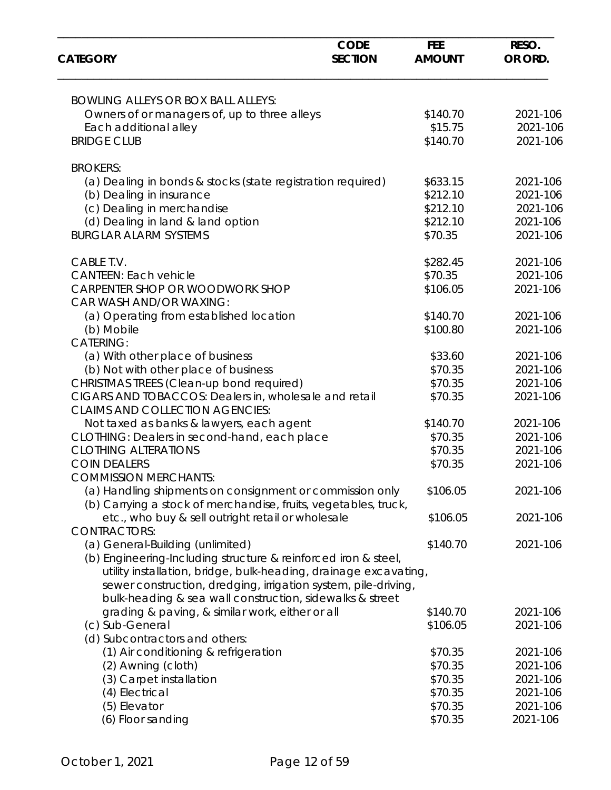| <b>CATEGORY</b>                                                                                                             | <b>CODE</b><br><b>SECTION</b> | <b>FEE</b><br><b>AMOUNT</b> | RESO.<br>OR ORD. |
|-----------------------------------------------------------------------------------------------------------------------------|-------------------------------|-----------------------------|------------------|
|                                                                                                                             |                               |                             |                  |
| <b>BOWLING ALLEYS OR BOX BALL ALLEYS:</b>                                                                                   |                               |                             |                  |
| Owners of or managers of, up to three alleys                                                                                |                               | \$140.70                    | 2021-106         |
| Each additional alley                                                                                                       |                               | \$15.75                     | 2021-106         |
| <b>BRIDGE CLUB</b>                                                                                                          |                               | \$140.70                    | 2021-106         |
| <b>BROKERS:</b>                                                                                                             |                               |                             |                  |
| (a) Dealing in bonds & stocks (state registration required)                                                                 |                               | \$633.15                    | 2021-106         |
| (b) Dealing in insurance                                                                                                    |                               | \$212.10                    | 2021-106         |
| (c) Dealing in merchandise                                                                                                  |                               | \$212.10                    | 2021-106         |
| (d) Dealing in land & land option                                                                                           |                               | \$212.10                    | 2021-106         |
| <b>BURGLAR ALARM SYSTEMS</b>                                                                                                |                               | \$70.35                     | 2021-106         |
| CABLE T.V.                                                                                                                  |                               | \$282.45                    | 2021-106         |
| <b>CANTEEN: Each vehicle</b>                                                                                                |                               | \$70.35                     | 2021-106         |
| CARPENTER SHOP OR WOODWORK SHOP<br>CAR WASH AND/OR WAXING:                                                                  |                               | \$106.05                    | 2021-106         |
| (a) Operating from established location                                                                                     |                               | \$140.70                    | 2021-106         |
| (b) Mobile                                                                                                                  |                               | \$100.80                    | 2021-106         |
| <b>CATERING:</b>                                                                                                            |                               |                             |                  |
| (a) With other place of business                                                                                            |                               | \$33.60                     | 2021-106         |
| (b) Not with other place of business                                                                                        |                               | \$70.35                     | 2021-106         |
| CHRISTMAS TREES (Clean-up bond required)                                                                                    |                               | \$70.35                     | 2021-106         |
| CIGARS AND TOBACCOS: Dealers in, wholesale and retail<br><b>CLAIMS AND COLLECTION AGENCIES:</b>                             |                               | \$70.35                     | 2021-106         |
| Not taxed as banks & lawyers, each agent                                                                                    |                               | \$140.70                    | 2021-106         |
| CLOTHING: Dealers in second-hand, each place                                                                                |                               | \$70.35                     | 2021-106         |
| <b>CLOTHING ALTERATIONS</b>                                                                                                 |                               | \$70.35                     | 2021-106         |
| <b>COIN DEALERS</b>                                                                                                         |                               | \$70.35                     | 2021-106         |
| <b>COMMISSION MERCHANTS:</b>                                                                                                |                               |                             |                  |
| (a) Handling shipments on consignment or commission only<br>(b) Carrying a stock of merchandise, fruits, vegetables, truck, |                               | \$106.05                    | 2021-106         |
| etc., who buy & sell outright retail or wholesale                                                                           |                               | \$106.05                    | 2021-106         |
| <b>CONTRACTORS:</b>                                                                                                         |                               |                             |                  |
| (a) General-Building (unlimited)                                                                                            |                               | \$140.70                    | 2021-106         |
| (b) Engineering-Including structure & reinforced iron & steel,                                                              |                               |                             |                  |
| utility installation, bridge, bulk-heading, drainage excavating,                                                            |                               |                             |                  |
| sewer construction, dredging, irrigation system, pile-driving,                                                              |                               |                             |                  |
| bulk-heading & sea wall construction, sidewalks & street                                                                    |                               |                             |                  |
| grading & paving, & similar work, either or all                                                                             |                               | \$140.70                    | 2021-106         |
| (c) Sub-General                                                                                                             |                               | \$106.05                    | 2021-106         |
| (d) Subcontractors and others:                                                                                              |                               |                             |                  |
| (1) Air conditioning & refrigeration                                                                                        |                               | \$70.35                     | 2021-106         |
| (2) Awning (cloth)                                                                                                          |                               | \$70.35                     | 2021-106         |
| (3) Carpet installation                                                                                                     |                               | \$70.35                     | 2021-106         |
| (4) Electrical                                                                                                              |                               | \$70.35                     | 2021-106         |
| (5) Elevator                                                                                                                |                               | \$70.35                     | 2021-106         |
| (6) Floor sanding                                                                                                           |                               | \$70.35                     | 2021-106         |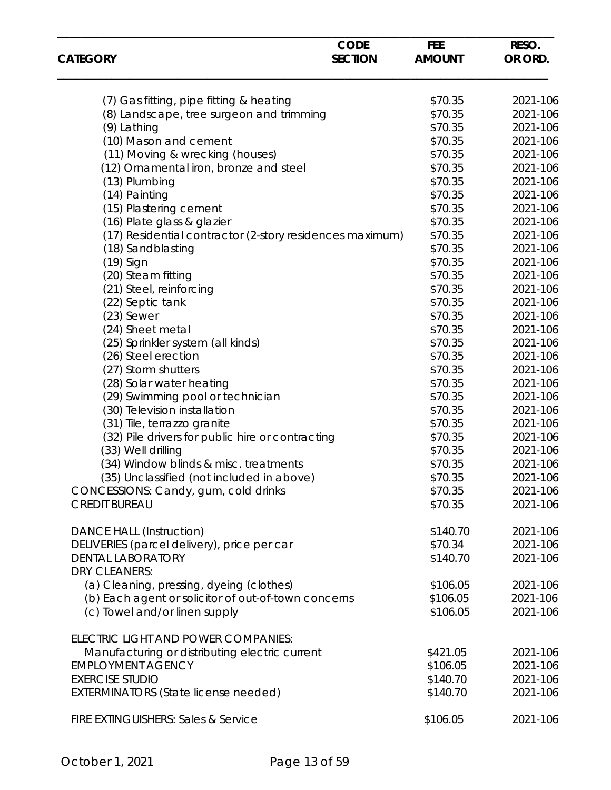| <b>CATEGORY</b>                                          | <b>CODE</b><br><b>SECTION</b> | <b>FEE</b><br><b>AMOUNT</b> | RESO.<br>OR ORD. |
|----------------------------------------------------------|-------------------------------|-----------------------------|------------------|
|                                                          |                               |                             |                  |
| (7) Gas fitting, pipe fitting & heating                  |                               | \$70.35                     | 2021-106         |
| (8) Landscape, tree surgeon and trimming                 |                               | \$70.35                     | 2021-106         |
| (9) Lathing                                              |                               | \$70.35                     | 2021-106         |
| (10) Mason and cement                                    |                               | \$70.35                     | 2021-106         |
| (11) Moving & wrecking (houses)                          |                               | \$70.35                     | 2021-106         |
| (12) Ornamental iron, bronze and steel                   |                               | \$70.35                     | 2021-106         |
|                                                          |                               | \$70.35                     | 2021-106         |
| (13) Plumbing                                            |                               |                             |                  |
| (14) Painting                                            |                               | \$70.35                     | 2021-106         |
| (15) Plastering cement                                   |                               | \$70.35                     | 2021-106         |
| (16) Plate glass & glazier                               |                               | \$70.35                     | 2021-106         |
| (17) Residential contractor (2-story residences maximum) |                               | \$70.35                     | 2021-106         |
| (18) Sandblasting                                        |                               | \$70.35                     | 2021-106         |
| (19) Sign                                                |                               | \$70.35                     | 2021-106         |
| (20) Steam fitting                                       |                               | \$70.35                     | 2021-106         |
| (21) Steel, reinforcing                                  |                               | \$70.35                     | 2021-106         |
| (22) Septic tank                                         |                               | \$70.35                     | 2021-106         |
| $(23)$ Sewer                                             |                               | \$70.35                     | 2021-106         |
| (24) Sheet metal                                         |                               | \$70.35                     | 2021-106         |
| (25) Sprinkler system (all kinds)                        |                               | \$70.35                     | 2021-106         |
| (26) Steel erection                                      |                               | \$70.35                     | 2021-106         |
| (27) Storm shutters                                      |                               | \$70.35                     | 2021-106         |
| (28) Solar water heating                                 |                               | \$70.35                     | 2021-106         |
| (29) Swimming pool or technician                         |                               | \$70.35                     | 2021-106         |
| (30) Television installation                             |                               | \$70.35                     | 2021-106         |
| (31) Tile, terrazzo granite                              |                               | \$70.35                     | 2021-106         |
| (32) Pile drivers for public hire or contracting         |                               | \$70.35                     | 2021-106         |
| (33) Well drilling                                       |                               | \$70.35                     | 2021-106         |
| (34) Window blinds & misc. treatments                    |                               | \$70.35                     | 2021-106         |
| (35) Unclassified (not included in above)                |                               | \$70.35                     | 2021-106         |
|                                                          |                               |                             | 2021-106         |
| CONCESSIONS: Candy, gum, cold drinks                     |                               | \$70.35                     |                  |
| <b>CREDIT BUREAU</b>                                     |                               | \$70.35                     | 2021-106         |
| <b>DANCE HALL (Instruction)</b>                          |                               | \$140.70                    | 2021-106         |
| DELIVERIES (parcel delivery), price per car              |                               | \$70.34                     | 2021-106         |
| <b>DENTAL LABORATORY</b>                                 |                               | \$140.70                    | 2021-106         |
| <b>DRY CLEANERS:</b>                                     |                               |                             |                  |
| (a) Cleaning, pressing, dyeing (clothes)                 |                               | \$106.05                    | 2021-106         |
| (b) Each agent or solicitor of out-of-town concerns      |                               | \$106.05                    | 2021-106         |
| (c) Towel and/or linen supply                            |                               | \$106.05                    | 2021-106         |
| ELECTRIC LIGHT AND POWER COMPANIES:                      |                               |                             |                  |
| Manufacturing or distributing electric current           |                               | \$421.05                    | 2021-106         |
| <b>EMPLOYMENT AGENCY</b>                                 |                               | \$106.05                    | 2021-106         |
| <b>EXERCISE STUDIO</b>                                   |                               | \$140.70                    | 2021-106         |
|                                                          |                               | \$140.70                    | 2021-106         |
| <b>EXTERMINATORS (State license needed)</b>              |                               |                             |                  |
| FIRE EXTINGUISHERS: Sales & Service                      |                               | \$106.05                    | 2021-106         |
|                                                          |                               |                             |                  |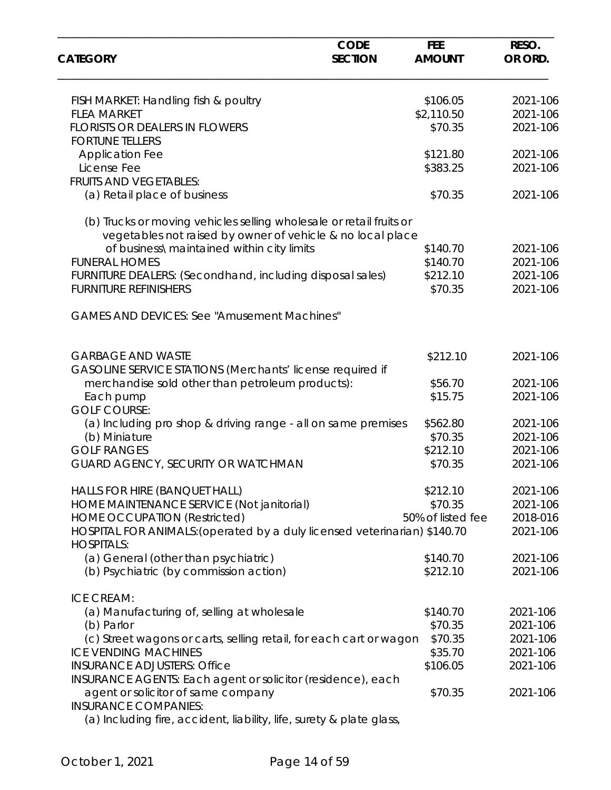| <b>CATEGORY</b>                                                                                | <b>CODE</b><br><b>SECTION</b> | <b>FEE</b><br><b>AMOUNT</b> | RESO.<br>OR ORD. |
|------------------------------------------------------------------------------------------------|-------------------------------|-----------------------------|------------------|
|                                                                                                |                               |                             |                  |
| FISH MARKET: Handling fish & poultry                                                           |                               | \$106.05                    | 2021-106         |
| <b>FLEA MARKET</b><br><b>FLORISTS OR DEALERS IN FLOWERS</b>                                    |                               | \$2,110.50                  | 2021-106         |
| <b>FORTUNE TELLERS</b>                                                                         |                               | \$70.35                     | 2021-106         |
| <b>Application Fee</b>                                                                         |                               | \$121.80                    | 2021-106         |
| License Fee                                                                                    |                               | \$383.25                    | 2021-106         |
| <b>FRUITS AND VEGETABLES:</b>                                                                  |                               |                             |                  |
| (a) Retail place of business                                                                   |                               | \$70.35                     | 2021-106         |
| (b) Trucks or moving vehicles selling wholesale or retail fruits or                            |                               |                             |                  |
| vegetables not raised by owner of vehicle & no local place                                     |                               |                             |                  |
| of business\maintained within city limits                                                      |                               | \$140.70                    | 2021-106         |
| <b>FUNERAL HOMES</b>                                                                           |                               | \$140.70                    | 2021-106         |
| FURNITURE DEALERS: (Secondhand, including disposal sales)                                      |                               | \$212.10                    | 2021-106         |
| <b>FURNITURE REFINISHERS</b>                                                                   |                               | \$70.35                     | 2021-106         |
| <b>GAMES AND DEVICES: See "Amusement Machines"</b>                                             |                               |                             |                  |
| <b>GARBAGE AND WASTE</b>                                                                       |                               | \$212.10                    | 2021-106         |
| GASOLINE SERVICE STATIONS (Merchants' license required if                                      |                               |                             |                  |
| merchandise sold other than petroleum products):                                               |                               | \$56.70                     | 2021-106         |
| Each pump                                                                                      |                               | \$15.75                     | 2021-106         |
| <b>GOLF COURSE:</b>                                                                            |                               |                             |                  |
| (a) Including pro shop & driving range - all on same premises                                  |                               | \$562.80                    | 2021-106         |
| (b) Miniature                                                                                  |                               | \$70.35                     | 2021-106         |
| <b>GOLF RANGES</b>                                                                             |                               | \$212.10                    | 2021-106         |
| <b>GUARD AGENCY, SECURITY OR WATCHMAN</b>                                                      |                               | \$70.35                     | 2021-106         |
| HALLS FOR HIRE (BANQUET HALL)                                                                  |                               | \$212.10                    | 2021-106         |
| HOME MAINTENANCE SERVICE (Not janitorial)                                                      |                               | \$70.35                     | 2021-106         |
| <b>HOME OCCUPATION (Restricted)</b>                                                            |                               | 50% of listed fee           | 2018-016         |
| HOSPITAL FOR ANIMALS: (operated by a duly licensed veterinarian) \$140.70<br><b>HOSPITALS:</b> |                               |                             | 2021-106         |
| (a) General (other than psychiatric)                                                           |                               | \$140.70                    | 2021-106         |
| (b) Psychiatric (by commission action)                                                         |                               | \$212.10                    | 2021-106         |
| <b>ICE CREAM:</b>                                                                              |                               |                             |                  |
| (a) Manufacturing of, selling at wholesale                                                     |                               | \$140.70                    | 2021-106         |
| (b) Parlor                                                                                     |                               | \$70.35                     | 2021-106         |
| (c) Street wagons or carts, selling retail, for each cart or wagon                             |                               | \$70.35                     | 2021-106         |
| <b>ICE VENDING MACHINES</b>                                                                    |                               | \$35.70                     | 2021-106         |
| <b>INSURANCE ADJUSTERS: Office</b>                                                             |                               | \$106.05                    | 2021-106         |
| INSURANCE AGENTS: Each agent or solicitor (residence), each                                    |                               |                             |                  |
| agent or solicitor of same company                                                             |                               | \$70.35                     | 2021-106         |
| <b>INSURANCE COMPANIES:</b>                                                                    |                               |                             |                  |

(a) Including fire, accident, liability, life, surety & plate glass,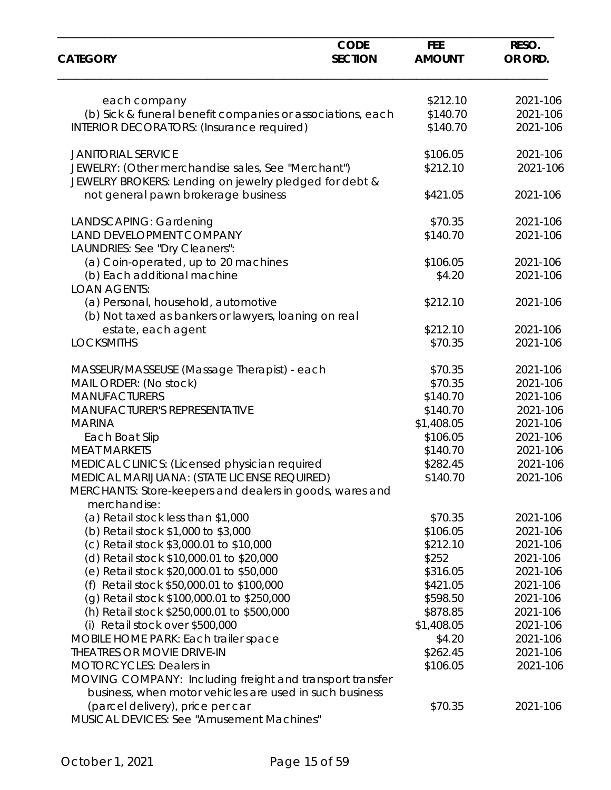| <b>CATEGORY</b>                                            | <b>CODE</b><br><b>SECTION</b> | <b>FEE</b><br><b>AMOUNT</b> | RESO.<br>OR ORD. |
|------------------------------------------------------------|-------------------------------|-----------------------------|------------------|
|                                                            |                               |                             |                  |
| each company                                               |                               | \$212.10                    | 2021-106         |
| (b) Sick & funeral benefit companies or associations, each |                               | \$140.70                    | 2021-106         |
| <b>INTERIOR DECORATORS: (Insurance required)</b>           |                               | \$140.70                    | 2021-106         |
| <b>JANITORIAL SERVICE</b>                                  |                               | \$106.05                    | 2021-106         |
| JEWELRY: (Other merchandise sales, See "Merchant")         |                               | \$212.10                    | 2021-106         |
| JEWELRY BROKERS: Lending on jewelry pledged for debt &     |                               |                             |                  |
| not general pawn brokerage business                        |                               | \$421.05                    | 2021-106         |
| LANDSCAPING: Gardening                                     |                               | \$70.35                     | 2021-106         |
| LAND DEVELOPMENT COMPANY                                   |                               | \$140.70                    | 2021-106         |
| LAUNDRIES: See "Dry Cleaners":                             |                               |                             |                  |
| (a) Coin-operated, up to 20 machines                       |                               | \$106.05                    | 2021-106         |
| (b) Each additional machine                                |                               | \$4.20                      | 2021-106         |
| <b>LOAN AGENTS:</b>                                        |                               |                             |                  |
| (a) Personal, household, automotive                        |                               | \$212.10                    | 2021-106         |
| (b) Not taxed as bankers or lawyers, loaning on real       |                               |                             |                  |
| estate, each agent                                         |                               | \$212.10                    | 2021-106         |
| <b>LOCKSMITHS</b>                                          |                               | \$70.35                     | 2021-106         |
| MASSEUR/MASSEUSE (Massage Therapist) - each                |                               | \$70.35                     | 2021-106         |
| MAIL ORDER: (No stock)                                     |                               | \$70.35                     | 2021-106         |
| <b>MANUFACTURERS</b>                                       |                               | \$140.70                    | 2021-106         |
| MANUFACTURER'S REPRESENTATIVE                              |                               | \$140.70                    | 2021-106         |
| <b>MARINA</b>                                              |                               | \$1,408.05                  | 2021-106         |
| Each Boat Slip                                             |                               | \$106.05                    | 2021-106         |
| <b>MEAT MARKETS</b>                                        |                               | \$140.70                    | 2021-106         |
| MEDICAL CLINICS: (Licensed physician required              |                               | \$282.45                    | 2021-106         |
| MEDICAL MARIJUANA: (STATE LICENSE REQUIRED)                |                               | \$140.70                    | 2021-106         |
| MERCHANTS: Store-keepers and dealers in goods, wares and   |                               |                             |                  |
| merchandise:                                               |                               |                             |                  |
| (a) Retail stock less than \$1,000                         |                               | \$70.35                     | 2021-106         |
| (b) Retail stock \$1,000 to \$3,000                        |                               | \$106.05                    | 2021-106         |
| (c) Retail stock \$3,000.01 to \$10,000                    |                               | \$212.10                    | 2021-106         |
| (d) Retail stock \$10,000.01 to \$20,000                   |                               | \$252                       | 2021-106         |
| (e) Retail stock \$20,000.01 to \$50,000                   |                               | \$316.05                    | 2021-106         |
| (f) Retail stock \$50,000.01 to \$100,000                  |                               | \$421.05                    | 2021-106         |
| (g) Retail stock \$100,000.01 to \$250,000                 |                               | \$598.50                    | 2021-106         |
| (h) Retail stock \$250,000.01 to \$500,000                 |                               | \$878.85                    | 2021-106         |
| (i) Retail stock over \$500,000                            |                               | \$1,408.05                  | 2021-106         |
| MOBILE HOME PARK: Each trailer space                       |                               | \$4.20                      | 2021-106         |
| THEATRES OR MOVIE DRIVE-IN                                 |                               | \$262.45                    | 2021-106         |
| <b>MOTORCYCLES: Dealers in</b>                             |                               | \$106.05                    | 2021-106         |
| MOVING COMPANY: Including freight and transport transfer   |                               |                             |                  |
| business, when motor vehicles are used in such business    |                               |                             |                  |
| (parcel delivery), price per car                           |                               | \$70.35                     | 2021-106         |
| MUSICAL DEVICES: See "Amusement Machines"                  |                               |                             |                  |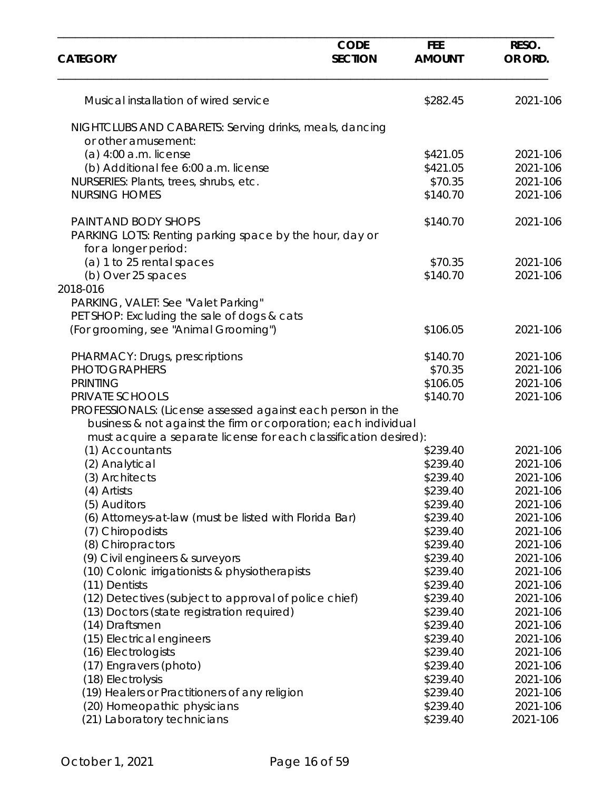| <b>CATEGORY</b>                                                                 | <b>CODE</b><br><b>SECTION</b> | <b>FEE</b><br><b>AMOUNT</b> | RESO.<br>OR ORD.     |
|---------------------------------------------------------------------------------|-------------------------------|-----------------------------|----------------------|
| Musical installation of wired service                                           |                               | \$282.45                    | 2021-106             |
| NIGHTCLUBS AND CABARETS: Serving drinks, meals, dancing<br>or other amusement:  |                               |                             |                      |
| $(a)$ 4:00 a.m. license                                                         |                               | \$421.05                    | 2021-106             |
| (b) Additional fee 6:00 a.m. license                                            |                               | \$421.05                    | 2021-106             |
| NURSERIES: Plants, trees, shrubs, etc.                                          |                               | \$70.35                     | 2021-106             |
| <b>NURSING HOMES</b>                                                            |                               | \$140.70                    | 2021-106             |
| PAINT AND BODY SHOPS                                                            |                               | \$140.70                    | 2021-106             |
| PARKING LOTS: Renting parking space by the hour, day or<br>for a longer period: |                               |                             |                      |
| (a) 1 to 25 rental spaces                                                       |                               | \$70.35                     | 2021-106             |
| (b) Over 25 spaces                                                              |                               | \$140.70                    | 2021-106             |
| 2018-016                                                                        |                               |                             |                      |
| PARKING, VALET: See "Valet Parking"                                             |                               |                             |                      |
| PET SHOP: Excluding the sale of dogs & cats                                     |                               |                             |                      |
| (For grooming, see "Animal Grooming")                                           |                               | \$106.05                    | 2021-106             |
| PHARMACY: Drugs, prescriptions                                                  |                               | \$140.70                    | 2021-106             |
| <b>PHOTOGRAPHERS</b>                                                            |                               | \$70.35                     | 2021-106             |
| <b>PRINTING</b>                                                                 |                               | \$106.05                    | 2021-106             |
| PRIVATE SCHOOLS                                                                 |                               | \$140.70                    | 2021-106             |
| PROFESSIONALS: (License assessed against each person in the                     |                               |                             |                      |
| business & not against the firm or corporation; each individual                 |                               |                             |                      |
| must acquire a separate license for each classification desired):               |                               |                             |                      |
| (1) Accountants                                                                 |                               | \$239.40                    | 2021-106             |
| (2) Analytical                                                                  |                               | \$239.40                    | 2021-106             |
| (3) Architects                                                                  |                               | \$239.40                    | 2021-106             |
| (4) Artists                                                                     |                               | \$239.40                    | 2021-106             |
| (5) Auditors                                                                    |                               | \$239.40<br>\$239.40        | 2021-106<br>2021-106 |
| (6) Attorneys-at-law (must be listed with Florida Bar)<br>(7) Chiropodists      |                               | \$239.40                    | 2021-106             |
| (8) Chiropractors                                                               |                               | \$239.40                    | 2021-106             |
| (9) Civil engineers & surveyors                                                 |                               | \$239.40                    | 2021-106             |
| (10) Colonic irrigationists & physiotherapists                                  |                               | \$239.40                    | 2021-106             |
| (11) Dentists                                                                   |                               | \$239.40                    | 2021-106             |
| (12) Detectives (subject to approval of police chief)                           |                               | \$239.40                    | 2021-106             |
| (13) Doctors (state registration required)                                      |                               | \$239.40                    | 2021-106             |
| (14) Draftsmen                                                                  |                               | \$239.40                    | 2021-106             |
| (15) Electrical engineers                                                       |                               | \$239.40                    | 2021-106             |
| (16) Electrologists                                                             |                               | \$239.40                    | 2021-106             |
| (17) Engravers (photo)                                                          |                               | \$239.40                    | 2021-106             |
| (18) Electrolysis                                                               |                               | \$239.40                    | 2021-106             |
| (19) Healers or Practitioners of any religion                                   |                               | \$239.40                    | 2021-106             |
| (20) Homeopathic physicians                                                     |                               | \$239.40                    | 2021-106             |
| (21) Laboratory technicians                                                     |                               | \$239.40                    | 2021-106             |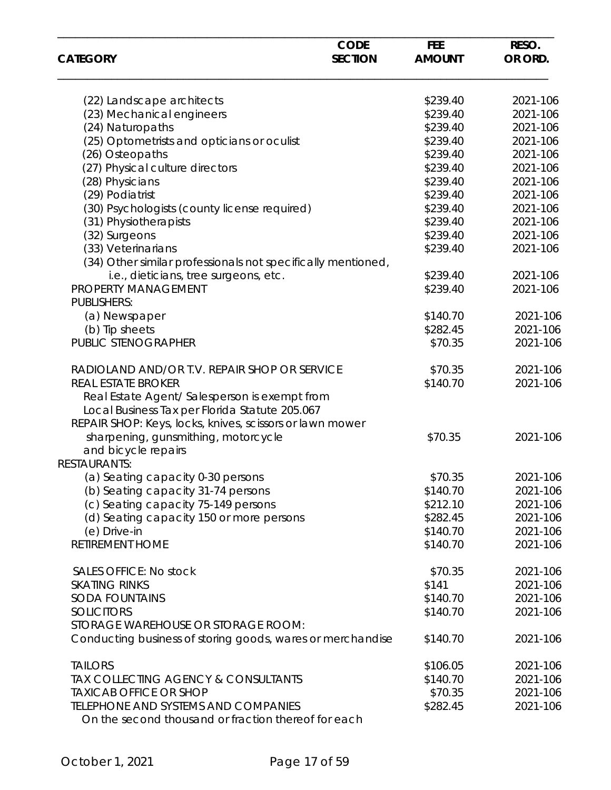|                                                              | <b>CODE</b>    | <b>FEE</b>    | RESO.    |  |
|--------------------------------------------------------------|----------------|---------------|----------|--|
| <b>CATEGORY</b>                                              | <b>SECTION</b> | <b>AMOUNT</b> | OR ORD.  |  |
| (22) Landscape architects                                    |                | \$239.40      | 2021-106 |  |
| (23) Mechanical engineers                                    |                | \$239.40      | 2021-106 |  |
| (24) Naturopaths                                             |                | \$239.40      | 2021-106 |  |
| (25) Optometrists and opticians or oculist                   |                | \$239.40      | 2021-106 |  |
| (26) Osteopaths                                              |                | \$239.40      | 2021-106 |  |
| (27) Physical culture directors                              |                | \$239.40      | 2021-106 |  |
| (28) Physicians                                              |                | \$239.40      | 2021-106 |  |
| (29) Podiatrist                                              |                | \$239.40      | 2021-106 |  |
| (30) Psychologists (county license required)                 |                | \$239.40      | 2021-106 |  |
| (31) Physiotherapists                                        |                | \$239.40      | 2021-106 |  |
| (32) Surgeons                                                |                | \$239.40      | 2021-106 |  |
| (33) Veterinarians                                           |                | \$239.40      | 2021-106 |  |
| (34) Other similar professionals not specifically mentioned, |                |               |          |  |
| i.e., dieticians, tree surgeons, etc.                        |                | \$239.40      | 2021-106 |  |
| PROPERTY MANAGEMENT                                          |                | \$239.40      | 2021-106 |  |
| <b>PUBLISHERS:</b>                                           |                |               |          |  |
|                                                              |                | \$140.70      | 2021-106 |  |
| (a) Newspaper                                                |                |               |          |  |
| (b) Tip sheets                                               |                | \$282.45      | 2021-106 |  |
| PUBLIC STENOGRAPHER                                          |                | \$70.35       | 2021-106 |  |
| RADIOLAND AND/OR T.V. REPAIR SHOP OR SERVICE                 |                | \$70.35       | 2021-106 |  |
| <b>REAL ESTATE BROKER</b>                                    |                | \$140.70      | 2021-106 |  |
| Real Estate Agent/ Salesperson is exempt from                |                |               |          |  |
| Local Business Tax per Florida Statute 205.067               |                |               |          |  |
| REPAIR SHOP: Keys, locks, knives, scissors or lawn mower     |                |               |          |  |
| sharpening, gunsmithing, motorcycle                          |                | \$70.35       | 2021-106 |  |
| and bicycle repairs                                          |                |               |          |  |
| <b>RESTAURANTS:</b>                                          |                |               |          |  |
| (a) Seating capacity 0-30 persons                            |                | \$70.35       | 2021-106 |  |
| (b) Seating capacity 31-74 persons                           |                | \$140.70      | 2021-106 |  |
| (c) Seating capacity 75-149 persons                          |                | \$212.10      | 2021-106 |  |
| (d) Seating capacity 150 or more persons                     |                | \$282.45      | 2021-106 |  |
| (e) Drive-in                                                 |                | \$140.70      | 2021-106 |  |
| <b>RETIREMENT HOME</b>                                       |                | \$140.70      | 2021-106 |  |
|                                                              |                |               |          |  |
| <b>SALES OFFICE: No stock</b>                                |                | \$70.35       | 2021-106 |  |
| <b>SKATING RINKS</b>                                         |                | \$141         | 2021-106 |  |
| <b>SODA FOUNTAINS</b>                                        |                | \$140.70      | 2021-106 |  |
| <b>SOLICITORS</b>                                            |                | \$140.70      | 2021-106 |  |
| STORAGE WAREHOUSE OR STORAGE ROOM:                           |                |               |          |  |
| Conducting business of storing goods, wares or merchandise   |                | \$140.70      | 2021-106 |  |
|                                                              |                |               |          |  |
| <b>TAILORS</b>                                               |                | \$106.05      | 2021-106 |  |
| TAX COLLECTING AGENCY & CONSULTANTS                          |                | \$140.70      | 2021-106 |  |
| <b>TAXICAB OFFICE OR SHOP</b>                                |                | \$70.35       | 2021-106 |  |
| <b>TELEPHONE AND SYSTEMS AND COMPANIES</b>                   |                | \$282.45      | 2021-106 |  |
| On the second thousand or fraction thereof for each          |                |               |          |  |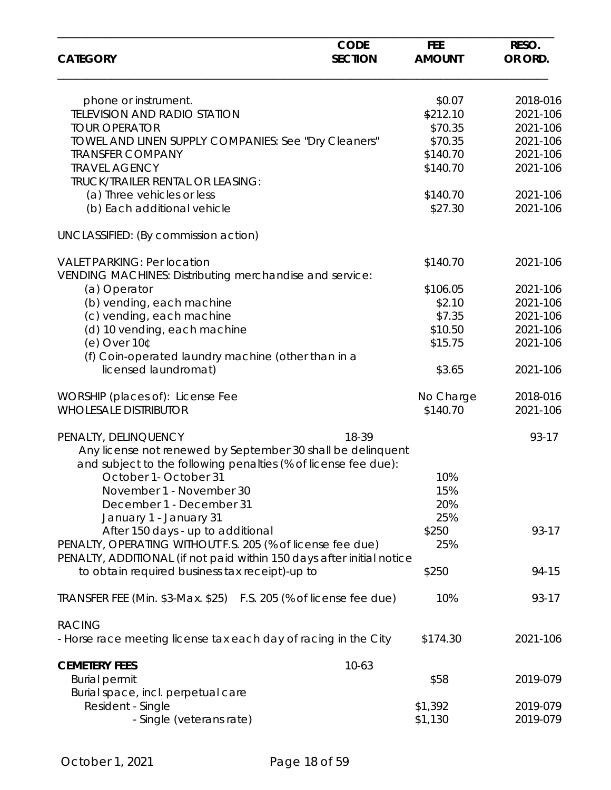| <b>CATEGORY</b>                                                                                                         | <b>CODE</b><br><b>SECTION</b> | <b>FEE</b><br><b>AMOUNT</b> | RESO.<br>OR ORD. |
|-------------------------------------------------------------------------------------------------------------------------|-------------------------------|-----------------------------|------------------|
|                                                                                                                         |                               |                             |                  |
| phone or instrument.                                                                                                    |                               | \$0.07                      | 2018-016         |
| <b>TELEVISION AND RADIO STATION</b>                                                                                     |                               | \$212.10                    | 2021-106         |
| <b>TOUR OPERATOR</b>                                                                                                    |                               | \$70.35                     | 2021-106         |
|                                                                                                                         |                               | \$70.35                     |                  |
| TOWEL AND LINEN SUPPLY COMPANIES: See "Dry Cleaners"                                                                    |                               |                             | 2021-106         |
| <b>TRANSFER COMPANY</b>                                                                                                 |                               | \$140.70                    | 2021-106         |
| <b>TRAVEL AGENCY</b>                                                                                                    |                               | \$140.70                    | 2021-106         |
| <b>TRUCK/TRAILER RENTAL OR LEASING:</b>                                                                                 |                               |                             |                  |
| (a) Three vehicles or less                                                                                              |                               | \$140.70                    | 2021-106         |
| (b) Each additional vehicle                                                                                             |                               | \$27.30                     | 2021-106         |
| UNCLASSIFIED: (By commission action)                                                                                    |                               |                             |                  |
| <b>VALET PARKING: Per location</b>                                                                                      |                               | \$140.70                    | 2021-106         |
| VENDING MACHINES: Distributing merchandise and service:                                                                 |                               |                             |                  |
| (a) Operator                                                                                                            |                               | \$106.05                    | 2021-106         |
| (b) vending, each machine                                                                                               |                               | \$2.10                      | 2021-106         |
|                                                                                                                         |                               | \$7.35                      | 2021-106         |
| (c) vending, each machine                                                                                               |                               |                             |                  |
| (d) 10 vending, each machine                                                                                            |                               | \$10.50                     | 2021-106         |
| (e) Over $10°$                                                                                                          |                               | \$15.75                     | 2021-106         |
| (f) Coin-operated laundry machine (other than in a                                                                      |                               |                             |                  |
| licensed laundromat)                                                                                                    |                               | \$3.65                      | 2021-106         |
| WORSHIP (places of): License Fee                                                                                        |                               | No Charge                   | 2018-016         |
| <b>WHOLESALE DISTRIBUTOR</b>                                                                                            |                               | \$140.70                    | 2021-106         |
| PENALTY, DELINQUENCY                                                                                                    | 18-39                         |                             | 93-17            |
| Any license not renewed by September 30 shall be delinquent                                                             |                               |                             |                  |
| and subject to the following penalties (% of license fee due):                                                          |                               |                             |                  |
| October 1- October 31                                                                                                   |                               | 10%                         |                  |
| November 1 - November 30                                                                                                |                               | 15%                         |                  |
| December 1 - December 31                                                                                                |                               | 20%                         |                  |
| January 1 - January 31                                                                                                  |                               | 25%                         |                  |
| After 150 days - up to additional                                                                                       |                               | \$250                       | 93-17            |
| PENALTY, OPERATING WITHOUT F.S. 205 (% of license fee due)                                                              |                               | 25%                         |                  |
| PENALTY, ADDITIONAL (if not paid within 150 days after initial notice<br>to obtain required business tax receipt)-up to |                               | \$250                       | 94-15            |
| TRANSFER FEE (Min. \$3-Max. \$25) F.S. 205 (% of license fee due)                                                       |                               | 10%                         | 93-17            |
|                                                                                                                         |                               |                             |                  |
| <b>RACING</b>                                                                                                           |                               |                             |                  |
| - Horse race meeting license tax each day of racing in the City                                                         |                               | \$174.30                    | 2021-106         |
| <b>CEMETERY FEES</b>                                                                                                    | $10-63$                       |                             |                  |
| <b>Burial permit</b>                                                                                                    |                               | \$58                        | 2019-079         |
| Burial space, incl. perpetual care                                                                                      |                               |                             |                  |
| Resident - Single                                                                                                       |                               | \$1,392                     | 2019-079         |
| - Single (veterans rate)                                                                                                |                               | \$1,130                     | 2019-079         |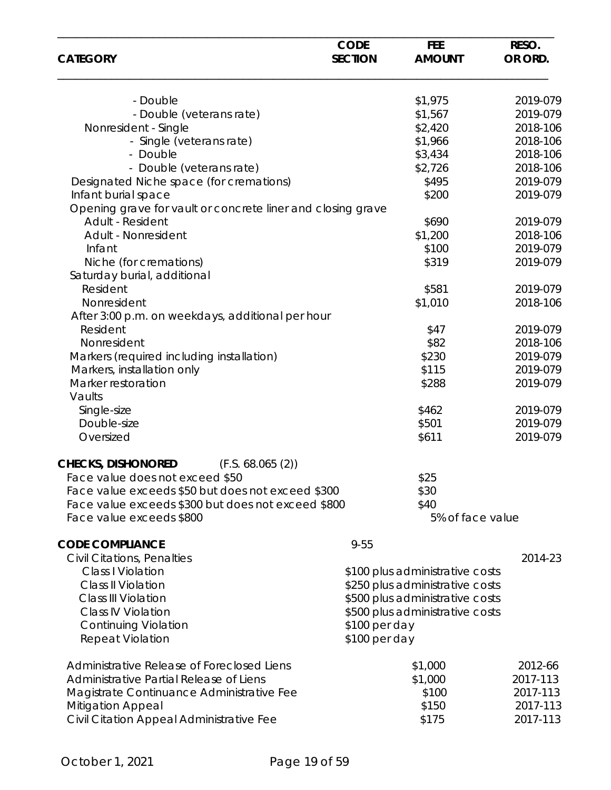| <b>CATEGORY</b>                                             | <b>CODE</b><br><b>SECTION</b> | <b>FEE</b><br><b>AMOUNT</b>     | RESO.<br>OR ORD. |
|-------------------------------------------------------------|-------------------------------|---------------------------------|------------------|
| - Double                                                    |                               | \$1,975                         | 2019-079         |
|                                                             |                               |                                 | 2019-079         |
| - Double (veterans rate)                                    |                               | \$1,567                         |                  |
| Nonresident - Single                                        |                               | \$2,420                         | 2018-106         |
| - Single (veterans rate)                                    |                               | \$1,966                         | 2018-106         |
| - Double                                                    |                               | \$3,434                         | 2018-106         |
| - Double (veterans rate)                                    |                               | \$2,726                         | 2018-106         |
| Designated Niche space (for cremations)                     |                               | \$495                           | 2019-079         |
| Infant burial space                                         |                               | \$200                           | 2019-079         |
| Opening grave for vault or concrete liner and closing grave |                               |                                 |                  |
| Adult - Resident                                            |                               | \$690                           | 2019-079         |
| Adult - Nonresident                                         |                               | \$1,200                         | 2018-106         |
| Infant                                                      |                               | \$100                           | 2019-079         |
| Niche (for cremations)                                      |                               | \$319                           |                  |
|                                                             |                               |                                 | 2019-079         |
| Saturday burial, additional                                 |                               |                                 |                  |
| Resident                                                    |                               | \$581                           | 2019-079         |
| Nonresident                                                 |                               | \$1,010                         | 2018-106         |
| After 3:00 p.m. on weekdays, additional per hour            |                               |                                 |                  |
| Resident                                                    |                               | \$47                            | 2019-079         |
| Nonresident                                                 |                               | \$82                            | 2018-106         |
| Markers (required including installation)                   |                               | \$230                           | 2019-079         |
| Markers, installation only                                  |                               | \$115                           | 2019-079         |
| Marker restoration                                          |                               | \$288                           | 2019-079         |
| Vaults                                                      |                               |                                 |                  |
|                                                             |                               | \$462                           | 2019-079         |
| Single-size                                                 |                               |                                 |                  |
| Double-size                                                 |                               | \$501                           | 2019-079         |
| Oversized                                                   |                               | \$611                           | 2019-079         |
|                                                             |                               |                                 |                  |
| <b>CHECKS, DISHONORED</b><br>(F.S. 68.065(2))               |                               |                                 |                  |
| Face value does not exceed \$50                             |                               | \$25                            |                  |
| Face value exceeds \$50 but does not exceed \$300           |                               | \$30                            |                  |
| Face value exceeds \$300 but does not exceed \$800          |                               | \$40                            |                  |
| Face value exceeds \$800                                    |                               | 5% of face value                |                  |
|                                                             |                               |                                 |                  |
| <b>CODE COMPLIANCE</b>                                      | $9 - 55$                      |                                 |                  |
| Civil Citations, Penalties                                  |                               |                                 | 2014-23          |
| <b>Class I Violation</b>                                    |                               | \$100 plus administrative costs |                  |
| Class II Violation                                          |                               | \$250 plus administrative costs |                  |
| <b>Class III Violation</b>                                  |                               | \$500 plus administrative costs |                  |
| <b>Class IV Violation</b>                                   |                               | \$500 plus administrative costs |                  |
| <b>Continuing Violation</b>                                 | \$100 per day                 |                                 |                  |
| <b>Repeat Violation</b>                                     | \$100 per day                 |                                 |                  |
|                                                             |                               |                                 |                  |
| Administrative Release of Foreclosed Liens                  |                               | \$1,000                         | 2012-66          |
| Administrative Partial Release of Liens                     |                               | \$1,000                         | 2017-113         |
|                                                             |                               | \$100                           |                  |
| Magistrate Continuance Administrative Fee                   |                               |                                 | 2017-113         |
| <b>Mitigation Appeal</b>                                    |                               | \$150                           | 2017-113         |
| Civil Citation Appeal Administrative Fee                    |                               | \$175                           | 2017-113         |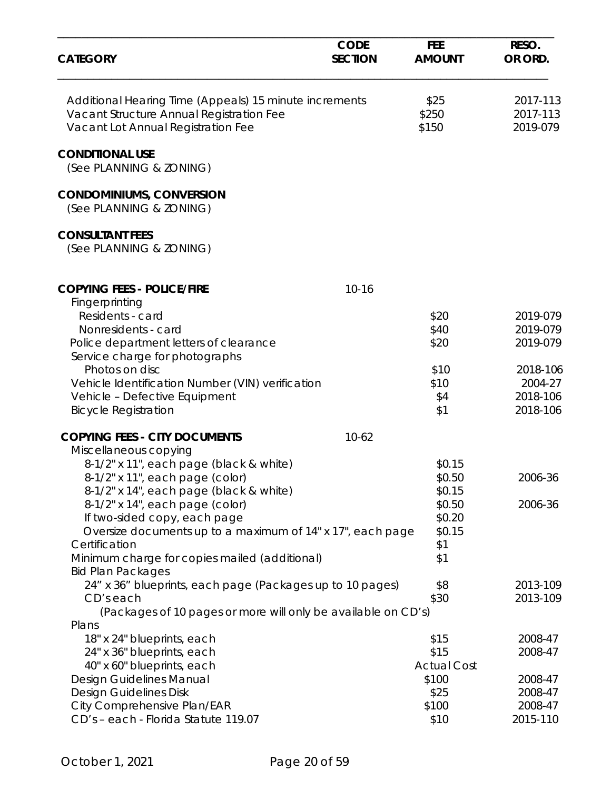| <b>CATEGORY</b>                                                                                                                                                      | <b>CODE</b><br><b>SECTION</b> | <b>FEE</b><br><b>AMOUNT</b>        | RESO.<br>OR ORD.                            |
|----------------------------------------------------------------------------------------------------------------------------------------------------------------------|-------------------------------|------------------------------------|---------------------------------------------|
| Additional Hearing Time (Appeals) 15 minute increments<br>Vacant Structure Annual Registration Fee<br>Vacant Lot Annual Registration Fee                             |                               | \$25<br>\$250<br>\$150             | 2017-113<br>2017-113<br>2019-079            |
| <b>CONDITIONAL USE</b><br>(See PLANNING & ZONING)                                                                                                                    |                               |                                    |                                             |
| <b>CONDOMINIUMS, CONVERSION</b><br>(See PLANNING & ZONING)                                                                                                           |                               |                                    |                                             |
| <b>CONSULTANT FEES</b><br>(See PLANNING & ZONING)                                                                                                                    |                               |                                    |                                             |
| <b>COPYING FEES - POLICE/FIRE</b>                                                                                                                                    | $10 - 16$                     |                                    |                                             |
| Fingerprinting<br>Residents - card<br>Nonresidents - card<br>Police department letters of clearance                                                                  |                               | \$20<br>\$40<br>\$20               | 2019-079<br>2019-079<br>2019-079            |
| Service charge for photographs<br>Photos on disc<br>Vehicle Identification Number (VIN) verification<br>Vehicle - Defective Equipment<br><b>Bicycle Registration</b> |                               | \$10<br>\$10<br>\$4<br>\$1         | 2018-106<br>2004-27<br>2018-106<br>2018-106 |
| <b>COPYING FEES - CITY DOCUMENTS</b>                                                                                                                                 | $10-62$                       |                                    |                                             |
| Miscellaneous copying<br>8-1/2" x 11", each page (black & white)<br>8-1/2" x 11", each page (color)<br>8-1/2" x 14", each page (black & white)                       |                               | \$0.15<br>\$0.50<br>\$0.15         | 2006-36                                     |
| 8-1/2" x 14", each page (color)<br>If two-sided copy, each page<br>Oversize documents up to a maximum of 14" x 17", each page                                        |                               | \$0.50<br>\$0.20<br>\$0.15         | 2006-36                                     |
| Certification<br>Minimum charge for copies mailed (additional)<br><b>Bid Plan Packages</b>                                                                           |                               | \$1<br>\$1                         |                                             |
| 24" x 36" blueprints, each page (Packages up to 10 pages)<br>CD's each<br>(Packages of 10 pages or more will only be available on CD's)                              |                               | \$8<br>\$30                        | 2013-109<br>2013-109                        |
| Plans<br>18" x 24" blueprints, each<br>24" x 36" blueprints, each<br>40" x 60" blueprints, each                                                                      |                               | \$15<br>\$15<br><b>Actual Cost</b> | 2008-47<br>2008-47                          |
| Design Guidelines Manual<br>Design Guidelines Disk<br>City Comprehensive Plan/EAR<br>CD's - each - Florida Statute 119.07                                            |                               | \$100<br>\$25<br>\$100<br>\$10     | 2008-47<br>2008-47<br>2008-47<br>2015-110   |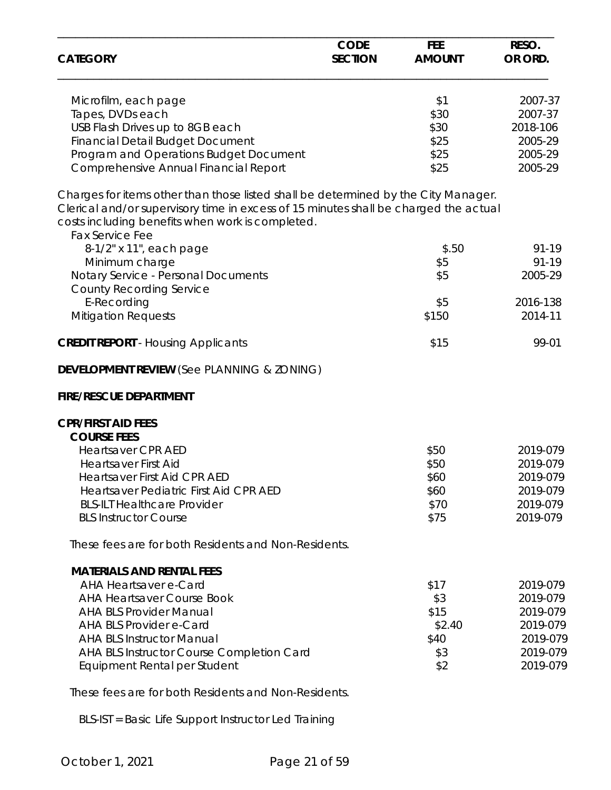| <b>CATEGORY</b>                                                                                                                                                                                                                                          | <b>CODE</b><br><b>SECTION</b> | <b>FEE</b><br><b>AMOUNT</b> | RESO.<br>OR ORD.     |
|----------------------------------------------------------------------------------------------------------------------------------------------------------------------------------------------------------------------------------------------------------|-------------------------------|-----------------------------|----------------------|
| Microfilm, each page                                                                                                                                                                                                                                     |                               | \$1                         | 2007-37              |
| Tapes, DVDs each                                                                                                                                                                                                                                         |                               | \$30                        | 2007-37              |
| USB Flash Drives up to 8GB each                                                                                                                                                                                                                          |                               | \$30                        | 2018-106             |
| <b>Financial Detail Budget Document</b>                                                                                                                                                                                                                  |                               | \$25                        | 2005-29              |
| Program and Operations Budget Document                                                                                                                                                                                                                   |                               | \$25                        | 2005-29              |
| Comprehensive Annual Financial Report                                                                                                                                                                                                                    |                               | \$25                        | 2005-29              |
| Charges for items other than those listed shall be determined by the City Manager.<br>Clerical and/or supervisory time in excess of 15 minutes shall be charged the actual<br>costs including benefits when work is completed.<br><b>Fax Service Fee</b> |                               |                             |                      |
| 8-1/2" x 11", each page                                                                                                                                                                                                                                  |                               | \$.50                       | 91-19                |
| Minimum charge                                                                                                                                                                                                                                           |                               | \$5                         | $91 - 19$            |
| Notary Service - Personal Documents<br><b>County Recording Service</b>                                                                                                                                                                                   |                               | \$5                         | 2005-29              |
| E-Recording                                                                                                                                                                                                                                              |                               | \$5                         | 2016-138             |
| <b>Mitigation Requests</b>                                                                                                                                                                                                                               |                               | \$150                       | 2014-11              |
| <b>CREDIT REPORT</b> - Housing Applicants                                                                                                                                                                                                                |                               | \$15                        | 99-01                |
| <b>DEVELOPMENT REVIEW (See PLANNING &amp; ZONING)</b>                                                                                                                                                                                                    |                               |                             |                      |
| <b>FIRE/RESCUE DEPARTMENT</b>                                                                                                                                                                                                                            |                               |                             |                      |
| <b>CPR/FIRST AID FEES</b>                                                                                                                                                                                                                                |                               |                             |                      |
| <b>COURSE FEES</b>                                                                                                                                                                                                                                       |                               |                             |                      |
| <b>Heartsaver CPR AED</b>                                                                                                                                                                                                                                |                               | \$50                        | 2019-079             |
| <b>Heartsaver First Aid</b>                                                                                                                                                                                                                              |                               | \$50                        | 2019-079             |
| Heartsaver First Aid CPR AED                                                                                                                                                                                                                             |                               | \$60                        | 2019-079             |
| Heartsaver Pediatric First Aid CPR AED                                                                                                                                                                                                                   |                               | \$60                        | 2019-079             |
| <b>BLS-ILT Healthcare Provider</b><br><b>BLS Instructor Course</b>                                                                                                                                                                                       |                               | \$70<br>\$75                | 2019-079<br>2019-079 |
| These fees are for both Residents and Non-Residents.                                                                                                                                                                                                     |                               |                             |                      |
| <b>MATERIALS AND RENTAL FEES</b>                                                                                                                                                                                                                         |                               |                             |                      |
| <b>AHA Heartsaver e-Card</b>                                                                                                                                                                                                                             |                               | \$17                        | 2019-079             |
| <b>AHA Heartsaver Course Book</b>                                                                                                                                                                                                                        |                               | \$3                         | 2019-079             |
| <b>AHA BLS Provider Manual</b>                                                                                                                                                                                                                           |                               | \$15                        | 2019-079             |
| <b>AHA BLS Provider e-Card</b>                                                                                                                                                                                                                           |                               | \$2.40                      | 2019-079             |
| <b>AHA BLS Instructor Manual</b>                                                                                                                                                                                                                         |                               | \$40                        | 2019-079             |
| AHA BLS Instructor Course Completion Card                                                                                                                                                                                                                |                               | \$3                         | 2019-079             |
| Equipment Rental per Student                                                                                                                                                                                                                             |                               | \$2                         | 2019-079             |
| These fees are for both Residents and Non-Residents.                                                                                                                                                                                                     |                               |                             |                      |

BLS-IST = Basic Life Support Instructor Led Training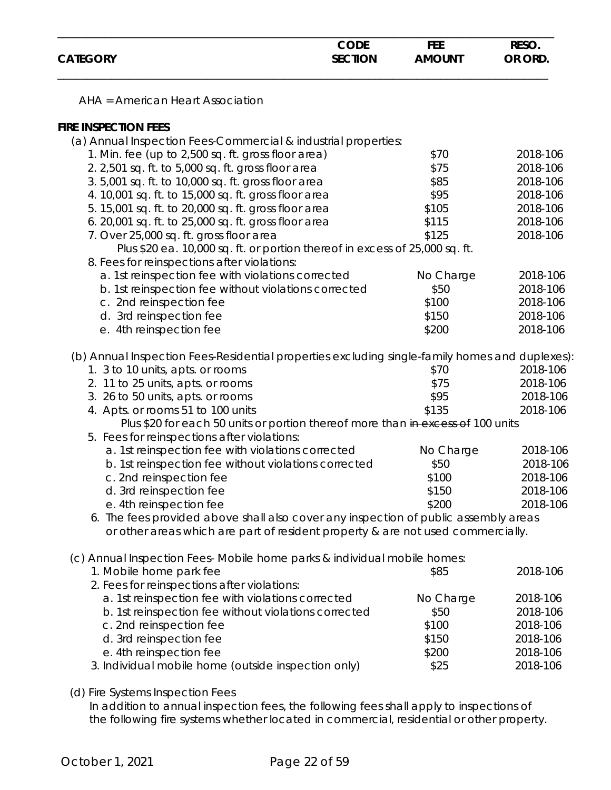|                 | <b>CODE</b>    | FEE           | RESO.   |
|-----------------|----------------|---------------|---------|
| <b>CATEGORY</b> | <b>SECTION</b> | <b>AMOUNT</b> | OR ORD. |
|                 |                |               |         |

AHA = American Heart Association

### **FIRE INSPECTION FEES**

| (a) Annual Inspection Fees-Commercial & industrial properties:                                 |           |          |
|------------------------------------------------------------------------------------------------|-----------|----------|
| 1. Min. fee (up to 2,500 sq. ft. gross floor area)                                             | \$70      | 2018-106 |
| 2. 2,501 sq. ft. to 5,000 sq. ft. gross floor area                                             | \$75      | 2018-106 |
| 3. 5,001 sq. ft. to 10,000 sq. ft. gross floor area                                            | \$85      | 2018-106 |
| 4. 10,001 sq. ft. to 15,000 sq. ft. gross floor area                                           | \$95      | 2018-106 |
| 5. 15,001 sq. ft. to 20,000 sq. ft. gross floor area                                           | \$105     | 2018-106 |
| 6. 20,001 sq. ft. to 25,000 sq. ft. gross floor area                                           | \$115     | 2018-106 |
| 7. Over 25,000 sq. ft. gross floor area                                                        | \$125     | 2018-106 |
| Plus \$20 ea. 10,000 sq. ft. or portion thereof in excess of 25,000 sq. ft.                    |           |          |
| 8. Fees for reinspections after violations:                                                    |           |          |
| a. 1st reinspection fee with violations corrected                                              | No Charge | 2018-106 |
| b. 1st reinspection fee without violations corrected                                           | \$50      | 2018-106 |
| c. 2nd reinspection fee                                                                        | \$100     | 2018-106 |
| d. 3rd reinspection fee                                                                        | \$150     | 2018-106 |
| e. 4th reinspection fee                                                                        | \$200     | 2018-106 |
|                                                                                                |           |          |
| (b) Annual Inspection Fees-Residential properties excluding single-family homes and duplexes): |           |          |
| 1. 3 to 10 units, apts. or rooms                                                               | \$70      | 2018-106 |
| 2. 11 to 25 units, apts. or rooms                                                              | \$75      | 2018-106 |
| 3. 26 to 50 units, apts. or rooms                                                              | \$95      | 2018-106 |
| 4. Apts. or rooms 51 to 100 units                                                              | \$135     | 2018-106 |
| Plus \$20 for each 50 units or portion thereof more than in excess of 100 units                |           |          |
| 5. Fees for reinspections after violations:                                                    |           |          |
| a. 1st reinspection fee with violations corrected                                              | No Charge | 2018-106 |
| b. 1st reinspection fee without violations corrected                                           | \$50      | 2018-106 |
| c. 2nd reinspection fee                                                                        | \$100     | 2018-106 |
| d. 3rd reinspection fee                                                                        | \$150     | 2018-106 |
| e. 4th reinspection fee                                                                        | \$200     | 2018-106 |
| 6. The fees provided above shall also cover any inspection of public assembly areas            |           |          |
| or other areas which are part of resident property & are not used commercially.                |           |          |
|                                                                                                |           |          |
| (c) Annual Inspection Fees-Mobile home parks & individual mobile homes:                        |           |          |
| 1. Mobile home park fee                                                                        | \$85      | 2018-106 |
| 2. Fees for reinspections after violations:                                                    |           | 2018-106 |
| a. 1st reinspection fee with violations corrected                                              | No Charge |          |
| b. 1st reinspection fee without violations corrected                                           | \$50      | 2018-106 |
| c. 2nd reinspection fee                                                                        | \$100     | 2018-106 |
| d. 3rd reinspection fee                                                                        | \$150     | 2018-106 |
| e. 4th reinspection fee                                                                        | \$200     | 2018-106 |
| 3. Individual mobile home (outside inspection only)                                            | \$25      | 2018-106 |

(d) Fire Systems Inspection Fees

In addition to annual inspection fees, the following fees shall apply to inspections of the following fire systems whether located in commercial, residential or other property.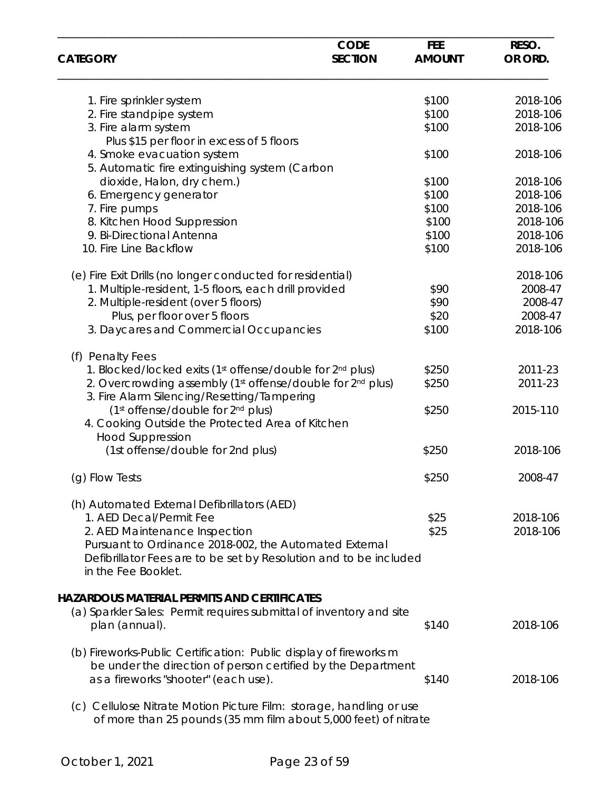|                                                                                                                                                    | <b>CODE</b>    | <b>FEE</b>    | RESO.    |
|----------------------------------------------------------------------------------------------------------------------------------------------------|----------------|---------------|----------|
| <b>CATEGORY</b>                                                                                                                                    | <b>SECTION</b> | <b>AMOUNT</b> | OR ORD.  |
| 1. Fire sprinkler system                                                                                                                           |                | \$100         | 2018-106 |
| 2. Fire standpipe system                                                                                                                           |                | \$100         | 2018-106 |
| 3. Fire alarm system                                                                                                                               |                | \$100         | 2018-106 |
| Plus \$15 per floor in excess of 5 floors                                                                                                          |                |               |          |
| 4. Smoke evacuation system                                                                                                                         |                | \$100         | 2018-106 |
| 5. Automatic fire extinguishing system (Carbon                                                                                                     |                |               |          |
| dioxide, Halon, dry chem.)                                                                                                                         |                | \$100         | 2018-106 |
| 6. Emergency generator                                                                                                                             |                | \$100         | 2018-106 |
| 7. Fire pumps                                                                                                                                      |                | \$100         | 2018-106 |
| 8. Kitchen Hood Suppression                                                                                                                        |                | \$100         | 2018-106 |
| 9. Bi-Directional Antenna                                                                                                                          |                | \$100         | 2018-106 |
| 10. Fire Line Backflow                                                                                                                             |                | \$100         | 2018-106 |
| (e) Fire Exit Drills (no longer conducted for residential)                                                                                         |                |               | 2018-106 |
| 1. Multiple-resident, 1-5 floors, each drill provided                                                                                              |                | \$90          | 2008-47  |
| 2. Multiple-resident (over 5 floors)                                                                                                               |                | \$90          | 2008-47  |
| Plus, per floor over 5 floors                                                                                                                      |                | \$20          | 2008-47  |
| 3. Daycares and Commercial Occupancies                                                                                                             |                | \$100         | 2018-106 |
| (f) Penalty Fees                                                                                                                                   |                |               |          |
| 1. Blocked/locked exits (1st offense/double for 2 <sup>nd</sup> plus)                                                                              |                | \$250         | 2011-23  |
| 2. Overcrowding assembly (1st offense/double for 2nd plus)<br>3. Fire Alarm Silencing/Resetting/Tampering                                          |                | \$250         | 2011-23  |
| (1st offense/double for 2nd plus)<br>4. Cooking Outside the Protected Area of Kitchen                                                              |                | \$250         | 2015-110 |
| <b>Hood Suppression</b>                                                                                                                            |                |               |          |
| (1st offense/double for 2nd plus)                                                                                                                  |                | \$250         | 2018-106 |
| (g) Flow Tests                                                                                                                                     |                | \$250         | 2008-47  |
| (h) Automated External Defibrillators (AED)                                                                                                        |                |               |          |
| 1. AED Decal/Permit Fee                                                                                                                            |                | \$25          | 2018-106 |
| 2. AED Maintenance Inspection                                                                                                                      |                | \$25          | 2018-106 |
| Pursuant to Ordinance 2018-002, the Automated External<br>Defibrillator Fees are to be set by Resolution and to be included<br>in the Fee Booklet. |                |               |          |
|                                                                                                                                                    |                |               |          |
| <b>HAZARDOUS MATERIAL PERMITS AND CERTIFICATES</b><br>(a) Sparkler Sales: Permit requires submittal of inventory and site                          |                |               |          |
| plan (annual).                                                                                                                                     |                | \$140         | 2018-106 |
| (b) Fireworks-Public Certification: Public display of fireworks m                                                                                  |                |               |          |
| be under the direction of person certified by the Department                                                                                       |                |               |          |
| as a fireworks "shooter" (each use).                                                                                                               |                | \$140         | 2018-106 |
| (c) Cellulose Nitrate Motion Picture Film: storage, handling or use<br>of more than 25 pounds (35 mm film about 5,000 feet) of nitrate             |                |               |          |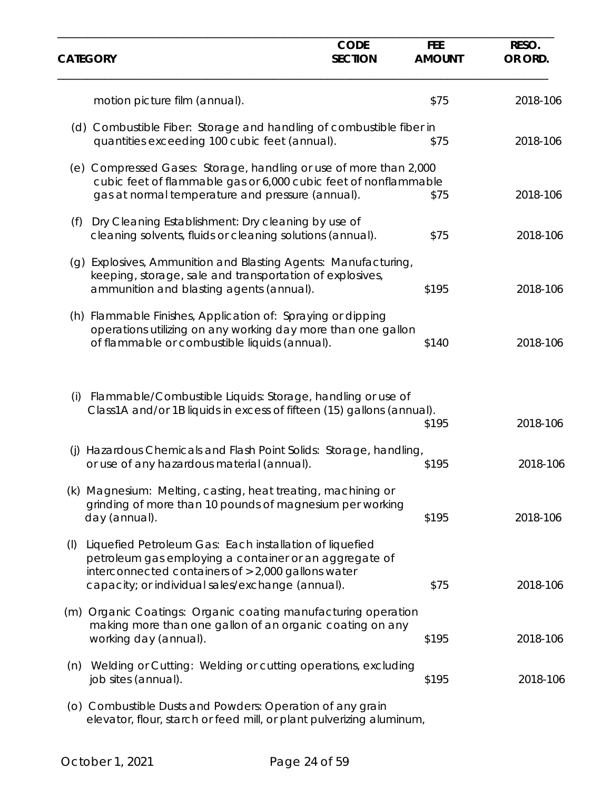| <b>CATEGORY</b> |                                                                                                                                                                                                                               | <b>CODE</b><br><b>SECTION</b> | <b>FEE</b><br><b>AMOUNT</b> | RESO.<br>OR ORD. |
|-----------------|-------------------------------------------------------------------------------------------------------------------------------------------------------------------------------------------------------------------------------|-------------------------------|-----------------------------|------------------|
|                 | motion picture film (annual).                                                                                                                                                                                                 |                               | \$75                        | 2018-106         |
|                 | (d) Combustible Fiber: Storage and handling of combustible fiber in<br>quantities exceeding 100 cubic feet (annual).                                                                                                          |                               | \$75                        | 2018-106         |
|                 | (e) Compressed Gases: Storage, handling or use of more than 2,000<br>cubic feet of flammable gas or 6,000 cubic feet of nonflammable<br>gas at normal temperature and pressure (annual).                                      |                               | \$75                        | 2018-106         |
| (f)             | Dry Cleaning Establishment: Dry cleaning by use of<br>cleaning solvents, fluids or cleaning solutions (annual).                                                                                                               |                               | \$75                        | 2018-106         |
|                 | (g) Explosives, Ammunition and Blasting Agents: Manufacturing,<br>keeping, storage, sale and transportation of explosives,<br>ammunition and blasting agents (annual).                                                        |                               | \$195                       | 2018-106         |
|                 | (h) Flammable Finishes, Application of: Spraying or dipping<br>operations utilizing on any working day more than one gallon<br>of flammable or combustible liquids (annual).                                                  |                               | \$140                       | 2018-106         |
| (i)             | Flammable/Combustible Liquids: Storage, handling or use of<br>Class1A and/or 1B liquids in excess of fifteen (15) gallons (annual).                                                                                           |                               | \$195                       | 2018-106         |
| (i)             | Hazardous Chemicals and Flash Point Solids: Storage, handling,<br>or use of any hazardous material (annual).                                                                                                                  |                               | \$195                       | 2018-106         |
|                 | (k) Magnesium: Melting, casting, heat treating, machining or<br>grinding of more than 10 pounds of magnesium per working<br>day (annual).                                                                                     |                               | \$195                       | 2018-106         |
| (1)             | Liquefied Petroleum Gas: Each installation of liquefied<br>petroleum gas employing a container or an aggregate of<br>interconnected containers of $> 2,000$ gallons water<br>capacity; or individual sales/exchange (annual). |                               | \$75                        | 2018-106         |
| (m)             | Organic Coatings: Organic coating manufacturing operation<br>making more than one gallon of an organic coating on any<br>working day (annual).                                                                                |                               | \$195                       | 2018-106         |
| (n)             | Welding or Cutting: Welding or cutting operations, excluding<br>job sites (annual).                                                                                                                                           |                               | \$195                       | 2018-106         |
|                 | (o) Combustible Dusts and Powders: Operation of any grain<br>elevator, flour, starch or feed mill, or plant pulverizing aluminum,                                                                                             |                               |                             |                  |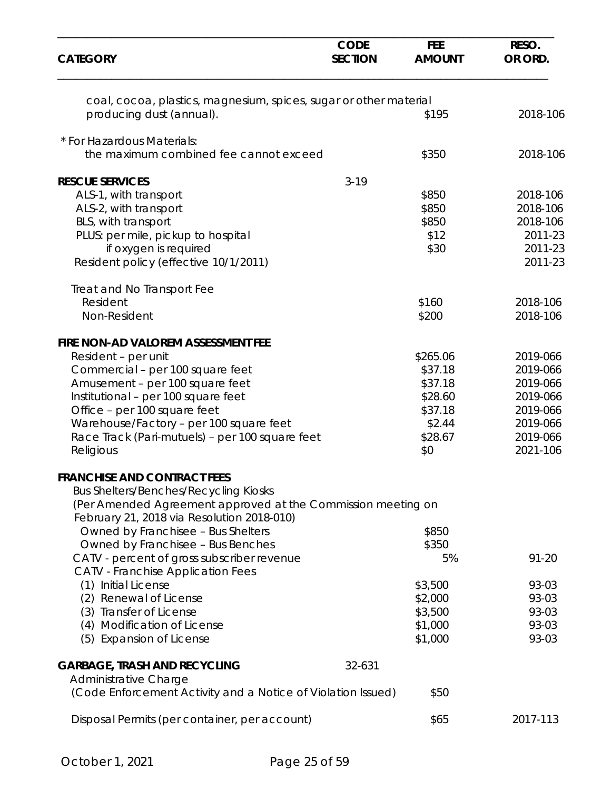| <b>CATEGORY</b>                                                                                            | <b>CODE</b><br><b>SECTION</b> | <b>FEE</b><br><b>AMOUNT</b> | RESO.<br>OR ORD. |
|------------------------------------------------------------------------------------------------------------|-------------------------------|-----------------------------|------------------|
| coal, cocoa, plastics, magnesium, spices, sugar or other material                                          |                               |                             |                  |
| producing dust (annual).                                                                                   |                               | \$195                       | 2018-106         |
| * For Hazardous Materials:                                                                                 |                               |                             |                  |
| the maximum combined fee cannot exceed                                                                     |                               | \$350                       | 2018-106         |
| <b>RESCUE SERVICES</b>                                                                                     | $3 - 19$                      |                             |                  |
| ALS-1, with transport                                                                                      |                               | \$850                       | 2018-106         |
| ALS-2, with transport                                                                                      |                               | \$850                       | 2018-106         |
| BLS, with transport                                                                                        |                               | \$850                       | 2018-106         |
| PLUS: per mile, pickup to hospital                                                                         |                               | \$12                        | 2011-23          |
| if oxygen is required                                                                                      |                               | \$30                        | 2011-23          |
| Resident policy (effective 10/1/2011)                                                                      |                               |                             | 2011-23          |
| Treat and No Transport Fee                                                                                 |                               |                             |                  |
| Resident                                                                                                   |                               | \$160                       | 2018-106         |
| Non-Resident                                                                                               |                               | \$200                       | 2018-106         |
| FIRE NON-AD VALOREM ASSESSMENT FEE                                                                         |                               |                             |                  |
| Resident - per unit                                                                                        |                               | \$265.06                    | 2019-066         |
| Commercial - per 100 square feet                                                                           |                               | \$37.18                     | 2019-066         |
| Amusement - per 100 square feet                                                                            |                               | \$37.18                     | 2019-066         |
| Institutional - per 100 square feet                                                                        |                               | \$28.60                     | 2019-066         |
| Office - per 100 square feet                                                                               |                               | \$37.18                     | 2019-066         |
| Warehouse/Factory - per 100 square feet                                                                    |                               | \$2.44                      | 2019-066         |
| Race Track (Pari-mutuels) - per 100 square feet                                                            |                               | \$28.67                     | 2019-066         |
| Religious                                                                                                  |                               | \$0                         | 2021-106         |
| <b>FRANCHISE AND CONTRACT FEES</b>                                                                         |                               |                             |                  |
| <b>Bus Shelters/Benches/Recycling Kiosks</b>                                                               |                               |                             |                  |
| (Per Amended Agreement approved at the Commission meeting on<br>February 21, 2018 via Resolution 2018-010) |                               |                             |                  |
| Owned by Franchisee - Bus Shelters                                                                         |                               | \$850                       |                  |
| Owned by Franchisee - Bus Benches                                                                          |                               | \$350                       |                  |
| CATV - percent of gross subscriber revenue                                                                 |                               | 5%                          | $91 - 20$        |
| <b>CATV</b> - Franchise Application Fees                                                                   |                               |                             |                  |
| (1) Initial License                                                                                        |                               | \$3,500                     | 93-03            |
| (2) Renewal of License                                                                                     |                               | \$2,000                     | 93-03            |
| (3) Transfer of License                                                                                    |                               | \$3,500                     | 93-03            |
| (4) Modification of License                                                                                |                               | \$1,000                     | 93-03            |
| (5) Expansion of License                                                                                   |                               | \$1,000                     | 93-03            |
| <b>GARBAGE, TRASH AND RECYCLING</b>                                                                        | 32-631                        |                             |                  |
| Administrative Charge<br>(Code Enforcement Activity and a Notice of Violation Issued)                      |                               | \$50                        |                  |
|                                                                                                            |                               |                             |                  |
| Disposal Permits (per container, per account)                                                              |                               | \$65                        | 2017-113         |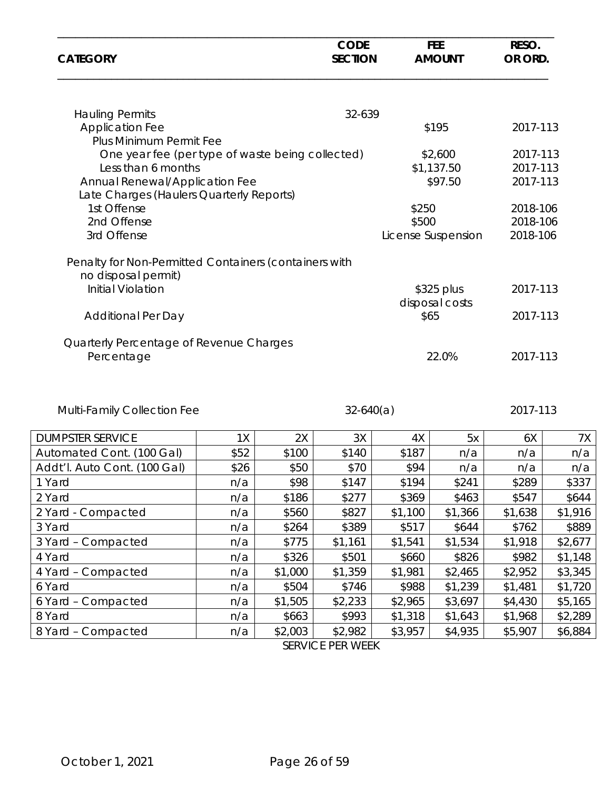| <b>CATEGORY</b>                                                              |      |         | <b>CODE</b><br><b>SECTION</b> |         | <b>FEE</b><br><b>AMOUNT</b> | RESO.<br>OR ORD.     |         |
|------------------------------------------------------------------------------|------|---------|-------------------------------|---------|-----------------------------|----------------------|---------|
| <b>Hauling Permits</b>                                                       |      |         | 32-639                        |         |                             |                      |         |
| <b>Application Fee</b>                                                       |      |         |                               |         | \$195                       | 2017-113             |         |
| Plus Minimum Permit Fee                                                      |      |         |                               |         |                             |                      |         |
| One year fee (per type of waste being collected)<br>Less than 6 months       |      |         |                               |         | \$2,600<br>\$1,137.50       | 2017-113<br>2017-113 |         |
| Annual Renewal/Application Fee                                               |      |         |                               |         | \$97.50                     | 2017-113             |         |
| Late Charges (Haulers Quarterly Reports)                                     |      |         |                               |         |                             |                      |         |
| 1st Offense                                                                  |      |         |                               | \$250   |                             | 2018-106             |         |
| 2nd Offense                                                                  |      |         |                               | \$500   |                             | 2018-106             |         |
| 3rd Offense                                                                  |      |         |                               |         | License Suspension          | 2018-106             |         |
| Penalty for Non-Permitted Containers (containers with<br>no disposal permit) |      |         |                               |         |                             |                      |         |
| <b>Initial Violation</b>                                                     |      |         |                               |         | \$325 plus                  | 2017-113             |         |
|                                                                              |      |         |                               |         | disposal costs              |                      |         |
| <b>Additional Per Day</b>                                                    |      |         |                               | \$65    |                             | 2017-113             |         |
| Quarterly Percentage of Revenue Charges<br>Percentage                        |      |         |                               |         | 22.0%                       | 2017-113             |         |
| Multi-Family Collection Fee                                                  |      |         | $32-640(a)$                   |         |                             | 2017-113             |         |
| <b>DUMPSTER SERVICE</b>                                                      | 1X   | 2X      | 3X                            | 4X      | 5x                          | 6X                   | 7X      |
| Automated Cont. (100 Gal)                                                    | \$52 | \$100   | \$140                         | \$187   | n/a                         | n/a                  | n/a     |
| Addt'l. Auto Cont. (100 Gal)                                                 | \$26 | \$50    | \$70                          | \$94    | n/a                         | n/a                  | n/a     |
| 1 Yard                                                                       | n/a  | \$98    | \$147                         | \$194   | \$241                       | \$289                | \$337   |
| 2 Yard                                                                       | n/a  | \$186   | \$277                         | \$369   | \$463                       | \$547                | \$644   |
| 2 Yard - Compacted                                                           | n/a  | \$560   | \$827                         | \$1,100 | \$1,366                     | \$1,638              | \$1,916 |
| 3 Yard                                                                       | n/a  | \$264   | \$389                         | \$517   | \$644                       | \$762                | \$889   |
| 3 Yard - Compacted                                                           | n/a  | \$775   | \$1,161                       | \$1,541 | \$1,534                     | \$1,918              | \$2,677 |
| 4 Yard                                                                       | n/a  | \$326   | \$501                         | \$660   | \$826                       | \$982                | \$1,148 |
| 4 Yard - Compacted                                                           | n/a  | \$1,000 | \$1,359                       | \$1,981 | \$2,465                     | \$2,952              | \$3,345 |
| 6 Yard                                                                       | n/a  | \$504   | \$746                         | \$988   | \$1,239                     | \$1,481              | \$1,720 |
| 6 Yard - Compacted                                                           | n/a  | \$1,505 | \$2,233                       | \$2,965 | \$3,697                     | \$4,430              | \$5,165 |

8 Yard – Compacted | n/a | \$2,003 | \$2,982 | \$3,957 | \$4,935 | \$5,907 | \$6,884 2,003 \$2,982 SERVICE PER WEEK

8 Yard n/a | \$663 | \$993 | \$1,318 | \$1,643 | \$1,968 | \$2,289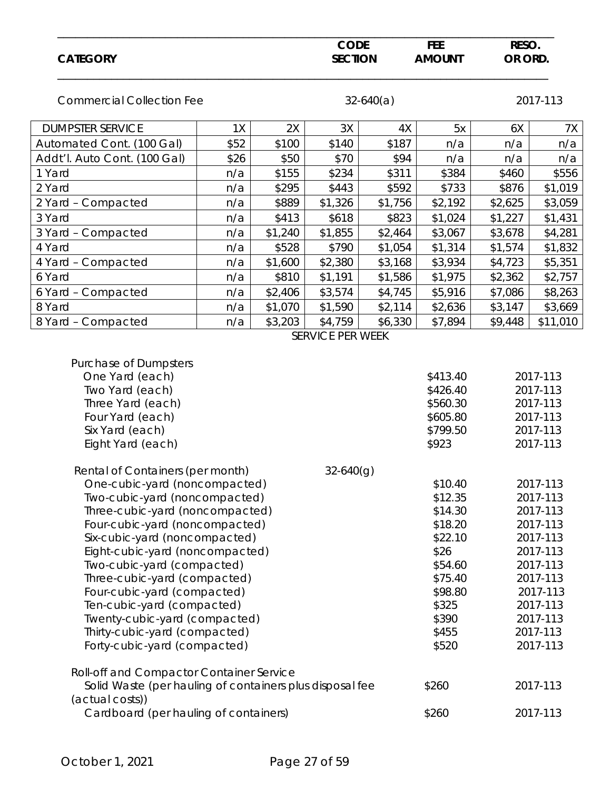| <b>CATEGORY</b>                                                                                                                                                                                                                                                                                                                                                                                                                                                                                                      |      |         | <b>CODE</b><br><b>SECTION</b> |             | <b>FEE</b><br><b>AMOUNT</b>                                                                                                      | RESO.<br>OR ORD. |                                                                                                                                                          |
|----------------------------------------------------------------------------------------------------------------------------------------------------------------------------------------------------------------------------------------------------------------------------------------------------------------------------------------------------------------------------------------------------------------------------------------------------------------------------------------------------------------------|------|---------|-------------------------------|-------------|----------------------------------------------------------------------------------------------------------------------------------|------------------|----------------------------------------------------------------------------------------------------------------------------------------------------------|
| <b>Commercial Collection Fee</b>                                                                                                                                                                                                                                                                                                                                                                                                                                                                                     |      |         |                               | $32-640(a)$ |                                                                                                                                  |                  | 2017-113                                                                                                                                                 |
| <b>DUMPSTER SERVICE</b>                                                                                                                                                                                                                                                                                                                                                                                                                                                                                              | 1X   | 2X      | 3X                            | 4X          | 5x                                                                                                                               | 6X               | 7X                                                                                                                                                       |
| Automated Cont. (100 Gal)                                                                                                                                                                                                                                                                                                                                                                                                                                                                                            | \$52 | \$100   | \$140                         | \$187       | n/a                                                                                                                              | n/a              | n/a                                                                                                                                                      |
| Addt'l. Auto Cont. (100 Gal)                                                                                                                                                                                                                                                                                                                                                                                                                                                                                         | \$26 | \$50    | \$70                          | \$94        | n/a                                                                                                                              | n/a              | n/a                                                                                                                                                      |
| 1 Yard                                                                                                                                                                                                                                                                                                                                                                                                                                                                                                               | n/a  | \$155   | \$234                         | \$311       | \$384                                                                                                                            | \$460            | \$556                                                                                                                                                    |
| 2 Yard                                                                                                                                                                                                                                                                                                                                                                                                                                                                                                               | n/a  | \$295   | \$443                         | \$592       | \$733                                                                                                                            | \$876            | \$1,019                                                                                                                                                  |
| 2 Yard - Compacted                                                                                                                                                                                                                                                                                                                                                                                                                                                                                                   | n/a  | \$889   | \$1,326                       | \$1,756     | \$2,192                                                                                                                          | \$2,625          | \$3,059                                                                                                                                                  |
| 3 Yard                                                                                                                                                                                                                                                                                                                                                                                                                                                                                                               | n/a  | \$413   | \$618                         | \$823       | \$1,024                                                                                                                          | \$1,227          | \$1,431                                                                                                                                                  |
| 3 Yard - Compacted                                                                                                                                                                                                                                                                                                                                                                                                                                                                                                   | n/a  | \$1,240 | \$1,855                       | \$2,464     | \$3,067                                                                                                                          | \$3,678          | \$4,281                                                                                                                                                  |
| 4 Yard                                                                                                                                                                                                                                                                                                                                                                                                                                                                                                               | n/a  | \$528   | \$790                         | \$1,054     | \$1,314                                                                                                                          | \$1,574          | \$1,832                                                                                                                                                  |
| 4 Yard - Compacted                                                                                                                                                                                                                                                                                                                                                                                                                                                                                                   | n/a  | \$1,600 | \$2,380                       | \$3,168     | \$3,934                                                                                                                          | \$4,723          | \$5,351                                                                                                                                                  |
| 6 Yard                                                                                                                                                                                                                                                                                                                                                                                                                                                                                                               | n/a  | \$810   | \$1,191                       | \$1,586     | \$1,975                                                                                                                          | \$2,362          | \$2,757                                                                                                                                                  |
| 6 Yard - Compacted                                                                                                                                                                                                                                                                                                                                                                                                                                                                                                   | n/a  | \$2,406 | \$3,574                       | \$4,745     | \$5,916                                                                                                                          | \$7,086          | \$8,263                                                                                                                                                  |
| 8 Yard                                                                                                                                                                                                                                                                                                                                                                                                                                                                                                               | n/a  | \$1,070 | \$1,590                       | \$2,114     | \$2,636                                                                                                                          | \$3,147          | \$3,669                                                                                                                                                  |
| 8 Yard - Compacted                                                                                                                                                                                                                                                                                                                                                                                                                                                                                                   | n/a  | \$3,203 | \$4,759<br>SERVICE PER WEEK   | \$6,330     | \$7,894                                                                                                                          | \$9,448          | \$11,010                                                                                                                                                 |
| Two Yard (each)<br>Three Yard (each)<br>Four Yard (each)<br>Six Yard (each)<br>Eight Yard (each)                                                                                                                                                                                                                                                                                                                                                                                                                     |      |         |                               |             | \$426.40<br>\$560.30<br>\$605.80<br>\$799.50<br>\$923                                                                            |                  | 2017-113<br>2017-113<br>2017-113<br>2017-113<br>2017-113                                                                                                 |
| Rental of Containers (per month)<br>One-cubic-yard (noncompacted)<br>Two-cubic-yard (noncompacted)<br>Three-cubic-yard (noncompacted)<br>Four-cubic-yard (noncompacted)<br>Six-cubic-yard (noncompacted)<br>Eight-cubic-yard (noncompacted)<br>Two-cubic-yard (compacted)<br>Three-cubic-yard (compacted)<br>Four-cubic-yard (compacted)<br>Ten-cubic-yard (compacted)<br>Twenty-cubic-yard (compacted)<br>Thirty-cubic-yard (compacted)<br>Forty-cubic-yard (compacted)<br>Roll-off and Compactor Container Service |      |         | 32-640(g)                     |             | \$10.40<br>\$12.35<br>\$14.30<br>\$18.20<br>\$22.10<br>\$26<br>\$54.60<br>\$75.40<br>\$98.80<br>\$325<br>\$390<br>\$455<br>\$520 |                  | 2017-113<br>2017-113<br>2017-113<br>2017-113<br>2017-113<br>2017-113<br>2017-113<br>2017-113<br>2017-113<br>2017-113<br>2017-113<br>2017-113<br>2017-113 |
| Solid Waste (per hauling of containers plus disposal fee<br>(actual costs))<br>Cardboard (per hauling of containers)                                                                                                                                                                                                                                                                                                                                                                                                 |      |         |                               |             | \$260<br>\$260                                                                                                                   |                  | 2017-113<br>2017-113                                                                                                                                     |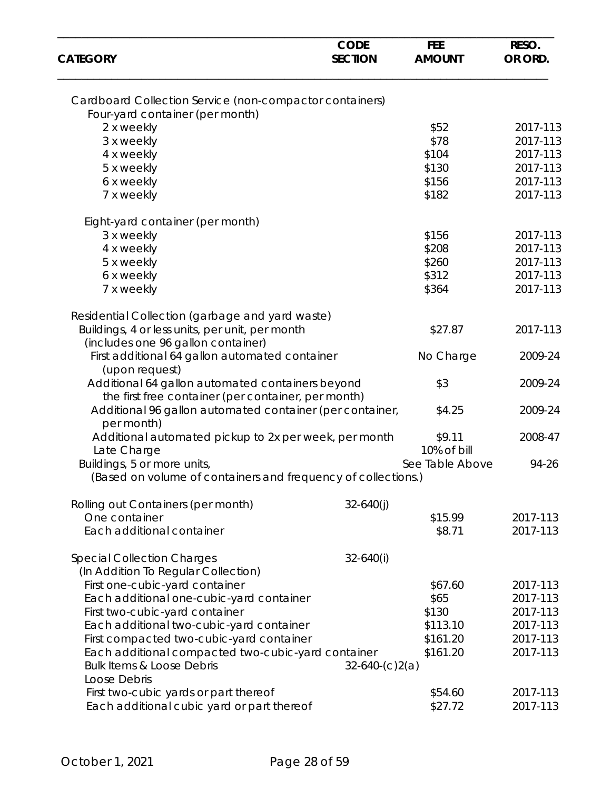| <b>CATEGORY</b>                                                                                    | <b>CODE</b><br><b>SECTION</b> | <b>FEE</b><br><b>AMOUNT</b> | RESO.<br>OR ORD. |
|----------------------------------------------------------------------------------------------------|-------------------------------|-----------------------------|------------------|
| Cardboard Collection Service (non-compactor containers)                                            |                               |                             |                  |
| Four-yard container (per month)                                                                    |                               |                             |                  |
| 2 x weekly                                                                                         |                               | \$52                        | 2017-113         |
| 3 x weekly                                                                                         |                               | \$78                        | 2017-113         |
| 4 x weekly                                                                                         |                               | \$104                       | 2017-113         |
| 5 x weekly                                                                                         |                               | \$130                       | 2017-113         |
| 6 x weekly                                                                                         |                               | \$156                       | 2017-113         |
| 7 x weekly                                                                                         |                               | \$182                       | 2017-113         |
| Eight-yard container (per month)                                                                   |                               |                             |                  |
| 3 x weekly                                                                                         |                               | \$156                       | 2017-113         |
| 4 x weekly                                                                                         |                               | \$208                       | 2017-113         |
| 5 x weekly                                                                                         |                               | \$260                       | 2017-113         |
| 6 x weekly                                                                                         |                               | \$312                       | 2017-113         |
| 7 x weekly                                                                                         |                               | \$364                       | 2017-113         |
|                                                                                                    |                               |                             |                  |
| Residential Collection (garbage and yard waste)<br>Buildings, 4 or less units, per unit, per month |                               | \$27.87                     | 2017-113         |
| (includes one 96 gallon container)                                                                 |                               |                             |                  |
| First additional 64 gallon automated container                                                     |                               | No Charge                   | 2009-24          |
| (upon request)                                                                                     |                               |                             |                  |
| Additional 64 gallon automated containers beyond                                                   |                               | \$3                         | 2009-24          |
|                                                                                                    |                               |                             |                  |
| the first free container (per container, per month)                                                |                               |                             |                  |
| Additional 96 gallon automated container (per container,<br>per month)                             |                               | \$4.25                      | 2009-24          |
| Additional automated pickup to 2x per week, per month                                              |                               | \$9.11                      | 2008-47          |
| Late Charge                                                                                        |                               | 10% of bill                 |                  |
| Buildings, 5 or more units,                                                                        |                               | See Table Above             | 94-26            |
| (Based on volume of containers and frequency of collections.)                                      |                               |                             |                  |
| Rolling out Containers (per month)                                                                 | $32 - 640(j)$                 |                             |                  |
| One container                                                                                      |                               | \$15.99                     | 2017-113         |
| Each additional container                                                                          |                               | \$8.71                      | 2017-113         |
| <b>Special Collection Charges</b>                                                                  | $32 - 640(i)$                 |                             |                  |
| (In Addition To Regular Collection)                                                                |                               |                             |                  |
|                                                                                                    |                               | \$67.60                     |                  |
| First one-cubic-yard container                                                                     |                               |                             | 2017-113         |
| Each additional one-cubic-yard container                                                           |                               | \$65                        | 2017-113         |
| First two-cubic-yard container                                                                     |                               | \$130                       | 2017-113         |
| Each additional two-cubic-yard container                                                           |                               | \$113.10                    | 2017-113         |
| First compacted two-cubic-yard container                                                           |                               | \$161.20                    | 2017-113         |
| Each additional compacted two-cubic-yard container                                                 |                               | \$161.20                    | 2017-113         |
| <b>Bulk Items &amp; Loose Debris</b>                                                               | $32-640-(c)2(a)$              |                             |                  |
| Loose Debris                                                                                       |                               |                             |                  |
| First two-cubic yards or part thereof                                                              |                               | \$54.60                     | 2017-113         |
| Each additional cubic yard or part thereof                                                         |                               | \$27.72                     | 2017-113         |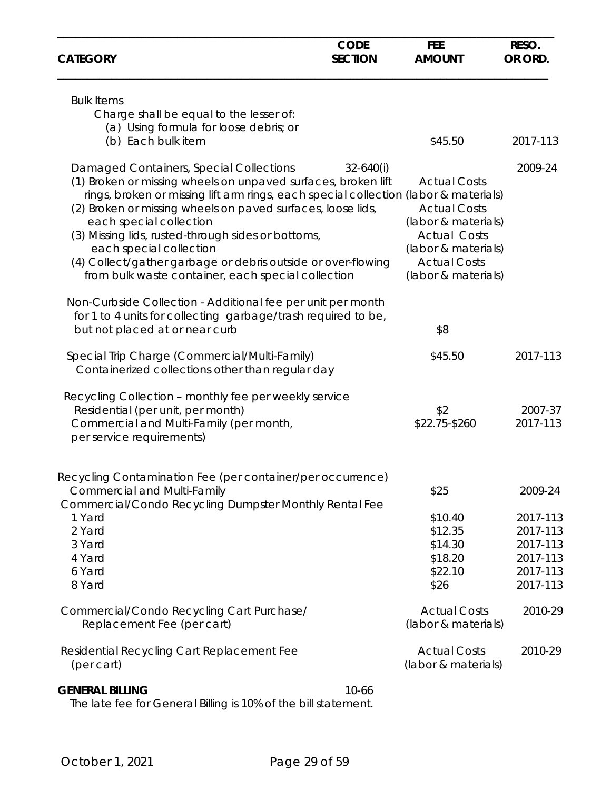| <b>CATEGORY</b>                                                                                                                                                                                                                                                                                                                                                                                                                                                                                   | <b>CODE</b><br><b>SECTION</b> | <b>FEE</b><br><b>AMOUNT</b>                                                                                                                                   | RESO.<br>OR ORD.                                                     |
|---------------------------------------------------------------------------------------------------------------------------------------------------------------------------------------------------------------------------------------------------------------------------------------------------------------------------------------------------------------------------------------------------------------------------------------------------------------------------------------------------|-------------------------------|---------------------------------------------------------------------------------------------------------------------------------------------------------------|----------------------------------------------------------------------|
| <b>Bulk Items</b><br>Charge shall be equal to the lesser of:<br>(a) Using formula for loose debris; or<br>(b) Each bulk item                                                                                                                                                                                                                                                                                                                                                                      |                               | \$45.50                                                                                                                                                       | 2017-113                                                             |
|                                                                                                                                                                                                                                                                                                                                                                                                                                                                                                   |                               |                                                                                                                                                               |                                                                      |
| Damaged Containers, Special Collections<br>(1) Broken or missing wheels on unpaved surfaces, broken lift<br>rings, broken or missing lift arm rings, each special collection (labor & materials)<br>(2) Broken or missing wheels on paved surfaces, loose lids,<br>each special collection<br>(3) Missing lids, rusted-through sides or bottoms,<br>each special collection<br>(4) Collect/gather garbage or debris outside or over-flowing<br>from bulk waste container, each special collection | $32 - 640(i)$                 | <b>Actual Costs</b><br><b>Actual Costs</b><br>(labor & materials)<br><b>Actual Costs</b><br>(labor & materials)<br><b>Actual Costs</b><br>(labor & materials) | 2009-24                                                              |
| Non-Curbside Collection - Additional fee per unit per month<br>for 1 to 4 units for collecting garbage/trash required to be,<br>but not placed at or near curb                                                                                                                                                                                                                                                                                                                                    |                               | \$8                                                                                                                                                           |                                                                      |
| Special Trip Charge (Commercial/Multi-Family)<br>Containerized collections other than regular day                                                                                                                                                                                                                                                                                                                                                                                                 |                               | \$45.50                                                                                                                                                       | 2017-113                                                             |
| Recycling Collection - monthly fee per weekly service<br>Residential (per unit, per month)<br>Commercial and Multi-Family (per month,<br>per service requirements)                                                                                                                                                                                                                                                                                                                                |                               | \$2<br>\$22.75-\$260                                                                                                                                          | 2007-37<br>2017-113                                                  |
| Recycling Contamination Fee (per container/per occurrence)<br><b>Commercial and Multi-Family</b><br>Commercial/Condo Recycling Dumpster Monthly Rental Fee                                                                                                                                                                                                                                                                                                                                        |                               | \$25                                                                                                                                                          | 2009-24                                                              |
| 1 Yard<br>2 Yard<br>3 Yard<br>4 Yard<br>6 Yard<br>8 Yard                                                                                                                                                                                                                                                                                                                                                                                                                                          |                               | \$10.40<br>\$12.35<br>\$14.30<br>\$18.20<br>\$22.10<br>\$26                                                                                                   | 2017-113<br>2017-113<br>2017-113<br>2017-113<br>2017-113<br>2017-113 |
| Commercial/Condo Recycling Cart Purchase/<br>Replacement Fee (per cart)                                                                                                                                                                                                                                                                                                                                                                                                                           |                               | <b>Actual Costs</b><br>(labor & materials)                                                                                                                    | 2010-29                                                              |
| Residential Recycling Cart Replacement Fee<br>(per cart)                                                                                                                                                                                                                                                                                                                                                                                                                                          |                               | <b>Actual Costs</b><br>(labor & materials)                                                                                                                    | 2010-29                                                              |
| <b>GENERAL BILLING</b>                                                                                                                                                                                                                                                                                                                                                                                                                                                                            | 10-66                         |                                                                                                                                                               |                                                                      |

The late fee for General Billing is 10% of the bill statement.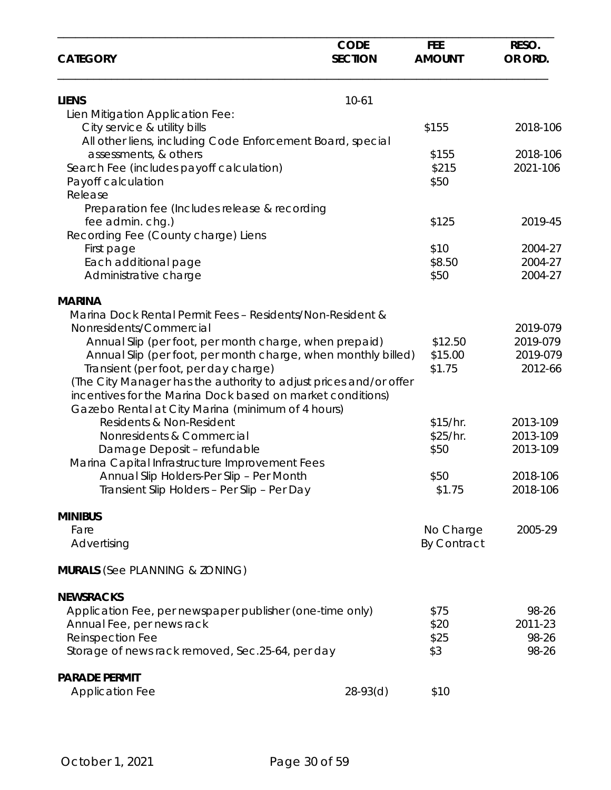| <b>CATEGORY</b>                                                                                                                                                                                                                                                                                                                                                                                                                                                  | <b>CODE</b><br><b>SECTION</b> | <b>FEE</b><br><b>AMOUNT</b>          | RESO.<br>OR ORD.                             |
|------------------------------------------------------------------------------------------------------------------------------------------------------------------------------------------------------------------------------------------------------------------------------------------------------------------------------------------------------------------------------------------------------------------------------------------------------------------|-------------------------------|--------------------------------------|----------------------------------------------|
| <b>LIENS</b>                                                                                                                                                                                                                                                                                                                                                                                                                                                     | $10 - 61$                     |                                      |                                              |
| Lien Mitigation Application Fee:<br>City service & utility bills<br>All other liens, including Code Enforcement Board, special                                                                                                                                                                                                                                                                                                                                   |                               | \$155                                | 2018-106                                     |
| assessments, & others<br>Search Fee (includes payoff calculation)<br>Payoff calculation<br>Release                                                                                                                                                                                                                                                                                                                                                               |                               | \$155<br>\$215<br>\$50               | 2018-106<br>2021-106                         |
| Preparation fee (Includes release & recording<br>fee admin. chg.)<br>Recording Fee (County charge) Liens                                                                                                                                                                                                                                                                                                                                                         |                               | \$125                                | 2019-45                                      |
| First page<br>Each additional page<br>Administrative charge                                                                                                                                                                                                                                                                                                                                                                                                      |                               | \$10<br>\$8.50<br>\$50               | 2004-27<br>2004-27<br>2004-27                |
| <b>MARINA</b><br>Marina Dock Rental Permit Fees - Residents/Non-Resident &<br>Nonresidents/Commercial<br>Annual Slip (per foot, per month charge, when prepaid)<br>Annual Slip (per foot, per month charge, when monthly billed)<br>Transient (per foot, per day charge)<br>(The City Manager has the authority to adjust prices and/or offer<br>incentives for the Marina Dock based on market conditions)<br>Gazebo Rental at City Marina (minimum of 4 hours) |                               | \$12.50<br>\$15.00<br>\$1.75         | 2019-079<br>2019-079<br>2019-079<br>2012-66  |
| Residents & Non-Resident<br>Nonresidents & Commercial<br>Damage Deposit - refundable<br>Marina Capital Infrastructure Improvement Fees<br>Annual Slip Holders-Per Slip - Per Month                                                                                                                                                                                                                                                                               |                               | \$15/hr.<br>\$25/hr.<br>\$50<br>\$50 | 2013-109<br>2013-109<br>2013-109<br>2018-106 |
| Transient Slip Holders - Per Slip - Per Day                                                                                                                                                                                                                                                                                                                                                                                                                      |                               | \$1.75                               | 2018-106                                     |
| <b>MINIBUS</b><br>Fare<br>Advertising                                                                                                                                                                                                                                                                                                                                                                                                                            |                               | No Charge<br><b>By Contract</b>      | 2005-29                                      |
| <b>MURALS</b> (See PLANNING & ZONING)                                                                                                                                                                                                                                                                                                                                                                                                                            |                               |                                      |                                              |
| <b>NEWSRACKS</b><br>Application Fee, per newspaper publisher (one-time only)<br>Annual Fee, per news rack<br>Reinspection Fee<br>Storage of news rack removed, Sec.25-64, per day                                                                                                                                                                                                                                                                                |                               | \$75<br>\$20<br>\$25<br>\$3          | 98-26<br>2011-23<br>98-26<br>98-26           |
| <b>PARADE PERMIT</b><br><b>Application Fee</b>                                                                                                                                                                                                                                                                                                                                                                                                                   | $28-93(d)$                    | \$10                                 |                                              |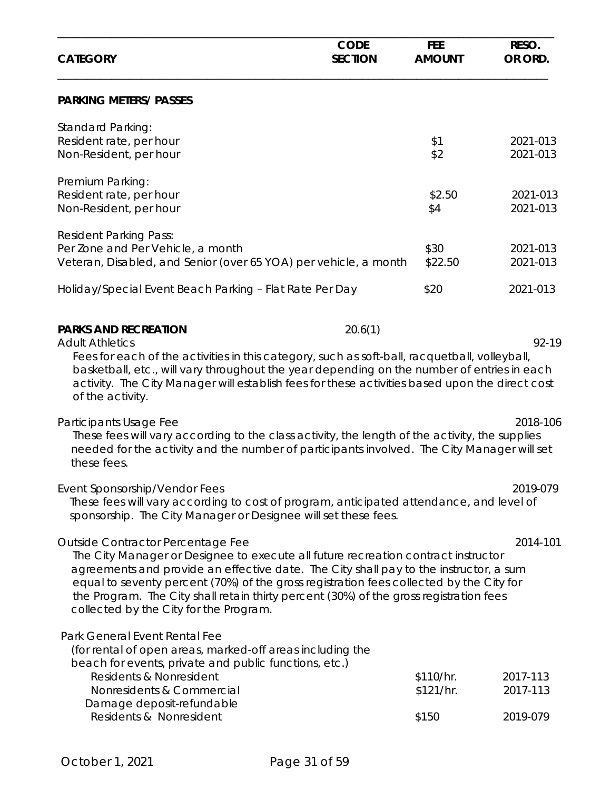| <b>CATEGORY</b>                                                                                                                                                                                                                                                                                                                                                                                                                                | <b>CODE</b><br><b>SECTION</b> | <b>FEE</b><br><b>AMOUNT</b>     | RESO.<br>OR ORD.                 |
|------------------------------------------------------------------------------------------------------------------------------------------------------------------------------------------------------------------------------------------------------------------------------------------------------------------------------------------------------------------------------------------------------------------------------------------------|-------------------------------|---------------------------------|----------------------------------|
| <b>PARKING METERS/ PASSES</b>                                                                                                                                                                                                                                                                                                                                                                                                                  |                               |                                 |                                  |
| <b>Standard Parking:</b><br>Resident rate, per hour<br>Non-Resident, per hour                                                                                                                                                                                                                                                                                                                                                                  |                               | \$1<br>\$2                      | 2021-013<br>2021-013             |
| Premium Parking:<br>Resident rate, per hour<br>Non-Resident, per hour                                                                                                                                                                                                                                                                                                                                                                          |                               | \$2.50<br>\$4                   | 2021-013<br>2021-013             |
| <b>Resident Parking Pass:</b><br>Per Zone and Per Vehicle, a month<br>Veteran, Disabled, and Senior (over 65 YOA) per vehicle, a month                                                                                                                                                                                                                                                                                                         |                               | \$30<br>\$22.50                 | 2021-013<br>2021-013             |
| Holiday/Special Event Beach Parking - Flat Rate Per Day                                                                                                                                                                                                                                                                                                                                                                                        |                               | \$20                            | 2021-013                         |
| <b>PARKS AND RECREATION</b><br><b>Adult Athletics</b><br>Fees for each of the activities in this category, such as soft-ball, racquetball, volleyball,<br>basketball, etc., will vary throughout the year depending on the number of entries in each<br>activity. The City Manager will establish fees for these activities based upon the direct cost<br>of the activity.                                                                     | 20.6(1)                       |                                 | 92-19                            |
| Participants Usage Fee<br>These fees will vary according to the class activity, the length of the activity, the supplies<br>needed for the activity and the number of participants involved. The City Manager will set<br>these fees.                                                                                                                                                                                                          |                               |                                 | 2018-106                         |
| Event Sponsorship/Vendor Fees<br>These fees will vary according to cost of program, anticipated attendance, and level of<br>sponsorship. The City Manager or Designee will set these fees.                                                                                                                                                                                                                                                     |                               |                                 | 2019-079                         |
| Outside Contractor Percentage Fee<br>The City Manager or Designee to execute all future recreation contract instructor<br>agreements and provide an effective date. The City shall pay to the instructor, a sum<br>equal to seventy percent (70%) of the gross registration fees collected by the City for<br>the Program. The City shall retain thirty percent (30%) of the gross registration fees<br>collected by the City for the Program. |                               |                                 | 2014-101                         |
| Park General Event Rental Fee<br>(for rental of open areas, marked-off areas including the<br>beach for events, private and public functions, etc.)<br>Residents & Nonresident<br>Nonresidents & Commercial<br>Damage deposit-refundable<br>Residents & Nonresident                                                                                                                                                                            |                               | \$110/hr.<br>\$121/hr.<br>\$150 | 2017-113<br>2017-113<br>2019-079 |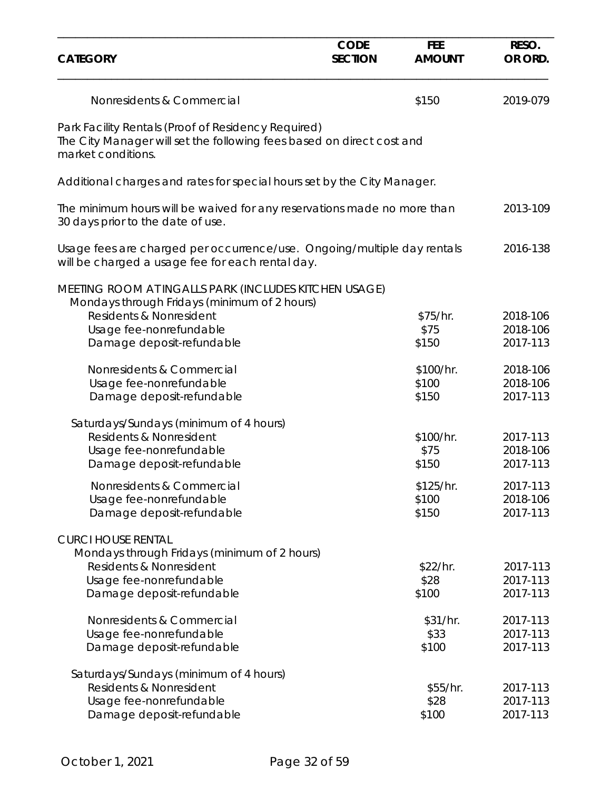| <b>CATEGORY</b>                                                                                                                                              | <b>CODE</b><br><b>SECTION</b> | <b>FEE</b><br><b>AMOUNT</b> | RESO.<br>OR ORD.                 |
|--------------------------------------------------------------------------------------------------------------------------------------------------------------|-------------------------------|-----------------------------|----------------------------------|
| Nonresidents & Commercial                                                                                                                                    |                               | \$150                       | 2019-079                         |
| Park Facility Rentals (Proof of Residency Required)<br>The City Manager will set the following fees based on direct cost and<br>market conditions.           |                               |                             |                                  |
| Additional charges and rates for special hours set by the City Manager.                                                                                      |                               |                             |                                  |
| The minimum hours will be waived for any reservations made no more than<br>30 days prior to the date of use.                                                 |                               |                             | 2013-109                         |
| Usage fees are charged per occurrence/use. Ongoing/multiple day rentals<br>will be charged a usage fee for each rental day.                                  |                               |                             | 2016-138                         |
| MEETING ROOM AT INGALLS PARK (INCLUDES KITCHEN USAGE)<br>Mondays through Fridays (minimum of 2 hours)<br>Residents & Nonresident<br>Usage fee-nonrefundable  |                               | \$75/hr.<br>\$75            | 2018-106<br>2018-106             |
| Damage deposit-refundable                                                                                                                                    |                               | \$150                       | 2017-113                         |
| Nonresidents & Commercial<br>Usage fee-nonrefundable<br>Damage deposit-refundable                                                                            |                               | \$100/hr.<br>\$100<br>\$150 | 2018-106<br>2018-106<br>2017-113 |
| Saturdays/Sundays (minimum of 4 hours)<br>Residents & Nonresident<br>Usage fee-nonrefundable<br>Damage deposit-refundable                                    |                               | \$100/hr.<br>\$75<br>\$150  | 2017-113<br>2018-106<br>2017-113 |
| Nonresidents & Commercial<br>Usage fee-nonrefundable<br>Damage deposit-refundable                                                                            |                               | \$125/hr.<br>\$100<br>\$150 | 2017-113<br>2018-106<br>2017-113 |
| <b>CURCI HOUSE RENTAL</b><br>Mondays through Fridays (minimum of 2 hours)<br>Residents & Nonresident<br>Usage fee-nonrefundable<br>Damage deposit-refundable |                               | \$22/hr.<br>\$28<br>\$100   | 2017-113<br>2017-113<br>2017-113 |
| Nonresidents & Commercial<br>Usage fee-nonrefundable<br>Damage deposit-refundable                                                                            |                               | \$31/hr.<br>\$33<br>\$100   | 2017-113<br>2017-113<br>2017-113 |
| Saturdays/Sundays (minimum of 4 hours)<br>Residents & Nonresident<br>Usage fee-nonrefundable<br>Damage deposit-refundable                                    |                               | \$55/hr.<br>\$28<br>\$100   | 2017-113<br>2017-113<br>2017-113 |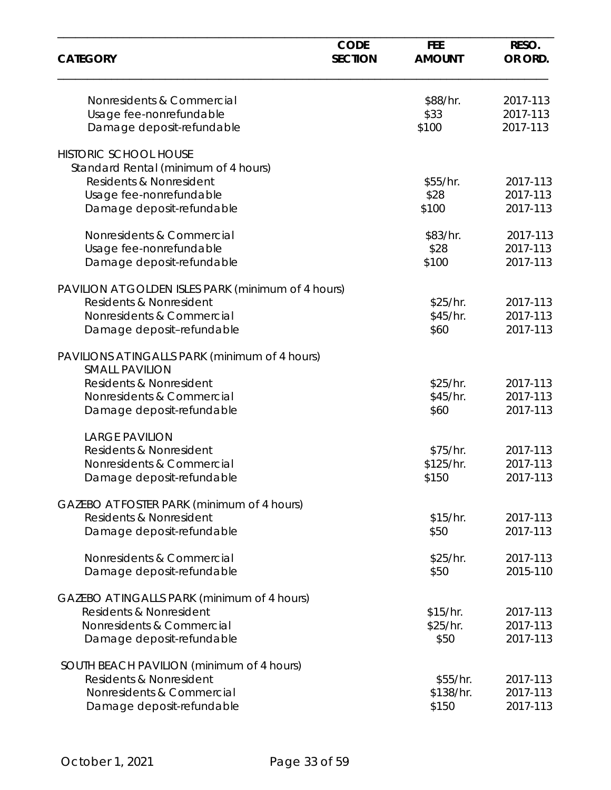| <b>CATEGORY</b>                                                         | <b>CODE</b><br><b>SECTION</b> | <b>FEE</b><br><b>AMOUNT</b> | RESO.<br>OR ORD. |
|-------------------------------------------------------------------------|-------------------------------|-----------------------------|------------------|
| Nonresidents & Commercial                                               |                               | \$88/hr.                    | 2017-113         |
| Usage fee-nonrefundable                                                 |                               | \$33                        | 2017-113         |
| Damage deposit-refundable                                               |                               | \$100                       | 2017-113         |
| <b>HISTORIC SCHOOL HOUSE</b>                                            |                               |                             |                  |
| Standard Rental (minimum of 4 hours)                                    |                               |                             |                  |
| Residents & Nonresident                                                 |                               | \$55/hr.                    | 2017-113         |
| Usage fee-nonrefundable                                                 |                               | \$28                        | 2017-113         |
| Damage deposit-refundable                                               |                               | \$100                       | 2017-113         |
| Nonresidents & Commercial                                               |                               | \$83/hr.                    | 2017-113         |
| Usage fee-nonrefundable                                                 |                               | \$28                        | 2017-113         |
| Damage deposit-refundable                                               |                               | \$100                       | 2017-113         |
| PAVILION AT GOLDEN ISLES PARK (minimum of 4 hours)                      |                               |                             |                  |
| Residents & Nonresident                                                 |                               | \$25/hr.                    | 2017-113         |
| Nonresidents & Commercial                                               |                               | \$45/hr.                    | 2017-113         |
| Damage deposit-refundable                                               |                               | \$60                        | 2017-113         |
| PAVILIONS AT INGALLS PARK (minimum of 4 hours)<br><b>SMALL PAVILION</b> |                               |                             |                  |
| Residents & Nonresident                                                 |                               | \$25/hr.                    | 2017-113         |
| Nonresidents & Commercial                                               |                               | \$45/hr.                    | 2017-113         |
| Damage deposit-refundable                                               |                               | \$60                        | 2017-113         |
| <b>LARGE PAVILION</b>                                                   |                               |                             |                  |
| Residents & Nonresident                                                 |                               | \$75/hr.                    | 2017-113         |
| Nonresidents & Commercial                                               |                               | \$125/hr.                   | 2017-113         |
| Damage deposit-refundable                                               |                               | \$150                       | 2017-113         |
| GAZEBO AT FOSTER PARK (minimum of 4 hours)                              |                               |                             |                  |
| Residents & Nonresident                                                 |                               | \$15/hr.                    | 2017-113         |
| Damage deposit-refundable                                               |                               | \$50                        | 2017-113         |
| Nonresidents & Commercial                                               |                               | \$25/hr.                    | 2017-113         |
| Damage deposit-refundable                                               |                               | \$50                        | 2015-110         |
| GAZEBO AT INGALLS PARK (minimum of 4 hours)                             |                               |                             |                  |
| Residents & Nonresident                                                 |                               | \$15/hr.                    | 2017-113         |
| Nonresidents & Commercial                                               |                               | \$25/hr.                    | 2017-113         |
| Damage deposit-refundable                                               |                               | \$50                        | 2017-113         |
| SOUTH BEACH PAVILION (minimum of 4 hours)                               |                               |                             |                  |
| Residents & Nonresident                                                 |                               | \$55/hr.                    | 2017-113         |
| Nonresidents & Commercial                                               |                               | \$138/hr.                   | 2017-113         |
| Damage deposit-refundable                                               |                               | \$150                       | 2017-113         |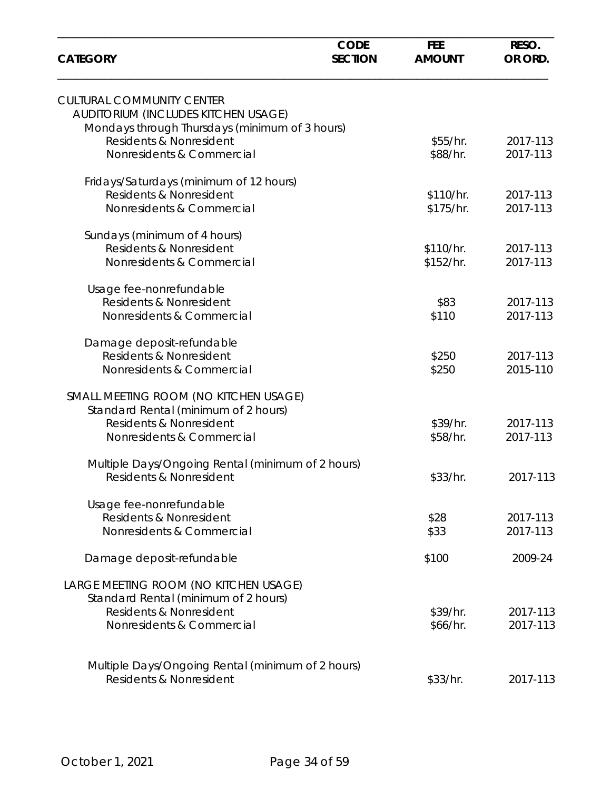| <b>CATEGORY</b>                                                           | <b>CODE</b><br><b>SECTION</b> | <b>FEE</b><br><b>AMOUNT</b> | RESO.<br>OR ORD.     |
|---------------------------------------------------------------------------|-------------------------------|-----------------------------|----------------------|
| <b>CULTURAL COMMUNITY CENTER</b><br>AUDITORIUM (INCLUDES KITCHEN USAGE)   |                               |                             |                      |
| Mondays through Thursdays (minimum of 3 hours)<br>Residents & Nonresident |                               | \$55/hr.                    | 2017-113             |
| Nonresidents & Commercial                                                 |                               | \$88/hr.                    | 2017-113             |
| Fridays/Saturdays (minimum of 12 hours)<br>Residents & Nonresident        |                               | \$110/hr.                   | 2017-113             |
| Nonresidents & Commercial                                                 |                               | \$175/hr.                   | 2017-113             |
| Sundays (minimum of 4 hours)                                              |                               |                             |                      |
| Residents & Nonresident<br>Nonresidents & Commercial                      |                               | \$110/hr.<br>\$152/hr.      | 2017-113<br>2017-113 |
| Usage fee-nonrefundable                                                   |                               |                             |                      |
| Residents & Nonresident                                                   |                               | \$83                        | 2017-113             |
| Nonresidents & Commercial                                                 |                               | \$110                       | 2017-113             |
| Damage deposit-refundable                                                 |                               |                             |                      |
| Residents & Nonresident<br>Nonresidents & Commercial                      |                               | \$250<br>\$250              | 2017-113<br>2015-110 |
| SMALL MEETING ROOM (NO KITCHEN USAGE)                                     |                               |                             |                      |
| Standard Rental (minimum of 2 hours)<br>Residents & Nonresident           |                               | \$39/hr.                    | 2017-113             |
| Nonresidents & Commercial                                                 |                               | \$58/hr.                    | 2017-113             |
| Multiple Days/Ongoing Rental (minimum of 2 hours)                         |                               |                             |                      |
| Residents & Nonresident                                                   |                               | \$33/hr.                    | 2017-113             |
| Usage fee-nonrefundable                                                   |                               |                             |                      |
| Residents & Nonresident<br>Nonresidents & Commercial                      |                               | \$28<br>\$33                | 2017-113<br>2017-113 |
| Damage deposit-refundable                                                 |                               | \$100                       | 2009-24              |
| LARGE MEETING ROOM (NO KITCHEN USAGE)                                     |                               |                             |                      |
| Standard Rental (minimum of 2 hours)                                      |                               |                             |                      |
| Residents & Nonresident<br>Nonresidents & Commercial                      |                               | \$39/hr.<br>\$66/hr.        | 2017-113<br>2017-113 |
|                                                                           |                               |                             |                      |
| Multiple Days/Ongoing Rental (minimum of 2 hours)                         |                               |                             |                      |
| Residents & Nonresident                                                   |                               | \$33/hr.                    | 2017-113             |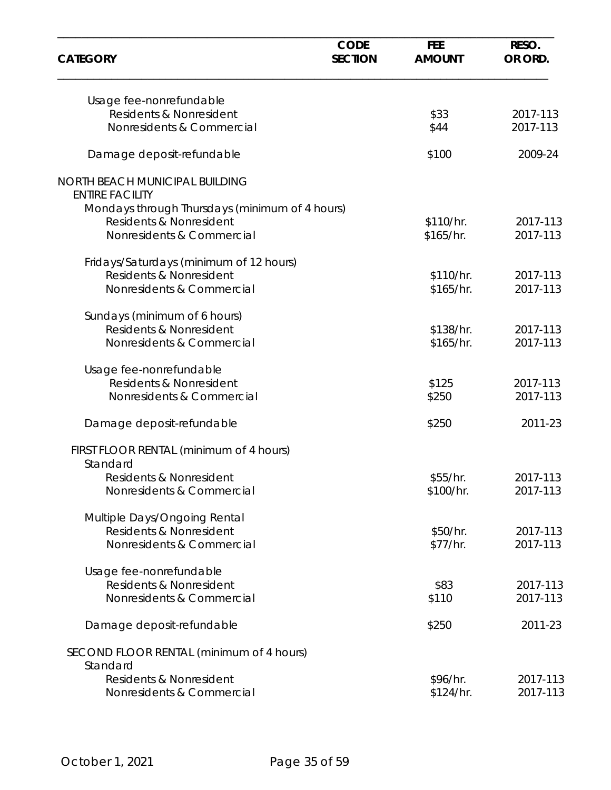| <b>CATEGORY</b>                                          | <b>CODE</b><br><b>SECTION</b> | <b>FEE</b><br><b>AMOUNT</b> | RESO.<br>OR ORD.     |
|----------------------------------------------------------|-------------------------------|-----------------------------|----------------------|
| Usage fee-nonrefundable                                  |                               |                             |                      |
| Residents & Nonresident                                  |                               | \$33                        | 2017-113             |
| Nonresidents & Commercial                                |                               | \$44                        | 2017-113             |
| Damage deposit-refundable                                |                               | \$100                       | 2009-24              |
| NORTH BEACH MUNICIPAL BUILDING<br><b>ENTIRE FACILITY</b> |                               |                             |                      |
| Mondays through Thursdays (minimum of 4 hours)           |                               |                             |                      |
| <b>Residents &amp; Nonresident</b>                       |                               | \$110/hr.                   | 2017-113             |
| Nonresidents & Commercial                                |                               | \$165/hr.                   | 2017-113             |
| Fridays/Saturdays (minimum of 12 hours)                  |                               |                             |                      |
| Residents & Nonresident                                  |                               | \$110/hr.                   | 2017-113             |
| Nonresidents & Commercial                                |                               | \$165/hr.                   | 2017-113             |
| Sundays (minimum of 6 hours)                             |                               |                             |                      |
| Residents & Nonresident                                  |                               | \$138/hr.                   | 2017-113             |
| Nonresidents & Commercial                                |                               | \$165/hr.                   | 2017-113             |
| Usage fee-nonrefundable                                  |                               |                             |                      |
| Residents & Nonresident                                  |                               | \$125                       | 2017-113             |
| Nonresidents & Commercial                                |                               | \$250                       | 2017-113             |
| Damage deposit-refundable                                |                               | \$250                       | 2011-23              |
| FIRST FLOOR RENTAL (minimum of 4 hours)                  |                               |                             |                      |
| Standard                                                 |                               |                             |                      |
| Residents & Nonresident                                  |                               | \$55/hr.                    | 2017-113             |
| Nonresidents & Commercial                                |                               | \$100/hr.                   | 2017-113             |
| Multiple Days/Ongoing Rental                             |                               |                             |                      |
| Residents & Nonresident                                  |                               | \$50/hr.                    | 2017-113             |
| Nonresidents & Commercial                                |                               | \$77/hr.                    | 2017-113             |
| Usage fee-nonrefundable                                  |                               |                             |                      |
| Residents & Nonresident                                  |                               | \$83                        | 2017-113             |
| Nonresidents & Commercial                                |                               | \$110                       | 2017-113             |
| Damage deposit-refundable                                |                               | \$250                       | 2011-23              |
| SECOND FLOOR RENTAL (minimum of 4 hours)                 |                               |                             |                      |
| Standard                                                 |                               |                             |                      |
| Residents & Nonresident<br>Nonresidents & Commercial     |                               | \$96/hr.<br>\$124/hr.       | 2017-113<br>2017-113 |
|                                                          |                               |                             |                      |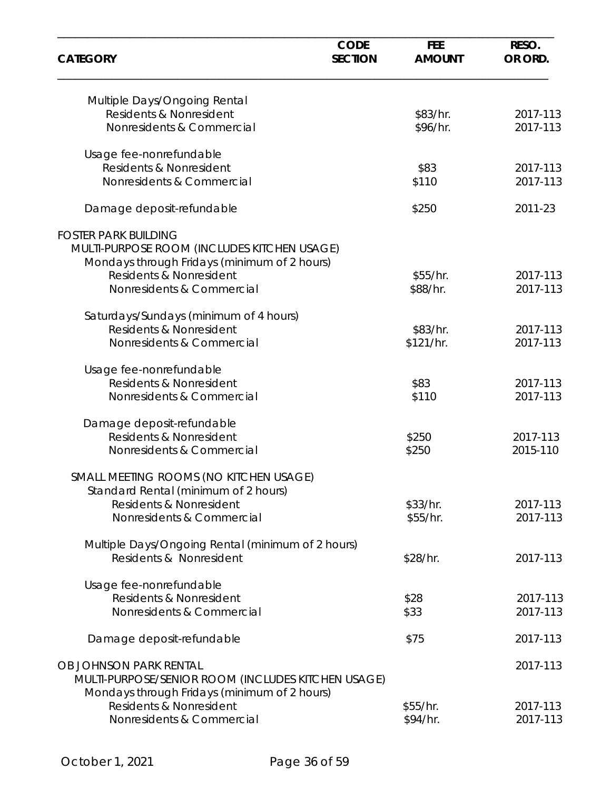| OR ORD.  |
|----------|
|          |
| 2017-113 |
| 2017-113 |
|          |
| 2017-113 |
| 2017-113 |
| 2011-23  |
|          |
|          |
|          |
| 2017-113 |
| 2017-113 |
|          |
| 2017-113 |
| 2017-113 |
|          |
| 2017-113 |
| 2017-113 |
|          |
| 2017-113 |
| 2015-110 |
|          |
|          |
| 2017-113 |
| 2017-113 |
|          |
| 2017-113 |
|          |
| 2017-113 |
| 2017-113 |
| 2017-113 |
| 2017-113 |
|          |
|          |
| 2017-113 |
|          |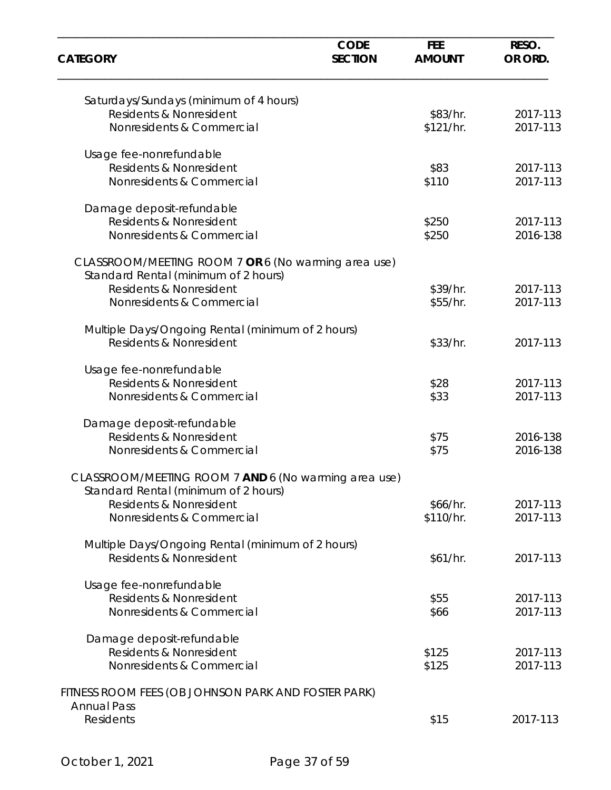| <b>CATEGORY</b>                                                                              | <b>CODE</b><br><b>SECTION</b> | <b>FEE</b><br><b>AMOUNT</b> | RESO.<br>OR ORD. |
|----------------------------------------------------------------------------------------------|-------------------------------|-----------------------------|------------------|
| Saturdays/Sundays (minimum of 4 hours)                                                       |                               |                             |                  |
| Residents & Nonresident                                                                      |                               | \$83/hr.                    | 2017-113         |
| Nonresidents & Commercial                                                                    |                               | \$121/hr.                   | 2017-113         |
| Usage fee-nonrefundable                                                                      |                               |                             |                  |
| Residents & Nonresident                                                                      |                               | \$83                        | 2017-113         |
| Nonresidents & Commercial                                                                    |                               | \$110                       | 2017-113         |
| Damage deposit-refundable                                                                    |                               |                             |                  |
| Residents & Nonresident                                                                      |                               | \$250                       | 2017-113         |
| Nonresidents & Commercial                                                                    |                               | \$250                       | 2016-138         |
| CLASSROOM/MEETING ROOM 7 OR 6 (No warming area use)<br>Standard Rental (minimum of 2 hours)  |                               |                             |                  |
| Residents & Nonresident                                                                      |                               | \$39/hr.                    | 2017-113         |
| Nonresidents & Commercial                                                                    |                               | \$55/hr.                    | 2017-113         |
|                                                                                              |                               |                             |                  |
| Multiple Days/Ongoing Rental (minimum of 2 hours)<br>Residents & Nonresident                 |                               | \$33/hr.                    | 2017-113         |
| Usage fee-nonrefundable                                                                      |                               |                             |                  |
| Residents & Nonresident                                                                      |                               | \$28                        | 2017-113         |
| Nonresidents & Commercial                                                                    |                               | \$33                        | 2017-113         |
| Damage deposit-refundable                                                                    |                               |                             |                  |
| Residents & Nonresident                                                                      |                               | \$75                        | 2016-138         |
| Nonresidents & Commercial                                                                    |                               | \$75                        | 2016-138         |
| CLASSROOM/MEETING ROOM 7 AND 6 (No warming area use)<br>Standard Rental (minimum of 2 hours) |                               |                             |                  |
| Residents & Nonresident                                                                      |                               | \$66/hr.                    | 2017-113         |
| Nonresidents & Commercial                                                                    |                               | \$110/hr.                   | 2017-113         |
| Multiple Days/Ongoing Rental (minimum of 2 hours)                                            |                               |                             |                  |
| Residents & Nonresident                                                                      |                               | \$61/hr.                    | 2017-113         |
| Usage fee-nonrefundable                                                                      |                               |                             |                  |
| Residents & Nonresident                                                                      |                               | \$55                        | 2017-113         |
| Nonresidents & Commercial                                                                    |                               | \$66                        | 2017-113         |
| Damage deposit-refundable                                                                    |                               |                             |                  |
| Residents & Nonresident                                                                      |                               | \$125                       | 2017-113         |
| Nonresidents & Commercial                                                                    |                               | \$125                       | 2017-113         |
| FITNESS ROOM FEES (OB JOHNSON PARK AND FOSTER PARK)                                          |                               |                             |                  |
| <b>Annual Pass</b>                                                                           |                               |                             |                  |
| <b>Residents</b>                                                                             |                               | \$15                        | 2017-113         |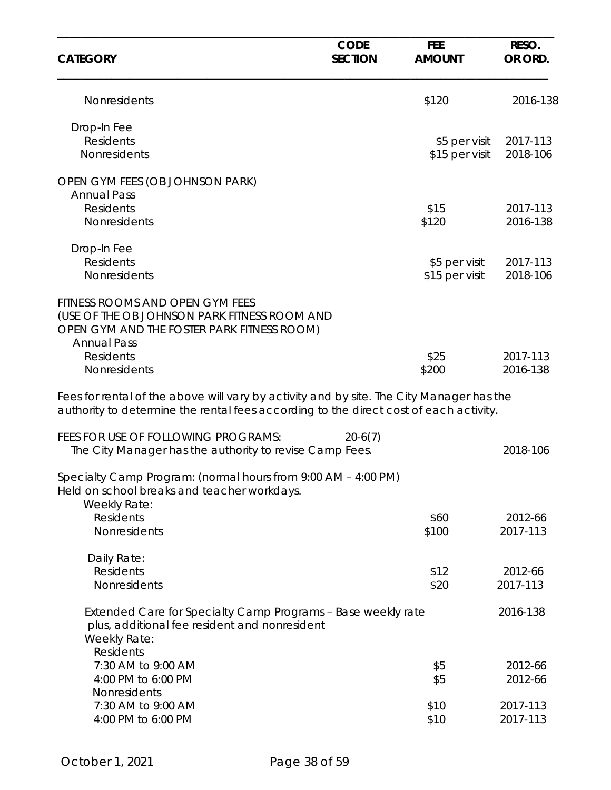| <b>CATEGORY</b>                                                                                                                                                                   | <b>CODE</b><br><b>SECTION</b> | <b>FEE</b><br><b>AMOUNT</b> | RESO.<br>OR ORD. |
|-----------------------------------------------------------------------------------------------------------------------------------------------------------------------------------|-------------------------------|-----------------------------|------------------|
| Nonresidents                                                                                                                                                                      |                               | \$120                       | 2016-138         |
| Drop-In Fee                                                                                                                                                                       |                               |                             |                  |
| Residents                                                                                                                                                                         |                               | \$5 per visit               | 2017-113         |
| Nonresidents                                                                                                                                                                      |                               | \$15 per visit              | 2018-106         |
| OPEN GYM FEES (OB JOHNSON PARK)<br><b>Annual Pass</b>                                                                                                                             |                               |                             |                  |
| Residents                                                                                                                                                                         |                               | \$15                        | 2017-113         |
| Nonresidents                                                                                                                                                                      |                               | \$120                       | 2016-138         |
| Drop-In Fee                                                                                                                                                                       |                               |                             |                  |
| <b>Residents</b>                                                                                                                                                                  |                               | \$5 per visit               | 2017-113         |
| Nonresidents                                                                                                                                                                      |                               | \$15 per visit              | 2018-106         |
| FITNESS ROOMS AND OPEN GYM FEES<br>(USE OF THE OB JOHNSON PARK FITNESS ROOM AND<br>OPEN GYM AND THE FOSTER PARK FITNESS ROOM)<br><b>Annual Pass</b>                               |                               |                             |                  |
| <b>Residents</b>                                                                                                                                                                  |                               | \$25                        | 2017-113         |
| Nonresidents                                                                                                                                                                      |                               | \$200                       | 2016-138         |
| Fees for rental of the above will vary by activity and by site. The City Manager has the<br>authority to determine the rental fees according to the direct cost of each activity. |                               |                             |                  |
| FEES FOR USE OF FOLLOWING PROGRAMS:<br>The City Manager has the authority to revise Camp Fees.                                                                                    | $20-6(7)$                     |                             | 2018-106         |
| Specialty Camp Program: (normal hours from 9:00 AM - 4:00 PM)<br>Held on school breaks and teacher workdays.<br>Weekly Rate:                                                      |                               |                             |                  |
| <b>Residents</b>                                                                                                                                                                  |                               | \$60                        | 2012-66          |
| Nonresidents                                                                                                                                                                      |                               | \$100                       | 2017-113         |
| Daily Rate:                                                                                                                                                                       |                               |                             |                  |
| Residents                                                                                                                                                                         |                               | \$12                        | 2012-66          |
| Nonresidents                                                                                                                                                                      |                               | \$20                        | 2017-113         |
| Extended Care for Specialty Camp Programs - Base weekly rate<br>plus, additional fee resident and nonresident<br>Weekly Rate:<br><b>Residents</b>                                 |                               |                             | 2016-138         |
| 7:30 AM to 9:00 AM                                                                                                                                                                |                               |                             | 2012-66          |
| 4:00 PM to 6:00 PM                                                                                                                                                                |                               | \$5<br>\$5                  | 2012-66          |
| Nonresidents                                                                                                                                                                      |                               |                             |                  |
| 7:30 AM to 9:00 AM                                                                                                                                                                |                               | \$10                        | 2017-113         |
| 4:00 PM to 6:00 PM                                                                                                                                                                |                               | \$10                        | 2017-113         |
|                                                                                                                                                                                   |                               |                             |                  |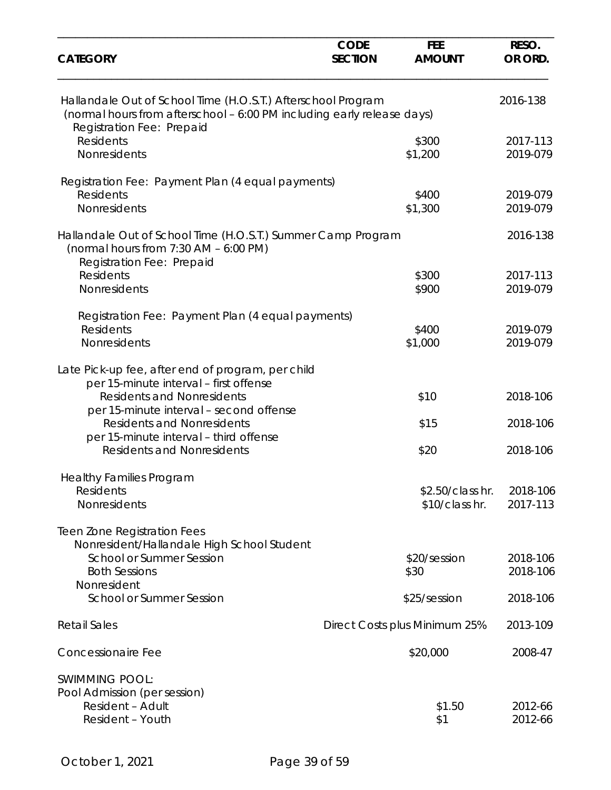| <b>CATEGORY</b>                                                                                                                        | <b>CODE</b><br><b>SECTION</b> | <b>FEE</b><br><b>AMOUNT</b>   | RESO.<br>OR ORD. |
|----------------------------------------------------------------------------------------------------------------------------------------|-------------------------------|-------------------------------|------------------|
| Hallandale Out of School Time (H.O.S.T.) Afterschool Program<br>(normal hours from afterschool - 6:00 PM including early release days) |                               |                               | 2016-138         |
| Registration Fee: Prepaid<br><b>Residents</b>                                                                                          |                               | \$300                         | 2017-113         |
| Nonresidents                                                                                                                           |                               | \$1,200                       | 2019-079         |
| Registration Fee: Payment Plan (4 equal payments)                                                                                      |                               |                               |                  |
| <b>Residents</b>                                                                                                                       |                               | \$400                         | 2019-079         |
| Nonresidents                                                                                                                           |                               | \$1,300                       | 2019-079         |
| Hallandale Out of School Time (H.O.S.T.) Summer Camp Program<br>(normal hours from $7:30$ AM $-6:00$ PM)<br>Registration Fee: Prepaid  |                               |                               | 2016-138         |
| <b>Residents</b>                                                                                                                       |                               | \$300                         | 2017-113         |
| Nonresidents                                                                                                                           |                               | \$900                         | 2019-079         |
| Registration Fee: Payment Plan (4 equal payments)                                                                                      |                               |                               |                  |
| <b>Residents</b>                                                                                                                       |                               | \$400                         | 2019-079         |
| Nonresidents                                                                                                                           |                               | \$1,000                       | 2019-079         |
| Late Pick-up fee, after end of program, per child<br>per 15-minute interval - first offense                                            |                               |                               |                  |
| <b>Residents and Nonresidents</b>                                                                                                      |                               | \$10                          | 2018-106         |
| per 15-minute interval - second offense<br><b>Residents and Nonresidents</b>                                                           |                               | \$15                          | 2018-106         |
| per 15-minute interval - third offense<br><b>Residents and Nonresidents</b>                                                            |                               | \$20                          | 2018-106         |
| <b>Healthy Families Program</b>                                                                                                        |                               |                               |                  |
| Residents                                                                                                                              |                               | \$2.50/class hr.              | 2018-106         |
| Nonresidents                                                                                                                           |                               | \$10/class hr.                | 2017-113         |
| <b>Teen Zone Registration Fees</b>                                                                                                     |                               |                               |                  |
| Nonresident/Hallandale High School Student<br>School or Summer Session                                                                 |                               | \$20/session                  | 2018-106         |
| <b>Both Sessions</b>                                                                                                                   |                               | \$30                          | 2018-106         |
| Nonresident                                                                                                                            |                               |                               |                  |
| <b>School or Summer Session</b>                                                                                                        |                               | \$25/session                  | 2018-106         |
| <b>Retail Sales</b>                                                                                                                    |                               | Direct Costs plus Minimum 25% | 2013-109         |
| Concessionaire Fee                                                                                                                     |                               | \$20,000                      | 2008-47          |
| <b>SWIMMING POOL:</b>                                                                                                                  |                               |                               |                  |
| Pool Admission (per session)                                                                                                           |                               |                               |                  |
| <b>Resident - Adult</b>                                                                                                                |                               | \$1.50                        | 2012-66          |
| Resident - Youth                                                                                                                       |                               | \$1                           | 2012-66          |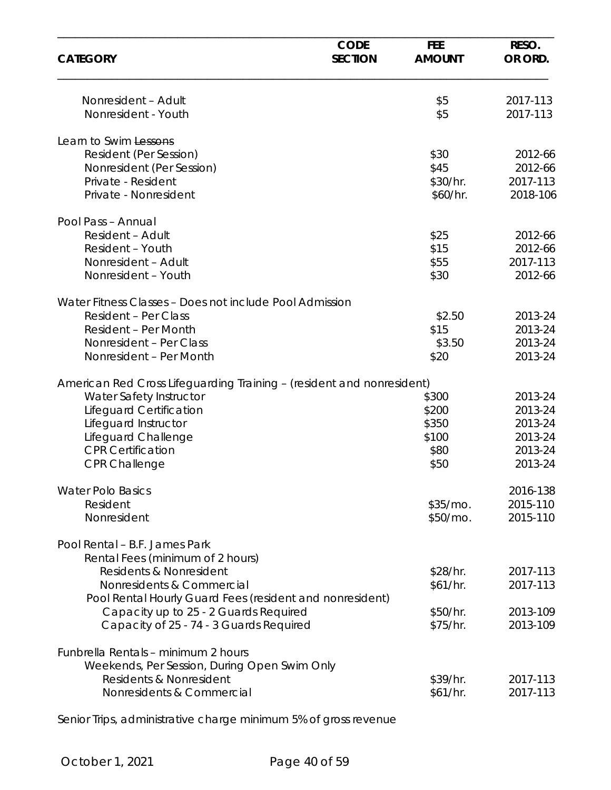| <b>CATEGORY</b>                                                       | <b>CODE</b><br><b>SECTION</b> | <b>FEE</b><br><b>AMOUNT</b> | RESO.<br>OR ORD.     |
|-----------------------------------------------------------------------|-------------------------------|-----------------------------|----------------------|
| Nonresident - Adult<br>Nonresident - Youth                            |                               | \$5<br>\$5                  | 2017-113<br>2017-113 |
|                                                                       |                               |                             |                      |
| Learn to Swim Lessons                                                 |                               |                             |                      |
| Resident (Per Session)                                                |                               | \$30                        | 2012-66              |
| Nonresident (Per Session)                                             |                               | \$45                        | 2012-66              |
| Private - Resident                                                    |                               | \$30/hr.                    | 2017-113             |
| Private - Nonresident                                                 |                               | \$60/hr.                    | 2018-106             |
| Pool Pass - Annual                                                    |                               |                             |                      |
| Resident - Adult                                                      |                               | \$25                        | 2012-66              |
| Resident - Youth                                                      |                               | \$15                        | 2012-66              |
| Nonresident - Adult                                                   |                               | \$55                        | 2017-113             |
| Nonresident - Youth                                                   |                               | \$30                        | 2012-66              |
| Water Fitness Classes - Does not include Pool Admission               |                               |                             |                      |
| <b>Resident - Per Class</b>                                           |                               | \$2.50                      | 2013-24              |
| Resident - Per Month                                                  |                               | \$15                        | 2013-24              |
| Nonresident - Per Class                                               |                               | \$3.50                      | 2013-24              |
| Nonresident - Per Month                                               |                               | \$20                        | 2013-24              |
| American Red Cross Lifeguarding Training - (resident and nonresident) |                               |                             |                      |
| Water Safety Instructor                                               |                               | \$300                       | 2013-24              |
| Lifeguard Certification                                               |                               | \$200                       | 2013-24              |
| Lifeguard Instructor                                                  |                               | \$350                       | 2013-24              |
| Lifeguard Challenge                                                   |                               | \$100                       | 2013-24              |
| <b>CPR Certification</b>                                              |                               | \$80                        | 2013-24              |
| <b>CPR Challenge</b>                                                  |                               | \$50                        | 2013-24              |
| <b>Water Polo Basics</b>                                              |                               |                             | 2016-138             |
| Resident                                                              |                               | $$35/mO$ .                  | 2015-110             |
| Nonresident                                                           |                               | \$50/mo.                    | 2015-110             |
| Pool Rental - B.F. James Park                                         |                               |                             |                      |
| Rental Fees (minimum of 2 hours)                                      |                               |                             |                      |
| Residents & Nonresident                                               |                               | \$28/hr.                    | 2017-113             |
| Nonresidents & Commercial                                             |                               | \$61/hr.                    | 2017-113             |
| Pool Rental Hourly Guard Fees (resident and nonresident)              |                               |                             |                      |
| Capacity up to 25 - 2 Guards Required                                 |                               | \$50/hr.                    | 2013-109             |
| Capacity of 25 - 74 - 3 Guards Required                               |                               | \$75/hr.                    | 2013-109             |
| Funbrella Rentals - minimum 2 hours                                   |                               |                             |                      |
| Weekends, Per Session, During Open Swim Only                          |                               |                             |                      |
| Residents & Nonresident                                               |                               | \$39/hr.                    | 2017-113             |
| Nonresidents & Commercial                                             |                               | \$61/hr.                    | 2017-113             |
|                                                                       |                               |                             |                      |

Senior Trips, administrative charge minimum 5% of gross revenue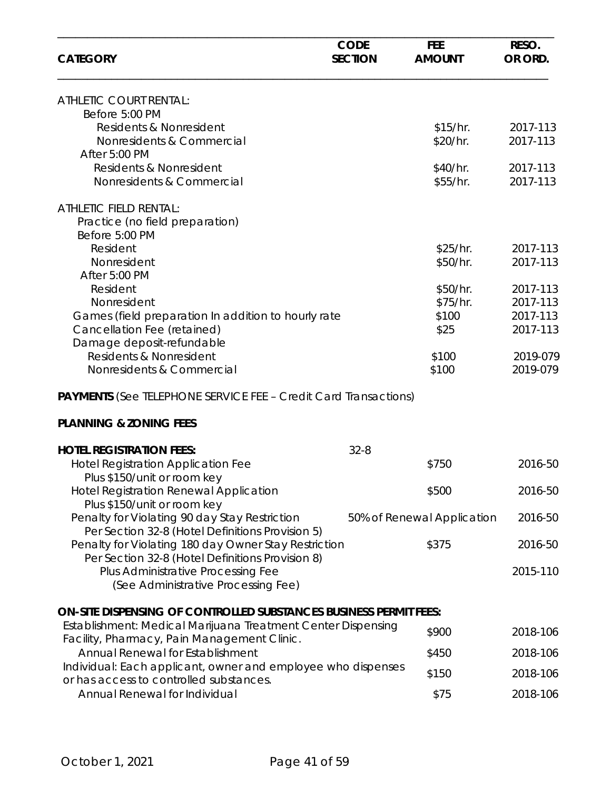| <b>CATEGORY</b>                                                                                          | <b>CODE</b><br><b>SECTION</b> | <b>FEE</b><br><b>AMOUNT</b> | RESO.<br>OR ORD.     |
|----------------------------------------------------------------------------------------------------------|-------------------------------|-----------------------------|----------------------|
| ATHLETIC COURT RENTAL:                                                                                   |                               |                             |                      |
| Before 5:00 PM                                                                                           |                               |                             |                      |
| Residents & Nonresident                                                                                  |                               | \$15/hr.                    | 2017-113<br>2017-113 |
| Nonresidents & Commercial<br>After 5:00 PM                                                               |                               | \$20/hr.                    |                      |
| Residents & Nonresident                                                                                  |                               | \$40/hr.                    | 2017-113             |
| Nonresidents & Commercial                                                                                |                               | \$55/hr.                    | 2017-113             |
| <b>ATHLETIC FIELD RENTAL:</b>                                                                            |                               |                             |                      |
| Practice (no field preparation)                                                                          |                               |                             |                      |
| Before 5:00 PM                                                                                           |                               |                             |                      |
| Resident                                                                                                 |                               | \$25/hr.                    | 2017-113             |
| Nonresident                                                                                              |                               | \$50/hr.                    | 2017-113             |
| After 5:00 PM                                                                                            |                               |                             |                      |
| Resident                                                                                                 |                               | \$50/hr.                    | 2017-113             |
| Nonresident                                                                                              |                               | \$75/hr.                    | 2017-113             |
| Games (field preparation In addition to hourly rate                                                      |                               | \$100                       | 2017-113             |
| Cancellation Fee (retained)                                                                              |                               | \$25                        | 2017-113             |
| Damage deposit-refundable                                                                                |                               |                             |                      |
| Residents & Nonresident                                                                                  |                               | \$100                       | 2019-079             |
| Nonresidents & Commercial                                                                                |                               | \$100                       | 2019-079             |
| <b>PAYMENTS</b> (See TELEPHONE SERVICE FEE - Credit Card Transactions)                                   |                               |                             |                      |
| <b>PLANNING &amp; ZONING FEES</b>                                                                        |                               |                             |                      |
| <b>HOTEL REGISTRATION FEES:</b>                                                                          | $32 - 8$                      |                             |                      |
| <b>Hotel Registration Application Fee</b>                                                                |                               | \$750                       | 2016-50              |
| Plus \$150/unit or room key                                                                              |                               |                             |                      |
| <b>Hotel Registration Renewal Application</b><br>Plus \$150/unit or room key                             |                               | \$500                       | 2016-50              |
| Penalty for Violating 90 day Stay Restriction                                                            |                               | 50% of Renewal Application  | 2016-50              |
| Per Section 32-8 (Hotel Definitions Provision 5)<br>Penalty for Violating 180 day Owner Stay Restriction |                               | \$375                       | 2016-50              |
| Per Section 32-8 (Hotel Definitions Provision 8)                                                         |                               |                             |                      |
| Plus Administrative Processing Fee<br>(See Administrative Processing Fee)                                |                               |                             | 2015-110             |
| <b>ON-SITE DISPENSING OF CONTROLLED SUBSTANCES BUSINESS PERMIT FEES:</b>                                 |                               |                             |                      |
| Establishment: Medical Marijuana Treatment Center Dispensing                                             |                               | \$900                       |                      |
| Facility, Pharmacy, Pain Management Clinic.                                                              |                               |                             | 2018-106             |
| <b>Annual Renewal for Establishment</b>                                                                  |                               | \$450                       | 2018-106             |
| Individual: Each applicant, owner and employee who dispenses<br>or has access to controlled substances.  |                               | \$150                       | 2018-106             |
| Annual Renewal for Individual                                                                            |                               | \$75                        | 2018-106             |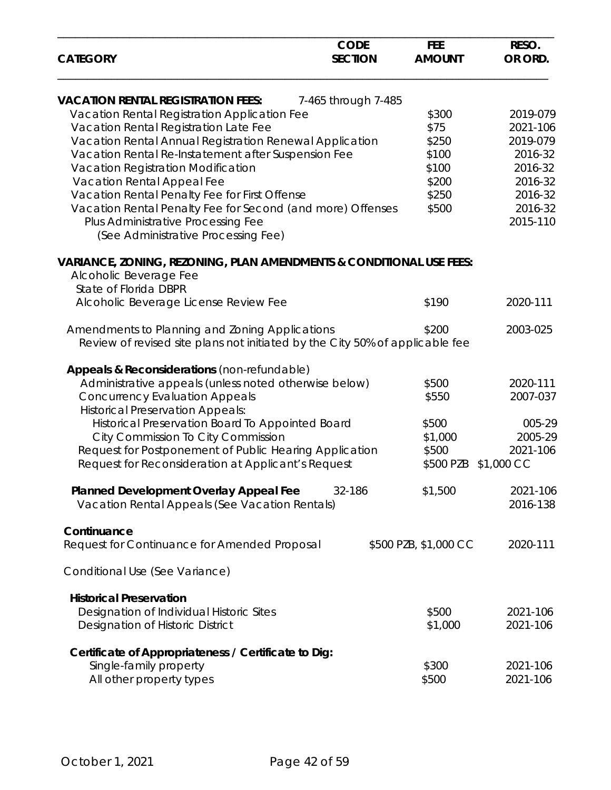| <b>CATEGORY</b>                                                                                          | <b>CODE</b><br><b>SECTION</b> | <b>FEE</b><br><b>AMOUNT</b> | RESO.<br>OR ORD. |
|----------------------------------------------------------------------------------------------------------|-------------------------------|-----------------------------|------------------|
| <b>VACATION RENTAL REGISTRATION FEES:</b>                                                                | 7-465 through 7-485           |                             |                  |
| Vacation Rental Registration Application Fee                                                             |                               | \$300                       | 2019-079         |
| Vacation Rental Registration Late Fee                                                                    |                               | \$75                        | 2021-106         |
| Vacation Rental Annual Registration Renewal Application                                                  |                               | \$250                       | 2019-079         |
| Vacation Rental Re-Instatement after Suspension Fee                                                      |                               | \$100                       | 2016-32          |
| Vacation Registration Modification                                                                       |                               | \$100                       | 2016-32          |
| Vacation Rental Appeal Fee                                                                               |                               | \$200                       | 2016-32          |
| Vacation Rental Penalty Fee for First Offense                                                            |                               | \$250                       | 2016-32          |
| Vacation Rental Penalty Fee for Second (and more) Offenses                                               |                               | \$500                       | 2016-32          |
| Plus Administrative Processing Fee<br>(See Administrative Processing Fee)                                |                               |                             | 2015-110         |
| <b>VARIANCE, ZONING, REZONING, PLAN AMENDMENTS &amp; CONDITIONAL USE FEES:</b><br>Alcoholic Beverage Fee |                               |                             |                  |
| State of Florida DBPR<br>Alcoholic Beverage License Review Fee                                           |                               | \$190                       | 2020-111         |
| Amendments to Planning and Zoning Applications                                                           |                               | \$200                       | 2003-025         |
| Review of revised site plans not initiated by the City 50% of applicable fee                             |                               |                             |                  |
| Appeals & Reconsiderations (non-refundable)                                                              |                               |                             |                  |
| Administrative appeals (unless noted otherwise below)                                                    |                               | \$500                       | 2020-111         |
| <b>Concurrency Evaluation Appeals</b>                                                                    |                               | \$550                       | 2007-037         |
| <b>Historical Preservation Appeals:</b>                                                                  |                               |                             |                  |
| Historical Preservation Board To Appointed Board                                                         |                               | \$500                       | 005-29           |
| City Commission To City Commission                                                                       |                               | \$1,000                     | 2005-29          |
| Request for Postponement of Public Hearing Application                                                   |                               | \$500                       | 2021-106         |
| Request for Reconsideration at Applicant's Request                                                       |                               | \$500 PZB \$1,000 CC        |                  |
| Planned Development Overlay Appeal Fee                                                                   | 32-186                        | \$1,500                     | 2021-106         |
| Vacation Rental Appeals (See Vacation Rentals)                                                           |                               |                             | 2016-138         |
| Continuance                                                                                              |                               |                             |                  |
| Request for Continuance for Amended Proposal                                                             |                               | \$500 PZB, \$1,000 CC       | 2020-111         |
| Conditional Use (See Variance)                                                                           |                               |                             |                  |
| <b>Historical Preservation</b>                                                                           |                               |                             |                  |
| Designation of Individual Historic Sites                                                                 |                               | \$500                       | 2021-106         |
| Designation of Historic District                                                                         |                               | \$1,000                     | 2021-106         |
| Certificate of Appropriateness / Certificate to Dig:                                                     |                               |                             |                  |
| Single-family property                                                                                   |                               | \$300                       | 2021-106         |
| All other property types                                                                                 |                               | \$500                       | 2021-106         |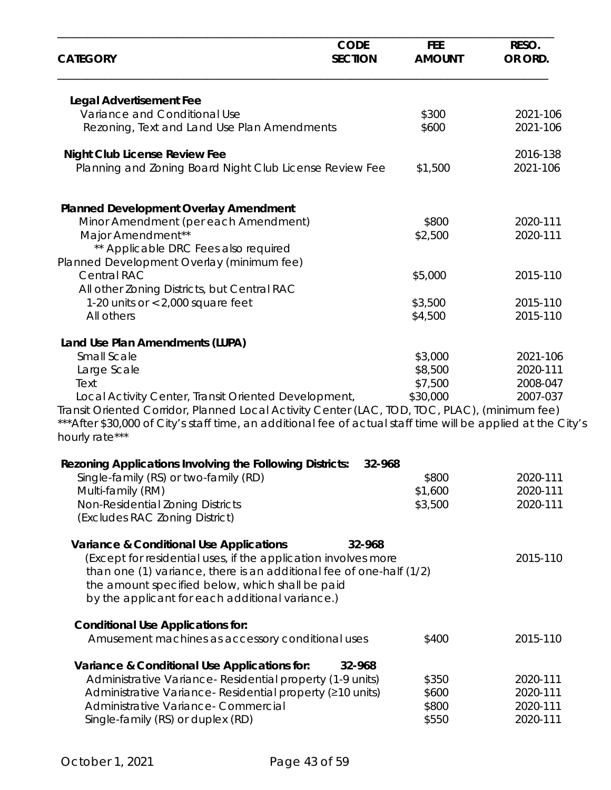| <b>CATEGORY</b>                                                                                                                                                                                                                  | <b>CODE</b><br><b>SECTION</b> | <b>FEE</b><br><b>AMOUNT</b> | RESO.<br>OR ORD. |
|----------------------------------------------------------------------------------------------------------------------------------------------------------------------------------------------------------------------------------|-------------------------------|-----------------------------|------------------|
| <b>Legal Advertisement Fee</b>                                                                                                                                                                                                   |                               |                             |                  |
| Variance and Conditional Use                                                                                                                                                                                                     |                               | \$300                       | 2021-106         |
| Rezoning, Text and Land Use Plan Amendments                                                                                                                                                                                      |                               | \$600                       | 2021-106         |
| <b>Night Club License Review Fee</b>                                                                                                                                                                                             |                               |                             | 2016-138         |
| Planning and Zoning Board Night Club License Review Fee                                                                                                                                                                          |                               | \$1,500                     | 2021-106         |
| <b>Planned Development Overlay Amendment</b>                                                                                                                                                                                     |                               |                             |                  |
| Minor Amendment (per each Amendment)                                                                                                                                                                                             |                               | \$800                       | 2020-111         |
| Major Amendment**                                                                                                                                                                                                                |                               | \$2,500                     | 2020-111         |
| ** Applicable DRC Fees also required                                                                                                                                                                                             |                               |                             |                  |
| Planned Development Overlay (minimum fee)<br><b>Central RAC</b>                                                                                                                                                                  |                               |                             |                  |
| All other Zoning Districts, but Central RAC                                                                                                                                                                                      |                               | \$5,000                     | 2015-110         |
| 1-20 units or $< 2,000$ square feet                                                                                                                                                                                              |                               | \$3,500                     | 2015-110         |
| All others                                                                                                                                                                                                                       |                               | \$4,500                     | 2015-110         |
| Land Use Plan Amendments (LUPA)                                                                                                                                                                                                  |                               |                             |                  |
| Small Scale                                                                                                                                                                                                                      |                               | \$3,000                     | 2021-106         |
| Large Scale                                                                                                                                                                                                                      |                               | \$8,500                     | 2020-111         |
| Text                                                                                                                                                                                                                             |                               | \$7,500                     | 2008-047         |
| Local Activity Center, Transit Oriented Development,                                                                                                                                                                             |                               | \$30,000                    | 2007-037         |
| Transit Oriented Corridor, Planned Local Activity Center (LAC, TOD, TOC, PLAC), (minimum fee)<br>*** After \$30,000 of City's staff time, an additional fee of actual staff time will be applied at the City's<br>hourly rate*** |                               |                             |                  |
| <b>Rezoning Applications Involving the Following Districts:</b>                                                                                                                                                                  | 32-968                        |                             |                  |
| Single-family (RS) or two-family (RD)                                                                                                                                                                                            |                               | \$800                       | 2020-111         |
| Multi-family (RM)                                                                                                                                                                                                                |                               | \$1,600                     | 2020-111         |
| Non-Residential Zoning Districts<br>(Excludes RAC Zoning District)                                                                                                                                                               |                               | \$3,500                     | 2020-111         |
| <b>Variance &amp; Conditional Use Applications</b>                                                                                                                                                                               | 32-968                        |                             |                  |
| (Except for residential uses, if the application involves more                                                                                                                                                                   |                               |                             | 2015-110         |
| than one (1) variance, there is an additional fee of one-half (1/2)                                                                                                                                                              |                               |                             |                  |
| the amount specified below, which shall be paid                                                                                                                                                                                  |                               |                             |                  |
| by the applicant for each additional variance.)                                                                                                                                                                                  |                               |                             |                  |
| <b>Conditional Use Applications for:</b>                                                                                                                                                                                         |                               |                             |                  |
| Amusement machines as accessory conditional uses                                                                                                                                                                                 |                               | \$400                       | 2015-110         |
| Variance & Conditional Use Applications for:                                                                                                                                                                                     | 32-968                        |                             |                  |
| Administrative Variance-Residential property (1-9 units)                                                                                                                                                                         |                               | \$350                       | 2020-111         |
| Administrative Variance-Residential property (210 units)                                                                                                                                                                         |                               | \$600                       | 2020-111         |
| Administrative Variance- Commercial                                                                                                                                                                                              |                               | \$800                       | 2020-111         |
| Single-family (RS) or duplex (RD)                                                                                                                                                                                                |                               | \$550                       | 2020-111         |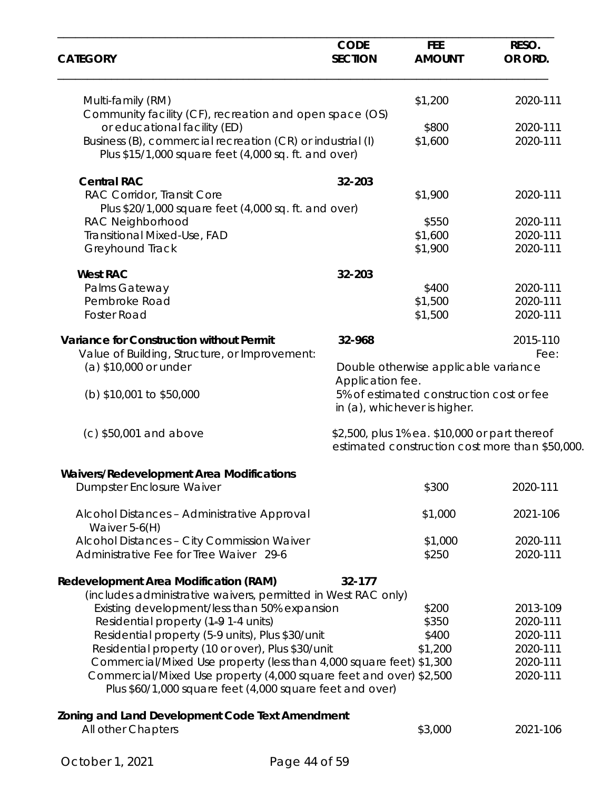| <b>CATEGORY</b>                                                                                                                | <b>CODE</b><br><b>SECTION</b> | <b>FEE</b><br><b>AMOUNT</b>                                                                      | RESO.<br>OR ORD. |
|--------------------------------------------------------------------------------------------------------------------------------|-------------------------------|--------------------------------------------------------------------------------------------------|------------------|
| Multi-family (RM)                                                                                                              |                               | \$1,200                                                                                          | 2020-111         |
| Community facility (CF), recreation and open space (OS)                                                                        |                               |                                                                                                  |                  |
| or educational facility (ED)                                                                                                   |                               | \$800                                                                                            | 2020-111         |
| Business (B), commercial recreation (CR) or industrial (I)<br>Plus \$15/1,000 square feet (4,000 sq. ft. and over)             |                               | \$1,600                                                                                          | 2020-111         |
| <b>Central RAC</b>                                                                                                             | 32-203                        |                                                                                                  |                  |
| RAC Corridor, Transit Core                                                                                                     |                               | \$1,900                                                                                          | 2020-111         |
| Plus \$20/1,000 square feet (4,000 sq. ft. and over)                                                                           |                               |                                                                                                  |                  |
| RAC Neighborhood                                                                                                               |                               | \$550                                                                                            | 2020-111         |
| <b>Transitional Mixed-Use, FAD</b>                                                                                             |                               | \$1,600                                                                                          | 2020-111         |
| Greyhound Track                                                                                                                |                               | \$1,900                                                                                          | 2020-111         |
| <b>West RAC</b>                                                                                                                | 32-203                        |                                                                                                  |                  |
| Palms Gateway                                                                                                                  |                               | \$400                                                                                            | 2020-111         |
| Pembroke Road                                                                                                                  |                               | \$1,500                                                                                          | 2020-111         |
| <b>Foster Road</b>                                                                                                             |                               | \$1,500                                                                                          | 2020-111         |
| <b>Variance for Construction without Permit</b>                                                                                | 32-968                        |                                                                                                  | 2015-110         |
| Value of Building, Structure, or Improvement:                                                                                  |                               |                                                                                                  | Fee:             |
| (a) \$10,000 or under                                                                                                          | Application fee.              | Double otherwise applicable variance                                                             |                  |
| (b) \$10,001 to \$50,000                                                                                                       |                               | 5% of estimated construction cost or fee<br>in (a), whichever is higher.                         |                  |
| (c) \$50,001 and above                                                                                                         |                               | \$2,500, plus 1% ea. \$10,000 or part thereof<br>estimated construction cost more than \$50,000. |                  |
| Waivers/Redevelopment Area Modifications                                                                                       |                               |                                                                                                  |                  |
| Dumpster Enclosure Waiver                                                                                                      |                               | \$300                                                                                            | 2020-111         |
| Alcohol Distances - Administrative Approval<br>Waiver $5-6(H)$                                                                 |                               | \$1,000                                                                                          | 2021-106         |
| Alcohol Distances - City Commission Waiver                                                                                     |                               | \$1,000                                                                                          | 2020-111         |
| Administrative Fee for Tree Waiver 29-6                                                                                        |                               | \$250                                                                                            | 2020-111         |
| <b>Redevelopment Area Modification (RAM)</b>                                                                                   | 32-177                        |                                                                                                  |                  |
| (includes administrative waivers, permitted in West RAC only)                                                                  |                               |                                                                                                  |                  |
| Existing development/less than 50% expansion                                                                                   |                               | \$200                                                                                            | 2013-109         |
| Residential property (1-9 1-4 units)                                                                                           |                               | \$350                                                                                            | 2020-111         |
| Residential property (5-9 units), Plus \$30/unit                                                                               |                               | \$400                                                                                            | 2020-111         |
| Residential property (10 or over), Plus \$30/unit                                                                              |                               | \$1,200                                                                                          | 2020-111         |
| Commercial/Mixed Use property (less than 4,000 square feet) \$1,300                                                            |                               |                                                                                                  | 2020-111         |
| Commercial/Mixed Use property (4,000 square feet and over) \$2,500<br>Plus \$60/1,000 square feet (4,000 square feet and over) |                               |                                                                                                  | 2020-111         |
| Zoning and Land Development Code Text Amendment                                                                                |                               |                                                                                                  |                  |
| All other Chapters                                                                                                             |                               | \$3,000                                                                                          | 2021-106         |
|                                                                                                                                |                               |                                                                                                  |                  |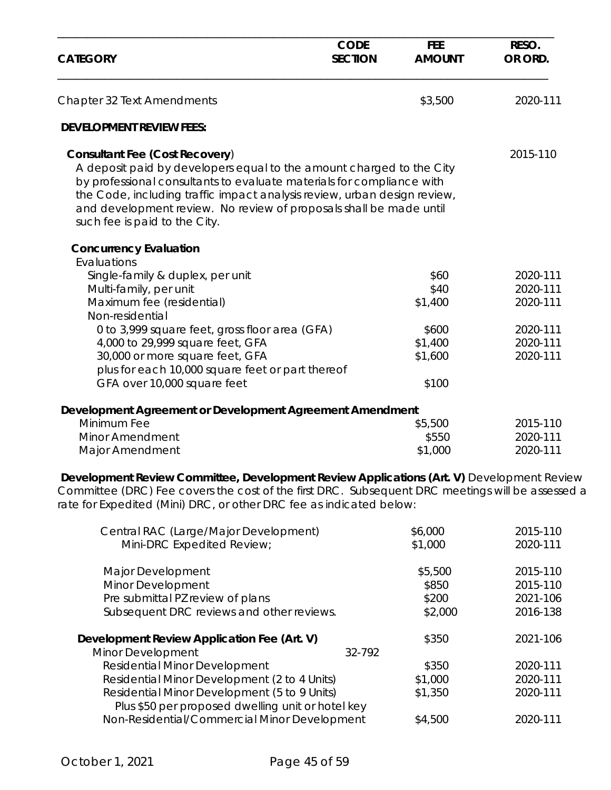| <b>CATEGORY</b>                                                                                                                                                                                                                                                                                                                                                           | <b>CODE</b><br><b>SECTION</b> | <b>FEE</b><br><b>AMOUNT</b> | RESO.<br>OR ORD. |
|---------------------------------------------------------------------------------------------------------------------------------------------------------------------------------------------------------------------------------------------------------------------------------------------------------------------------------------------------------------------------|-------------------------------|-----------------------------|------------------|
| Chapter 32 Text Amendments                                                                                                                                                                                                                                                                                                                                                |                               | \$3,500                     | 2020-111         |
| <b>DEVELOPMENT REVIEW FEES:</b>                                                                                                                                                                                                                                                                                                                                           |                               |                             |                  |
| <b>Consultant Fee (Cost Recovery)</b><br>A deposit paid by developers equal to the amount charged to the City<br>by professional consultants to evaluate materials for compliance with<br>the Code, including traffic impact analysis review, urban design review,<br>and development review. No review of proposals shall be made until<br>such fee is paid to the City. |                               |                             | 2015-110         |
| <b>Concurrency Evaluation</b>                                                                                                                                                                                                                                                                                                                                             |                               |                             |                  |
| Evaluations<br>Single-family & duplex, per unit                                                                                                                                                                                                                                                                                                                           |                               | \$60                        | 2020-111         |
| Multi-family, per unit                                                                                                                                                                                                                                                                                                                                                    |                               | \$40                        | 2020-111         |
| Maximum fee (residential)                                                                                                                                                                                                                                                                                                                                                 |                               | \$1,400                     | 2020-111         |
| Non-residential                                                                                                                                                                                                                                                                                                                                                           |                               |                             |                  |
| 0 to 3,999 square feet, gross floor area (GFA)                                                                                                                                                                                                                                                                                                                            |                               | \$600                       | 2020-111         |
| 4,000 to 29,999 square feet, GFA                                                                                                                                                                                                                                                                                                                                          |                               | \$1,400                     | 2020-111         |
| 30,000 or more square feet, GFA                                                                                                                                                                                                                                                                                                                                           |                               | \$1,600                     | 2020-111         |
| plus for each 10,000 square feet or part thereof                                                                                                                                                                                                                                                                                                                          |                               |                             |                  |
| GFA over 10,000 square feet                                                                                                                                                                                                                                                                                                                                               |                               | \$100                       |                  |
| Development Agreement or Development Agreement Amendment                                                                                                                                                                                                                                                                                                                  |                               |                             |                  |
| Minimum Fee                                                                                                                                                                                                                                                                                                                                                               |                               | \$5,500                     | 2015-110         |
| <b>Minor Amendment</b>                                                                                                                                                                                                                                                                                                                                                    |                               | \$550                       | 2020-111         |
| Major Amendment                                                                                                                                                                                                                                                                                                                                                           |                               | \$1,000                     | 2020-111         |
| Development Review Committee, Development Review Applications (Art. V) Development Review<br>Committee (DRC) Fee covers the cost of the first DRC. Subsequent DRC meetings will be assessed a<br>rate for Expedited (Mini) DRC, or other DRC fee as indicated below:                                                                                                      |                               |                             |                  |
| Central RAC (Large/Major Development)                                                                                                                                                                                                                                                                                                                                     |                               | \$6,000                     | 2015-110         |
| Mini-DRC Expedited Review;                                                                                                                                                                                                                                                                                                                                                |                               | \$1,000                     | 2020-111         |
| Major Development                                                                                                                                                                                                                                                                                                                                                         |                               | \$5,500                     | 2015-110         |
| Minor Development                                                                                                                                                                                                                                                                                                                                                         |                               | \$850                       | 2015-110         |
| Pre submittal PZ review of plans                                                                                                                                                                                                                                                                                                                                          |                               | \$200                       | 2021-106         |
| Subsequent DRC reviews and other reviews.                                                                                                                                                                                                                                                                                                                                 |                               | \$2,000                     | 2016-138         |

| Development Review Application Fee (Art. V)       | \$350   | 2021-106 |
|---------------------------------------------------|---------|----------|
| Minor Development<br>32-792                       |         |          |
| <b>Residential Minor Development</b>              | \$350   | 2020-111 |
| Residential Minor Development (2 to 4 Units)      | \$1,000 | 2020-111 |
| Residential Minor Development (5 to 9 Units)      | \$1,350 | 2020-111 |
| Plus \$50 per proposed dwelling unit or hotel key |         |          |
| Non-Residential/Commercial Minor Development      | \$4,500 | 2020-111 |
|                                                   |         |          |

Subsequent DRC reviews and other reviews.  $$2,000$  2016-138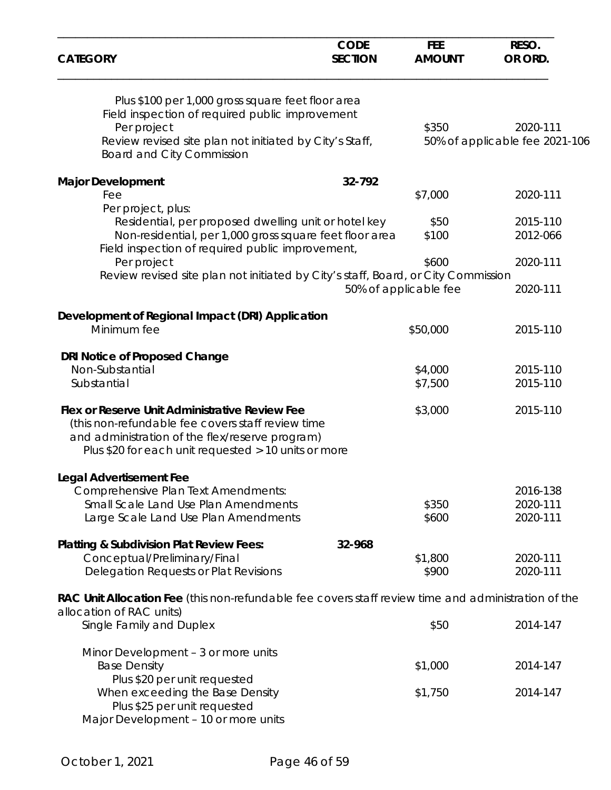| <b>CATEGORY</b>                                                                                                                                                                                                | <b>CODE</b><br><b>SECTION</b> | <b>FEE</b><br><b>AMOUNT</b> | RESO.<br>OR ORD.               |
|----------------------------------------------------------------------------------------------------------------------------------------------------------------------------------------------------------------|-------------------------------|-----------------------------|--------------------------------|
| Plus \$100 per 1,000 gross square feet floor area                                                                                                                                                              |                               |                             |                                |
| Field inspection of required public improvement                                                                                                                                                                |                               |                             |                                |
| Per project                                                                                                                                                                                                    |                               | \$350                       | 2020-111                       |
| Review revised site plan not initiated by City's Staff,<br><b>Board and City Commission</b>                                                                                                                    |                               |                             | 50% of applicable fee 2021-106 |
| <b>Major Development</b>                                                                                                                                                                                       | 32-792                        |                             |                                |
| Fee                                                                                                                                                                                                            |                               | \$7,000                     | 2020-111                       |
| Per project, plus:                                                                                                                                                                                             |                               |                             |                                |
| Residential, per proposed dwelling unit or hotel key                                                                                                                                                           |                               | \$50                        | 2015-110                       |
| Non-residential, per 1,000 gross square feet floor area<br>Field inspection of required public improvement,                                                                                                    |                               | \$100                       | 2012-066                       |
| Per project                                                                                                                                                                                                    |                               | \$600                       | 2020-111                       |
| Review revised site plan not initiated by City's staff, Board, or City Commission                                                                                                                              |                               | 50% of applicable fee       | 2020-111                       |
| Development of Regional Impact (DRI) Application                                                                                                                                                               |                               |                             |                                |
| Minimum fee                                                                                                                                                                                                    |                               | \$50,000                    | 2015-110                       |
| DRI Notice of Proposed Change                                                                                                                                                                                  |                               |                             |                                |
| Non-Substantial                                                                                                                                                                                                |                               | \$4,000                     | 2015-110                       |
| Substantial                                                                                                                                                                                                    |                               | \$7,500                     | 2015-110                       |
| Flex or Reserve Unit Administrative Review Fee<br>(this non-refundable fee covers staff review time<br>and administration of the flex/reserve program)<br>Plus \$20 for each unit requested > 10 units or more |                               | \$3,000                     | 2015-110                       |
| <b>Legal Advertisement Fee</b>                                                                                                                                                                                 |                               |                             |                                |
| Comprehensive Plan Text Amendments:                                                                                                                                                                            |                               |                             | 2016-138                       |
| Small Scale Land Use Plan Amendments                                                                                                                                                                           |                               | \$350                       | 2020-111                       |
| Large Scale Land Use Plan Amendments                                                                                                                                                                           |                               | \$600                       | 2020-111                       |
| <b>Platting &amp; Subdivision Plat Review Fees:</b>                                                                                                                                                            | 32-968                        |                             |                                |
| Conceptual/Preliminary/Final                                                                                                                                                                                   |                               | \$1,800                     | 2020-111                       |
| Delegation Requests or Plat Revisions                                                                                                                                                                          |                               | \$900                       | 2020-111                       |
| RAC Unit Allocation Fee (this non-refundable fee covers staff review time and administration of the<br>allocation of RAC units)                                                                                |                               |                             |                                |
| Single Family and Duplex                                                                                                                                                                                       |                               | \$50                        | 2014-147                       |
| Minor Development - 3 or more units                                                                                                                                                                            |                               |                             |                                |
| <b>Base Density</b>                                                                                                                                                                                            |                               | \$1,000                     | 2014-147                       |
| Plus \$20 per unit requested                                                                                                                                                                                   |                               |                             |                                |
| When exceeding the Base Density                                                                                                                                                                                |                               | \$1,750                     | 2014-147                       |
| Plus \$25 per unit requested                                                                                                                                                                                   |                               |                             |                                |
| Major Development - 10 or more units                                                                                                                                                                           |                               |                             |                                |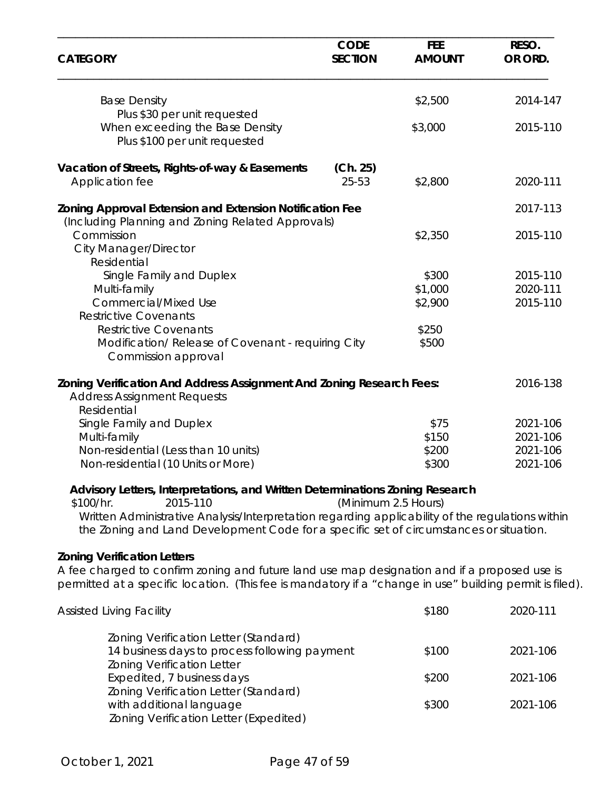| <b>CATEGORY</b>                                                                                                                                                                                                                                                                                      | <b>CODE</b><br><b>SECTION</b> | <b>FEE</b><br><b>AMOUNT</b> | RESO.<br>OR ORD. |
|------------------------------------------------------------------------------------------------------------------------------------------------------------------------------------------------------------------------------------------------------------------------------------------------------|-------------------------------|-----------------------------|------------------|
| <b>Base Density</b>                                                                                                                                                                                                                                                                                  |                               | \$2,500                     | 2014-147         |
| Plus \$30 per unit requested<br>When exceeding the Base Density<br>Plus \$100 per unit requested                                                                                                                                                                                                     |                               | \$3,000                     | 2015-110         |
| Vacation of Streets, Rights-of-way & Easements<br>Application fee                                                                                                                                                                                                                                    | (Ch. 25)<br>25-53             | \$2,800                     | 2020-111         |
| Zoning Approval Extension and Extension Notification Fee<br>(Including Planning and Zoning Related Approvals)                                                                                                                                                                                        |                               |                             | 2017-113         |
| Commission<br><b>City Manager/Director</b><br>Residential                                                                                                                                                                                                                                            |                               | \$2,350                     | 2015-110         |
| Single Family and Duplex                                                                                                                                                                                                                                                                             |                               | \$300                       | 2015-110         |
| Multi-family                                                                                                                                                                                                                                                                                         |                               | \$1,000                     | 2020-111         |
| <b>Commercial/Mixed Use</b>                                                                                                                                                                                                                                                                          |                               | \$2,900                     | 2015-110         |
| <b>Restrictive Covenants</b>                                                                                                                                                                                                                                                                         |                               |                             |                  |
| <b>Restrictive Covenants</b>                                                                                                                                                                                                                                                                         |                               | \$250                       |                  |
| Modification/ Release of Covenant - requiring City<br>Commission approval                                                                                                                                                                                                                            |                               | \$500                       |                  |
| <b>Zoning Verification And Address Assignment And Zoning Research Fees:</b><br><b>Address Assignment Requests</b><br>Residential                                                                                                                                                                     |                               |                             | 2016-138         |
| Single Family and Duplex                                                                                                                                                                                                                                                                             |                               | \$75                        | 2021-106         |
| Multi-family                                                                                                                                                                                                                                                                                         |                               | \$150                       | 2021-106         |
| Non-residential (Less than 10 units)                                                                                                                                                                                                                                                                 |                               | \$200                       | 2021-106         |
| Non-residential (10 Units or More)                                                                                                                                                                                                                                                                   |                               | \$300                       | 2021-106         |
| Advisory Letters, Interpretations, and Written Determinations Zoning Research<br>2015-110<br>\$100/hr.<br>Written Administrative Analysis/Interpretation regarding applicability of the regulations within<br>the Zoning and Land Development Code for a specific set of circumstances or situation. | (Minimum 2.5 Hours)           |                             |                  |
| <b>Zoning Verification Letters</b><br>A fee charged to confirm zoning and future land use map designation and if a proposed use is<br>permitted at a specific location. (This fee is mandatory if a "change in use" building permit is filed).                                                       |                               |                             |                  |
| <b>Assisted Living Facility</b>                                                                                                                                                                                                                                                                      |                               | \$180                       | 2020-111         |
| Zoning Verification Letter (Standard)                                                                                                                                                                                                                                                                |                               |                             |                  |
| 14 business days to process following payment<br><b>Zoning Verification Letter</b>                                                                                                                                                                                                                   |                               | \$100                       | 2021-106         |
| Expedited, 7 business days<br>Zoning Verification Letter (Standard)                                                                                                                                                                                                                                  |                               | \$200                       | 2021-106         |

Zoning Verification Letter (Expedited)

with additional language \$300 2021-106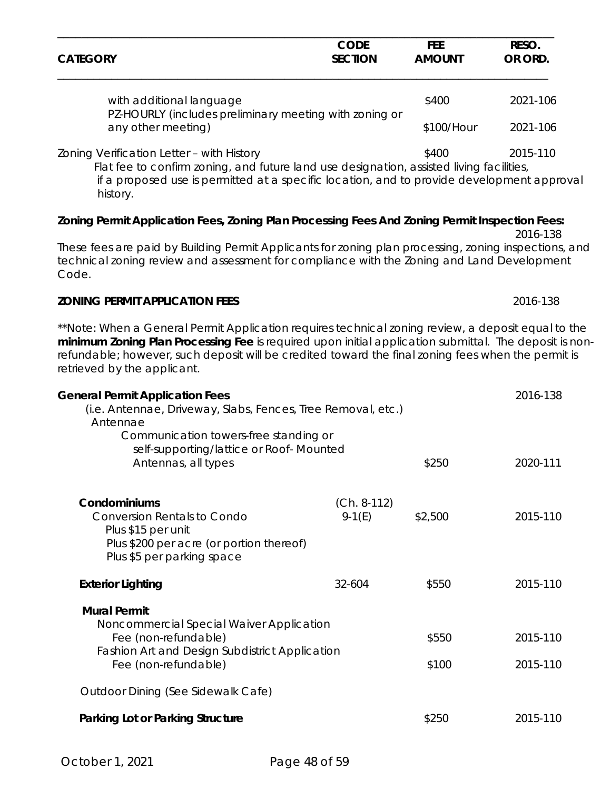| <b>CATEGORY</b>                                                                                                                                                          | <b>CODE</b><br><b>SECTION</b> | <b>FEE</b><br><b>AMOUNT</b> | RESO.<br>OR ORD. |
|--------------------------------------------------------------------------------------------------------------------------------------------------------------------------|-------------------------------|-----------------------------|------------------|
| with additional language                                                                                                                                                 |                               | \$400                       | 2021-106         |
| PZ-HOURLY (includes preliminary meeting with zoning or<br>any other meeting)                                                                                             |                               | \$100/Hour                  | 2021-106         |
| Zoning Verification Letter - with History<br>Fig. for the recognized and the computation of the computer of the state of the state of the hole of face that contribution |                               | \$400                       | 2015-110         |

 Flat fee to confirm zoning, and future land use designation, assisted living facilities, if a proposed use is permitted at a specific location, and to provide development approval history.

2016-138

#### **Zoning Permit Application Fees, Zoning Plan Processing Fees And Zoning Permit Inspection Fees:**

These fees are paid by Building Permit Applicants for zoning plan processing, zoning inspections, and technical zoning review and assessment for compliance with the Zoning and Land Development Code.

#### **ZONING PERMIT APPLICATION FEES** 2016-138

*\*\*Note: When a General Permit Application requires technical zoning review, a deposit equal to the minimum Zoning Plan Processing Fee is required upon initial application submittal. The deposit is non*refundable; however, such deposit will be credited toward the final zoning fees when the permit is *retrieved by the applicant*.

| <b>General Permit Application Fees</b><br>(i.e. Antennae, Driveway, Slabs, Fences, Tree Removal, etc.)<br>Antennae<br>Communication towers-free standing or              |                           | 2016-138       |                      |
|--------------------------------------------------------------------------------------------------------------------------------------------------------------------------|---------------------------|----------------|----------------------|
| self-supporting/lattice or Roof-Mounted<br>Antennas, all types                                                                                                           |                           | \$250          | 2020-111             |
| Condominiums<br><b>Conversion Rentals to Condo</b><br>Plus \$15 per unit<br>Plus \$200 per acre (or portion thereof)<br>Plus \$5 per parking space                       | $(Ch. 8-112)$<br>$9-1(E)$ | \$2,500        | 2015-110             |
| <b>Exterior Lighting</b>                                                                                                                                                 | 32-604                    | \$550          | 2015-110             |
| <b>Mural Permit</b><br>Noncommercial Special Waiver Application<br>Fee (non-refundable)<br><b>Fashion Art and Design Subdistrict Application</b><br>Fee (non-refundable) |                           | \$550<br>\$100 | 2015-110<br>2015-110 |
| Outdoor Dining (See Sidewalk Cafe)                                                                                                                                       |                           |                |                      |
| Parking Lot or Parking Structure                                                                                                                                         |                           | \$250          | 2015-110             |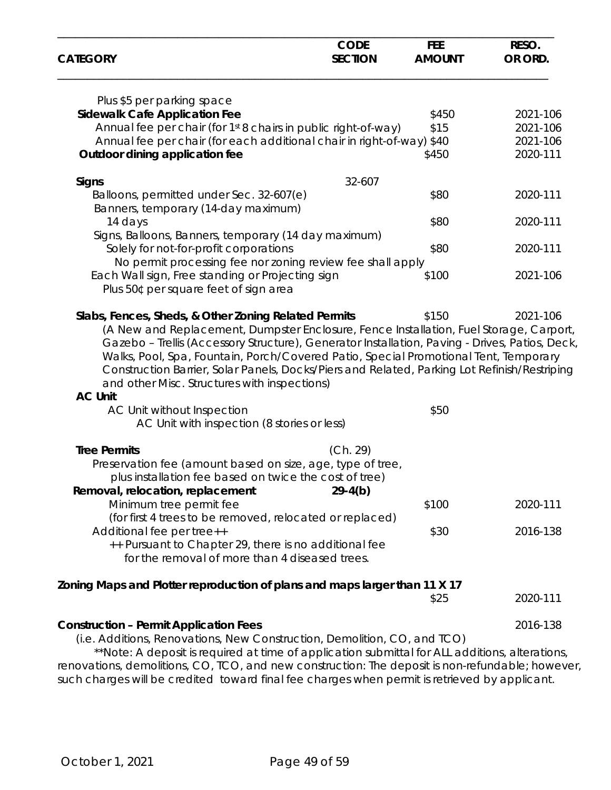| <b>CATEGORY</b>                                                                                                                                                                                                                                                                                                                     | <b>CODE</b><br><b>SECTION</b> | <b>FEE</b><br><b>AMOUNT</b> | RESO.<br>OR ORD. |
|-------------------------------------------------------------------------------------------------------------------------------------------------------------------------------------------------------------------------------------------------------------------------------------------------------------------------------------|-------------------------------|-----------------------------|------------------|
| Plus \$5 per parking space                                                                                                                                                                                                                                                                                                          |                               |                             |                  |
| <b>Sidewalk Cafe Application Fee</b>                                                                                                                                                                                                                                                                                                |                               | \$450                       | 2021-106         |
| Annual fee per chair (for 1st 8 chairs in public right-of-way)                                                                                                                                                                                                                                                                      |                               | \$15                        | 2021-106         |
| Annual fee per chair (for each additional chair in right-of-way) \$40                                                                                                                                                                                                                                                               |                               |                             | 2021-106         |
| Outdoor dining application fee                                                                                                                                                                                                                                                                                                      |                               | \$450                       | 2020-111         |
| <b>Signs</b>                                                                                                                                                                                                                                                                                                                        | 32-607                        |                             |                  |
| Balloons, permitted under Sec. 32-607(e)<br>Banners, temporary (14-day maximum)                                                                                                                                                                                                                                                     |                               | \$80                        | 2020-111         |
| 14 days                                                                                                                                                                                                                                                                                                                             |                               | \$80                        | 2020-111         |
| Signs, Balloons, Banners, temporary (14 day maximum)                                                                                                                                                                                                                                                                                |                               |                             |                  |
| Solely for not-for-profit corporations                                                                                                                                                                                                                                                                                              |                               | \$80                        | 2020-111         |
| No permit processing fee nor zoning review fee shall apply                                                                                                                                                                                                                                                                          |                               |                             |                  |
| Each Wall sign, Free standing or Projecting sign<br>Plus 50¢ per square feet of sign area                                                                                                                                                                                                                                           |                               | \$100                       | 2021-106         |
| Slabs, Fences, Sheds, & Other Zoning Related Permits                                                                                                                                                                                                                                                                                |                               | \$150                       | 2021-106         |
| Walks, Pool, Spa, Fountain, Porch/Covered Patio, Special Promotional Tent, Temporary<br>Construction Barrier, Solar Panels, Docks/Piers and Related, Parking Lot Refinish/Restriping<br>and other Misc. Structures with inspections)<br><b>AC Unit</b><br>AC Unit without Inspection<br>AC Unit with inspection (8 stories or less) |                               | \$50                        |                  |
| <b>Tree Permits</b>                                                                                                                                                                                                                                                                                                                 | (Ch. 29)                      |                             |                  |
| Preservation fee (amount based on size, age, type of tree,<br>plus installation fee based on twice the cost of tree)                                                                                                                                                                                                                |                               |                             |                  |
| Removal, relocation, replacement<br>Minimum tree permit fee                                                                                                                                                                                                                                                                         | $29-4(b)$                     | \$100                       | 2020-111         |
| (for first 4 trees to be removed, relocated or replaced)                                                                                                                                                                                                                                                                            |                               |                             |                  |
| Additional fee per tree++                                                                                                                                                                                                                                                                                                           |                               | \$30                        | 2016-138         |
| ++ Pursuant to Chapter 29, there is no additional fee<br>for the removal of more than 4 diseased trees.                                                                                                                                                                                                                             |                               |                             |                  |
| Zoning Maps and Plotter reproduction of plans and maps larger than 11 X 17                                                                                                                                                                                                                                                          |                               |                             |                  |
|                                                                                                                                                                                                                                                                                                                                     |                               | \$25                        | 2020-111         |
| <b>Construction - Permit Application Fees</b>                                                                                                                                                                                                                                                                                       |                               |                             | 2016-138         |
| (i.e. Additions, Renovations, New Construction, Demolition, CO, and TCO)<br>**Note: A deposit is required at time of application submittal for ALL additions, alterations,                                                                                                                                                          |                               |                             |                  |
| renovations, demolitions, CO, TCO, and new construction: The deposit is non-refundable; however,                                                                                                                                                                                                                                    |                               |                             |                  |

such charges will be credited toward final fee charges when permit is retrieved by applicant.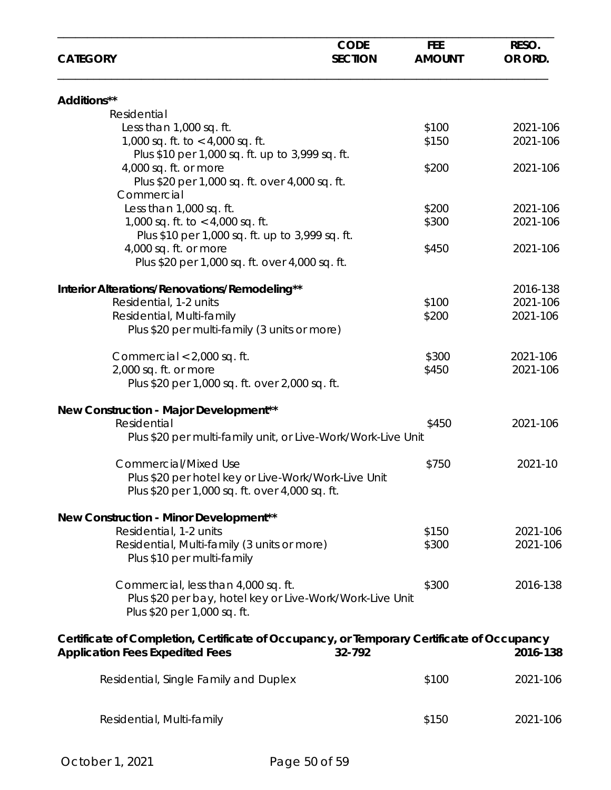| <b>CATEGORY</b>                                                                            | <b>CODE</b><br><b>SECTION</b> | <b>FEE</b><br><b>AMOUNT</b> | RESO.<br>OR ORD. |
|--------------------------------------------------------------------------------------------|-------------------------------|-----------------------------|------------------|
| Additions**                                                                                |                               |                             |                  |
| Residential                                                                                |                               |                             |                  |
| Less than 1,000 sq. ft.                                                                    |                               | \$100                       | 2021-106         |
| 1,000 sq. ft. to $<$ 4,000 sq. ft.                                                         |                               | \$150                       | 2021-106         |
| Plus \$10 per 1,000 sq. ft. up to 3,999 sq. ft.                                            |                               |                             |                  |
| 4,000 sq. ft. or more                                                                      |                               | \$200                       | 2021-106         |
| Plus \$20 per 1,000 sq. ft. over 4,000 sq. ft.<br>Commercial                               |                               |                             |                  |
| Less than 1,000 sq. ft.                                                                    |                               | \$200                       | 2021-106         |
| 1,000 sq. ft. to $<$ 4,000 sq. ft.                                                         |                               | \$300                       | 2021-106         |
| Plus \$10 per 1,000 sq. ft. up to 3,999 sq. ft.                                            |                               |                             |                  |
| 4,000 sq. ft. or more                                                                      |                               | \$450                       | 2021-106         |
| Plus \$20 per 1,000 sq. ft. over 4,000 sq. ft.                                             |                               |                             |                  |
|                                                                                            |                               |                             |                  |
| Interior Alterations/Renovations/Remodeling**                                              |                               |                             | 2016-138         |
| Residential, 1-2 units                                                                     |                               | \$100                       | 2021-106         |
| Residential, Multi-family                                                                  |                               | \$200                       | 2021-106         |
| Plus \$20 per multi-family (3 units or more)                                               |                               |                             |                  |
|                                                                                            |                               | \$300                       | 2021-106         |
| Commercial < 2,000 sq. ft.<br>2,000 sq. ft. or more                                        |                               | \$450                       | 2021-106         |
| Plus \$20 per 1,000 sq. ft. over 2,000 sq. ft.                                             |                               |                             |                  |
|                                                                                            |                               |                             |                  |
| New Construction - Major Development**                                                     |                               |                             |                  |
| Residential                                                                                |                               | \$450                       | 2021-106         |
| Plus \$20 per multi-family unit, or Live-Work/Work-Live Unit                               |                               |                             |                  |
| <b>Commercial/Mixed Use</b>                                                                |                               | \$750                       | 2021-10          |
| Plus \$20 per hotel key or Live-Work/Work-Live Unit                                        |                               |                             |                  |
| Plus \$20 per 1,000 sq. ft. over 4,000 sq. ft.                                             |                               |                             |                  |
|                                                                                            |                               |                             |                  |
| New Construction - Minor Development**                                                     |                               |                             |                  |
| Residential, 1-2 units                                                                     |                               | \$150                       | 2021-106         |
| Residential, Multi-family (3 units or more)                                                |                               | \$300                       | 2021-106         |
| Plus \$10 per multi-family                                                                 |                               |                             |                  |
| Commercial, less than 4,000 sq. ft.                                                        |                               | \$300                       | 2016-138         |
| Plus \$20 per bay, hotel key or Live-Work/Work-Live Unit                                   |                               |                             |                  |
| Plus \$20 per 1,000 sq. ft.                                                                |                               |                             |                  |
|                                                                                            |                               |                             |                  |
| Certificate of Completion, Certificate of Occupancy, or Temporary Certificate of Occupancy |                               |                             |                  |
| <b>Application Fees Expedited Fees</b>                                                     | 32-792                        |                             | 2016-138         |
| Residential, Single Family and Duplex                                                      |                               | \$100                       | 2021-106         |
|                                                                                            |                               |                             |                  |
|                                                                                            |                               |                             |                  |
| Residential, Multi-family                                                                  |                               | \$150                       | 2021-106         |
|                                                                                            |                               |                             |                  |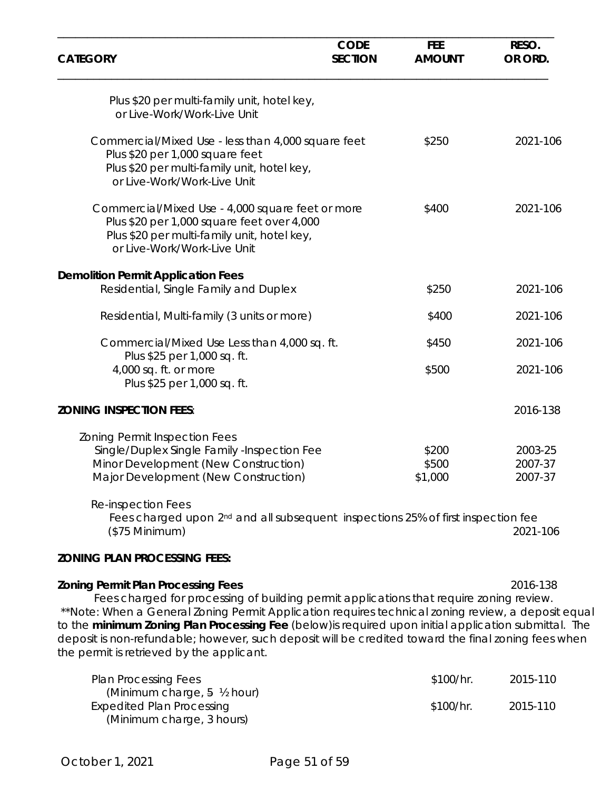| <b>CATEGORY</b>                                                                                                                                                                                                                                                                                                                                                                                                                                                                                           | <b>CODE</b><br><b>SECTION</b> | <b>FEE</b><br><b>AMOUNT</b> | RESO.<br>OR ORD.              |
|-----------------------------------------------------------------------------------------------------------------------------------------------------------------------------------------------------------------------------------------------------------------------------------------------------------------------------------------------------------------------------------------------------------------------------------------------------------------------------------------------------------|-------------------------------|-----------------------------|-------------------------------|
| Plus \$20 per multi-family unit, hotel key,<br>or Live-Work/Work-Live Unit                                                                                                                                                                                                                                                                                                                                                                                                                                |                               |                             |                               |
| Commercial/Mixed Use - less than 4,000 square feet<br>Plus \$20 per 1,000 square feet<br>Plus \$20 per multi-family unit, hotel key,<br>or Live-Work/Work-Live Unit                                                                                                                                                                                                                                                                                                                                       |                               | \$250                       | 2021-106                      |
| Commercial/Mixed Use - 4,000 square feet or more<br>Plus \$20 per 1,000 square feet over 4,000<br>Plus \$20 per multi-family unit, hotel key,<br>or Live-Work/Work-Live Unit                                                                                                                                                                                                                                                                                                                              |                               | \$400                       | 2021-106                      |
| <b>Demolition Permit Application Fees</b><br>Residential, Single Family and Duplex                                                                                                                                                                                                                                                                                                                                                                                                                        |                               | \$250                       | 2021-106                      |
| Residential, Multi-family (3 units or more)                                                                                                                                                                                                                                                                                                                                                                                                                                                               |                               | \$400                       | 2021-106                      |
| Commercial/Mixed Use Less than 4,000 sq. ft.                                                                                                                                                                                                                                                                                                                                                                                                                                                              |                               | \$450                       | 2021-106                      |
| Plus \$25 per 1,000 sq. ft.<br>4,000 sq. ft. or more<br>Plus \$25 per 1,000 sq. ft.                                                                                                                                                                                                                                                                                                                                                                                                                       |                               | \$500                       | 2021-106                      |
| <b>ZONING INSPECTION FEES:</b>                                                                                                                                                                                                                                                                                                                                                                                                                                                                            |                               |                             | 2016-138                      |
| <b>Zoning Permit Inspection Fees</b><br>Single/Duplex Single Family -Inspection Fee<br>Minor Development (New Construction)<br>Major Development (New Construction)<br><b>Re-inspection Fees</b>                                                                                                                                                                                                                                                                                                          |                               | \$200<br>\$500<br>\$1,000   | 2003-25<br>2007-37<br>2007-37 |
| Fees charged upon 2 <sup>nd</sup> and all subsequent inspections 25% of first inspection fee<br>$($75$ Minimum)                                                                                                                                                                                                                                                                                                                                                                                           |                               |                             | 2021-106                      |
| <b>ZONING PLAN PROCESSING FEES:</b>                                                                                                                                                                                                                                                                                                                                                                                                                                                                       |                               |                             |                               |
| <b>Zoning Permit Plan Processing Fees</b><br>Fees charged for processing of building permit applications that require zoning review.<br>**Note: When a General Zoning Permit Application requires technical zoning review, a deposit equal**<br>to the minimum Zoning Plan Processing Fee (below) is required upon initial application submittal. The<br>deposit is non-refundable; however, such deposit will be credited toward the final zoning fees when<br>the permit is retrieved by the applicant. |                               |                             | 2016-138                      |
| <b>Plan Processing Fees</b><br>(Minimum charge, 5 1/2 hour)                                                                                                                                                                                                                                                                                                                                                                                                                                               |                               | \$100/hr.                   | 2015-110                      |
| <b>Expedited Plan Processing</b>                                                                                                                                                                                                                                                                                                                                                                                                                                                                          |                               | \$100/hr.                   | 2015-110                      |

(Minimum charge, 3 hours)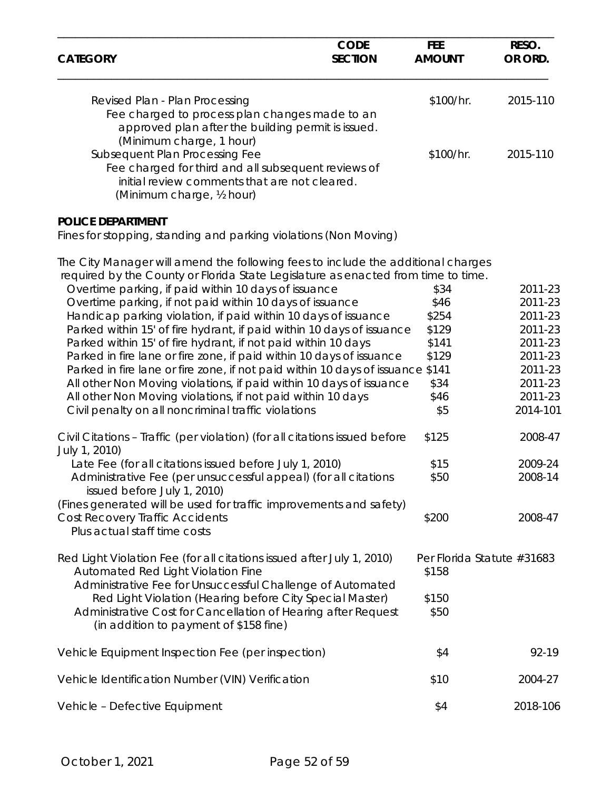| <b>CATEGORY</b>                                                                                                                                                                                                                                                                                                                                                                                                                                                                                                                                                                                                                                                                                                                                                                                                                                              | <b>CODE</b><br><b>SECTION</b> | <b>FEE</b><br><b>AMOUNT</b>                                             | RESO.<br>OR ORD.                                                                                            |
|--------------------------------------------------------------------------------------------------------------------------------------------------------------------------------------------------------------------------------------------------------------------------------------------------------------------------------------------------------------------------------------------------------------------------------------------------------------------------------------------------------------------------------------------------------------------------------------------------------------------------------------------------------------------------------------------------------------------------------------------------------------------------------------------------------------------------------------------------------------|-------------------------------|-------------------------------------------------------------------------|-------------------------------------------------------------------------------------------------------------|
| Revised Plan - Plan Processing<br>Fee charged to process plan changes made to an<br>approved plan after the building permit is issued.                                                                                                                                                                                                                                                                                                                                                                                                                                                                                                                                                                                                                                                                                                                       |                               | \$100/hr.                                                               | 2015-110                                                                                                    |
| (Minimum charge, 1 hour)<br>Subsequent Plan Processing Fee<br>Fee charged for third and all subsequent reviews of<br>initial review comments that are not cleared.<br>(Minimum charge, 1/2 hour)                                                                                                                                                                                                                                                                                                                                                                                                                                                                                                                                                                                                                                                             |                               | \$100/hr.                                                               | 2015-110                                                                                                    |
| <b>POLICE DEPARTMENT</b><br>Fines for stopping, standing and parking violations (Non Moving)                                                                                                                                                                                                                                                                                                                                                                                                                                                                                                                                                                                                                                                                                                                                                                 |                               |                                                                         |                                                                                                             |
| The City Manager will amend the following fees to include the additional charges<br>required by the County or Florida State Legislature as enacted from time to time.<br>Overtime parking, if paid within 10 days of issuance<br>Overtime parking, if not paid within 10 days of issuance<br>Handicap parking violation, if paid within 10 days of issuance<br>Parked within 15' of fire hydrant, if paid within 10 days of issuance<br>Parked within 15' of fire hydrant, if not paid within 10 days<br>Parked in fire lane or fire zone, if paid within 10 days of issuance<br>Parked in fire lane or fire zone, if not paid within 10 days of issuance \$141<br>All other Non Moving violations, if paid within 10 days of issuance<br>All other Non Moving violations, if not paid within 10 days<br>Civil penalty on all noncriminal traffic violations |                               | \$34<br>\$46<br>\$254<br>\$129<br>\$141<br>\$129<br>\$34<br>\$46<br>\$5 | 2011-23<br>2011-23<br>2011-23<br>2011-23<br>2011-23<br>2011-23<br>2011-23<br>2011-23<br>2011-23<br>2014-101 |
| Civil Citations - Traffic (per violation) (for all citations issued before<br>July 1, 2010)<br>Late Fee (for all citations issued before July 1, 2010)<br>Administrative Fee (per unsuccessful appeal) (for all citations<br>issued before July 1, 2010)<br>(Fines generated will be used for traffic improvements and safety)<br><b>Cost Recovery Traffic Accidents</b><br>Plus actual staff time costs                                                                                                                                                                                                                                                                                                                                                                                                                                                     |                               | \$125<br>\$15<br>\$50<br>\$200                                          | 2008-47<br>2009-24<br>2008-14<br>2008-47                                                                    |
| Red Light Violation Fee (for all citations issued after July 1, 2010)<br>Automated Red Light Violation Fine<br>Administrative Fee for Unsuccessful Challenge of Automated<br>Red Light Violation (Hearing before City Special Master)<br>Administrative Cost for Cancellation of Hearing after Request<br>(in addition to payment of \$158 fine)                                                                                                                                                                                                                                                                                                                                                                                                                                                                                                             |                               | \$158<br>\$150<br>\$50                                                  | Per Florida Statute #31683                                                                                  |
| Vehicle Equipment Inspection Fee (per inspection)                                                                                                                                                                                                                                                                                                                                                                                                                                                                                                                                                                                                                                                                                                                                                                                                            |                               | \$4                                                                     | 92-19                                                                                                       |
| Vehicle Identification Number (VIN) Verification                                                                                                                                                                                                                                                                                                                                                                                                                                                                                                                                                                                                                                                                                                                                                                                                             |                               | \$10                                                                    | 2004-27                                                                                                     |
| Vehicle - Defective Equipment                                                                                                                                                                                                                                                                                                                                                                                                                                                                                                                                                                                                                                                                                                                                                                                                                                |                               | \$4                                                                     | 2018-106                                                                                                    |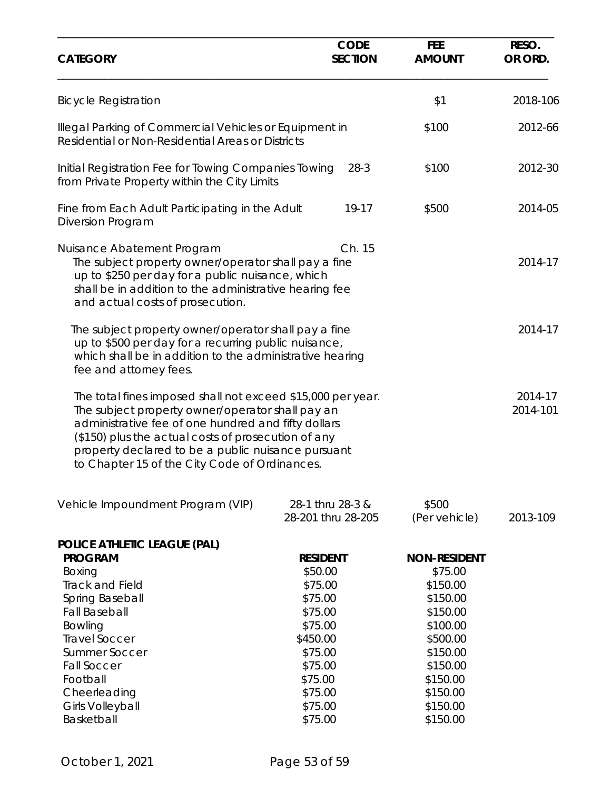| <b>CODE</b><br><b>SECTION</b>                                                                                                             | <b>FEE</b><br><b>AMOUNT</b>                                                                                                                                                                                                                                                                                                                                                                                                                                                                                                                                                                                                                                                                                                                                                                                                                                                                                                                                      | RESO.<br>OR ORD.    |
|-------------------------------------------------------------------------------------------------------------------------------------------|------------------------------------------------------------------------------------------------------------------------------------------------------------------------------------------------------------------------------------------------------------------------------------------------------------------------------------------------------------------------------------------------------------------------------------------------------------------------------------------------------------------------------------------------------------------------------------------------------------------------------------------------------------------------------------------------------------------------------------------------------------------------------------------------------------------------------------------------------------------------------------------------------------------------------------------------------------------|---------------------|
|                                                                                                                                           | \$1                                                                                                                                                                                                                                                                                                                                                                                                                                                                                                                                                                                                                                                                                                                                                                                                                                                                                                                                                              | 2018-106            |
|                                                                                                                                           | \$100                                                                                                                                                                                                                                                                                                                                                                                                                                                                                                                                                                                                                                                                                                                                                                                                                                                                                                                                                            | 2012-66             |
| $28-3$                                                                                                                                    | \$100                                                                                                                                                                                                                                                                                                                                                                                                                                                                                                                                                                                                                                                                                                                                                                                                                                                                                                                                                            | 2012-30             |
| 19-17                                                                                                                                     | \$500                                                                                                                                                                                                                                                                                                                                                                                                                                                                                                                                                                                                                                                                                                                                                                                                                                                                                                                                                            | 2014-05             |
| Ch. 15                                                                                                                                    |                                                                                                                                                                                                                                                                                                                                                                                                                                                                                                                                                                                                                                                                                                                                                                                                                                                                                                                                                                  | 2014-17             |
|                                                                                                                                           |                                                                                                                                                                                                                                                                                                                                                                                                                                                                                                                                                                                                                                                                                                                                                                                                                                                                                                                                                                  | 2014-17             |
|                                                                                                                                           |                                                                                                                                                                                                                                                                                                                                                                                                                                                                                                                                                                                                                                                                                                                                                                                                                                                                                                                                                                  | 2014-17<br>2014-101 |
| 28-1 thru 28-3 &<br>28-201 thru 28-205                                                                                                    | \$500<br>(Per vehicle)                                                                                                                                                                                                                                                                                                                                                                                                                                                                                                                                                                                                                                                                                                                                                                                                                                                                                                                                           | 2013-109            |
| <b>RESIDENT</b><br>\$50.00<br>\$75.00<br>\$75.00<br>\$75.00<br>\$75.00<br>\$450.00<br>\$75.00<br>\$75.00<br>\$75.00<br>\$75.00<br>\$75.00 | <b>NON-RESIDENT</b><br>\$75.00<br>\$150.00<br>\$150.00<br>\$150.00<br>\$100.00<br>\$500.00<br>\$150.00<br>\$150.00<br>\$150.00<br>\$150.00<br>\$150.00                                                                                                                                                                                                                                                                                                                                                                                                                                                                                                                                                                                                                                                                                                                                                                                                           |                     |
|                                                                                                                                           | Illegal Parking of Commercial Vehicles or Equipment in<br>Residential or Non-Residential Areas or Districts<br>Initial Registration Fee for Towing Companies Towing<br>from Private Property within the City Limits<br>Fine from Each Adult Participating in the Adult<br>The subject property owner/operator shall pay a fine<br>up to \$250 per day for a public nuisance, which<br>shall be in addition to the administrative hearing fee<br>The subject property owner/operator shall pay a fine<br>up to \$500 per day for a recurring public nuisance,<br>which shall be in addition to the administrative hearing<br>The total fines imposed shall not exceed \$15,000 per year.<br>The subject property owner/operator shall pay an<br>administrative fee of one hundred and fifty dollars<br>(\$150) plus the actual costs of prosecution of any<br>property declared to be a public nuisance pursuant<br>to Chapter 15 of the City Code of Ordinances. |                     |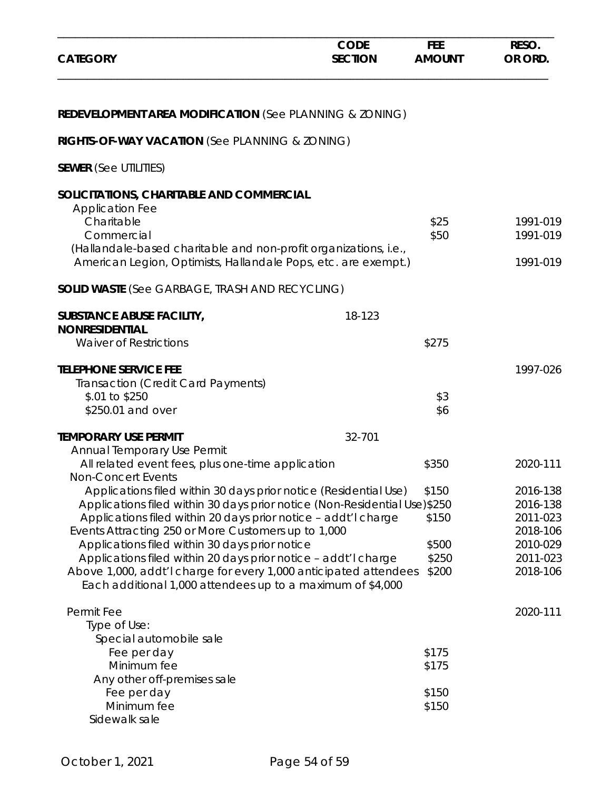| <b>CATEGORY</b>                                                                                                                                                                                                                                                                                                                                                                                                                                                                                                              | <b>CODE</b><br><b>SECTION</b> | <b>FEE</b><br><b>AMOUNT</b>               | RESO.<br>OR ORD.                                                                 |
|------------------------------------------------------------------------------------------------------------------------------------------------------------------------------------------------------------------------------------------------------------------------------------------------------------------------------------------------------------------------------------------------------------------------------------------------------------------------------------------------------------------------------|-------------------------------|-------------------------------------------|----------------------------------------------------------------------------------|
| <b>REDEVELOPMENT AREA MODIFICATION (See PLANNING &amp; ZONING)</b>                                                                                                                                                                                                                                                                                                                                                                                                                                                           |                               |                                           |                                                                                  |
| RIGHTS-OF-WAY VACATION (See PLANNING & ZONING)                                                                                                                                                                                                                                                                                                                                                                                                                                                                               |                               |                                           |                                                                                  |
| <b>SEWER</b> (See UTILITIES)                                                                                                                                                                                                                                                                                                                                                                                                                                                                                                 |                               |                                           |                                                                                  |
| SOLICITATIONS, CHARITABLE AND COMMERCIAL<br><b>Application Fee</b><br>Charitable<br>Commercial<br>(Hallandale-based charitable and non-profit organizations, i.e.,<br>American Legion, Optimists, Hallandale Pops, etc. are exempt.)                                                                                                                                                                                                                                                                                         |                               | \$25<br>\$50                              | 1991-019<br>1991-019<br>1991-019                                                 |
| <b>SOLID WASTE (See GARBAGE, TRASH AND RECYCLING)</b>                                                                                                                                                                                                                                                                                                                                                                                                                                                                        |                               |                                           |                                                                                  |
| <b>SUBSTANCE ABUSE FACILITY,</b><br><b>NONRESIDENTIAL</b>                                                                                                                                                                                                                                                                                                                                                                                                                                                                    | 18-123                        |                                           |                                                                                  |
| <b>Waiver of Restrictions</b>                                                                                                                                                                                                                                                                                                                                                                                                                                                                                                |                               | \$275                                     |                                                                                  |
| <b>TELEPHONE SERVICE FEE</b><br>Transaction (Credit Card Payments)<br>\$.01 to \$250<br>\$250.01 and over<br><b>TEMPORARY USE PERMIT</b>                                                                                                                                                                                                                                                                                                                                                                                     | 32-701                        | \$3<br>\$6                                | 1997-026                                                                         |
| Annual Temporary Use Permit<br>All related event fees, plus one-time application<br><b>Non-Concert Events</b>                                                                                                                                                                                                                                                                                                                                                                                                                |                               | \$350                                     | 2020-111                                                                         |
| Applications filed within 30 days prior notice (Residential Use)<br>Applications filed within 30 days prior notice (Non-Residential Use)\$250<br>Applications filed within 20 days prior notice - addt'l charge<br>Events Attracting 250 or More Customers up to 1,000<br>Applications filed within 30 days prior notice<br>Applications filed within 20 days prior notice - addt'l charge<br>Above 1,000, addt'l charge for every 1,000 anticipated attendees<br>Each additional 1,000 attendees up to a maximum of \$4,000 |                               | \$150<br>\$150<br>\$500<br>\$250<br>\$200 | 2016-138<br>2016-138<br>2011-023<br>2018-106<br>2010-029<br>2011-023<br>2018-106 |
| Permit Fee<br>Type of Use:<br>Special automobile sale<br>Fee per day                                                                                                                                                                                                                                                                                                                                                                                                                                                         |                               | \$175                                     | 2020-111                                                                         |
| Minimum fee<br>Any other off-premises sale<br>Fee per day<br>Minimum fee                                                                                                                                                                                                                                                                                                                                                                                                                                                     |                               | \$175<br>\$150<br>\$150                   |                                                                                  |
| Sidewalk sale                                                                                                                                                                                                                                                                                                                                                                                                                                                                                                                |                               |                                           |                                                                                  |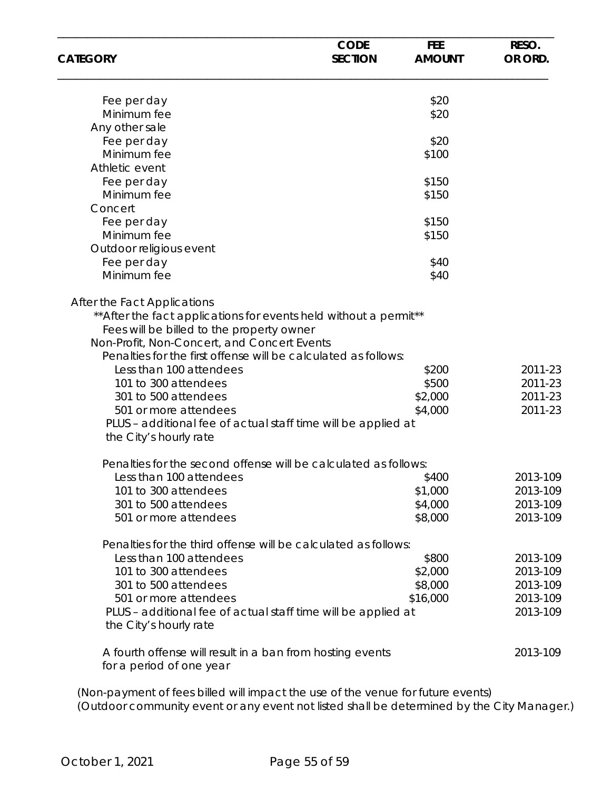| <b>CATEGORY</b>                                                                                                                                                                                                                                                                                                                                                                                                                | <b>CODE</b><br><b>SECTION</b> | <b>FEE</b><br><b>AMOUNT</b>          | RESO.<br>OR ORD.                         |
|--------------------------------------------------------------------------------------------------------------------------------------------------------------------------------------------------------------------------------------------------------------------------------------------------------------------------------------------------------------------------------------------------------------------------------|-------------------------------|--------------------------------------|------------------------------------------|
| Fee per day                                                                                                                                                                                                                                                                                                                                                                                                                    |                               | \$20                                 |                                          |
| Minimum fee                                                                                                                                                                                                                                                                                                                                                                                                                    |                               | \$20                                 |                                          |
| Any other sale                                                                                                                                                                                                                                                                                                                                                                                                                 |                               |                                      |                                          |
| Fee per day                                                                                                                                                                                                                                                                                                                                                                                                                    |                               | \$20                                 |                                          |
| Minimum fee                                                                                                                                                                                                                                                                                                                                                                                                                    |                               | \$100                                |                                          |
| Athletic event                                                                                                                                                                                                                                                                                                                                                                                                                 |                               |                                      |                                          |
| Fee per day                                                                                                                                                                                                                                                                                                                                                                                                                    |                               | \$150                                |                                          |
| Minimum fee                                                                                                                                                                                                                                                                                                                                                                                                                    |                               | \$150                                |                                          |
| Concert                                                                                                                                                                                                                                                                                                                                                                                                                        |                               |                                      |                                          |
| Fee per day                                                                                                                                                                                                                                                                                                                                                                                                                    |                               | \$150                                |                                          |
| Minimum fee                                                                                                                                                                                                                                                                                                                                                                                                                    |                               | \$150                                |                                          |
| Outdoor religious event                                                                                                                                                                                                                                                                                                                                                                                                        |                               |                                      |                                          |
| Fee per day                                                                                                                                                                                                                                                                                                                                                                                                                    |                               | \$40                                 |                                          |
| Minimum fee                                                                                                                                                                                                                                                                                                                                                                                                                    |                               | \$40                                 |                                          |
| ** After the fact applications for events held without a permit**<br>Fees will be billed to the property owner<br>Non-Profit, Non-Concert, and Concert Events<br>Penalties for the first offense will be calculated as follows:<br>Less than 100 attendees<br>101 to 300 attendees<br>301 to 500 attendees<br>501 or more attendees<br>PLUS – additional fee of actual staff time will be applied at<br>the City's hourly rate |                               | \$200<br>\$500<br>\$2,000<br>\$4,000 | 2011-23<br>2011-23<br>2011-23<br>2011-23 |
| Penalties for the second offense will be calculated as follows:                                                                                                                                                                                                                                                                                                                                                                |                               |                                      |                                          |
| Less than 100 attendees                                                                                                                                                                                                                                                                                                                                                                                                        |                               | \$400                                | 2013-109                                 |
| 101 to 300 attendees                                                                                                                                                                                                                                                                                                                                                                                                           |                               | \$1,000                              | 2013-109                                 |
| 301 to 500 attendees                                                                                                                                                                                                                                                                                                                                                                                                           |                               | \$4,000                              | 2013-109                                 |
| 501 or more attendees                                                                                                                                                                                                                                                                                                                                                                                                          |                               | \$8,000                              | 2013-109                                 |
| Penalties for the third offense will be calculated as follows:                                                                                                                                                                                                                                                                                                                                                                 |                               |                                      |                                          |
| Less than 100 attendees                                                                                                                                                                                                                                                                                                                                                                                                        |                               | \$800                                | 2013-109                                 |
| 101 to 300 attendees                                                                                                                                                                                                                                                                                                                                                                                                           |                               | \$2,000                              | 2013-109                                 |
| 301 to 500 attendees                                                                                                                                                                                                                                                                                                                                                                                                           |                               | \$8,000                              | 2013-109                                 |
| 501 or more attendees                                                                                                                                                                                                                                                                                                                                                                                                          |                               | \$16,000                             | 2013-109                                 |
| PLUS - additional fee of actual staff time will be applied at<br>the City's hourly rate                                                                                                                                                                                                                                                                                                                                        |                               |                                      | 2013-109                                 |
| A fourth offense will result in a ban from hosting events<br>for a period of one year                                                                                                                                                                                                                                                                                                                                          |                               |                                      | 2013-109                                 |

 (Non-payment of fees billed will impact the use of the venue for future events) (Outdoor community event or any event not listed shall be determined by the City Manager.)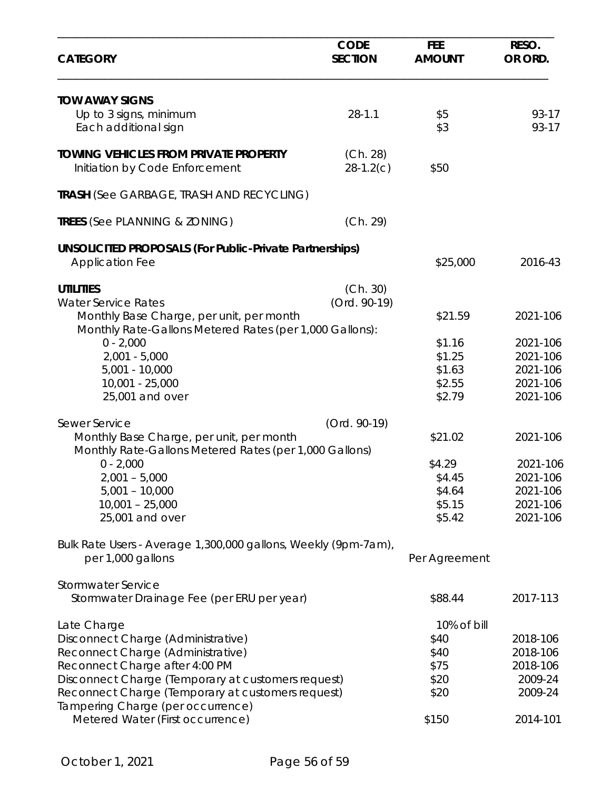| <b>CATEGORY</b>                                                                                     | <b>CODE</b><br><b>SECTION</b> | <b>FEE</b><br><b>AMOUNT</b> | RESO.<br>OR ORD. |
|-----------------------------------------------------------------------------------------------------|-------------------------------|-----------------------------|------------------|
| <b>TOW AWAY SIGNS</b>                                                                               |                               |                             |                  |
| Up to 3 signs, minimum                                                                              | $28 - 1.1$                    | \$5                         | 93-17            |
| Each additional sign                                                                                |                               | \$3                         | 93-17            |
| <b>TOWING VEHICLES FROM PRIVATE PROPERTY</b>                                                        | (Ch. 28)                      |                             |                  |
| Initiation by Code Enforcement                                                                      | $28-1.2(c)$                   | \$50                        |                  |
| <b>TRASH (See GARBAGE, TRASH AND RECYCLING)</b>                                                     |                               |                             |                  |
| <b>TREES (See PLANNING &amp; ZONING)</b>                                                            | (Ch. 29)                      |                             |                  |
| <b>UNSOLICITED PROPOSALS (For Public-Private Partnerships)</b>                                      |                               |                             |                  |
| <b>Application Fee</b>                                                                              |                               | \$25,000                    | 2016-43          |
| <b>UTILITIES</b>                                                                                    | (Ch. 30)                      |                             |                  |
| <b>Water Service Rates</b>                                                                          | (Ord. 90-19)                  |                             |                  |
| Monthly Base Charge, per unit, per month<br>Monthly Rate-Gallons Metered Rates (per 1,000 Gallons): |                               | \$21.59                     | 2021-106         |
| $0 - 2,000$                                                                                         |                               | \$1.16                      | 2021-106         |
| $2,001 - 5,000$                                                                                     |                               | \$1.25                      | 2021-106         |
| $5,001 - 10,000$                                                                                    |                               | \$1.63                      | 2021-106         |
| $10,001 - 25,000$                                                                                   |                               | \$2.55                      | 2021-106         |
| 25,001 and over                                                                                     |                               | \$2.79                      | 2021-106         |
| Sewer Service                                                                                       | (Ord. 90-19)                  |                             |                  |
| Monthly Base Charge, per unit, per month<br>Monthly Rate-Gallons Metered Rates (per 1,000 Gallons)  |                               | \$21.02                     | 2021-106         |
| $0 - 2,000$                                                                                         |                               | \$4.29                      | 2021-106         |
| $2,001 - 5,000$                                                                                     |                               | \$4.45                      | 2021-106         |
| $5,001 - 10,000$                                                                                    |                               | \$4.64                      | 2021-106         |
| $10,001 - 25,000$                                                                                   |                               | \$5.15                      | 2021-106         |
| 25,001 and over                                                                                     |                               | \$5.42                      | 2021-106         |
| Bulk Rate Users - Average 1,300,000 gallons, Weekly (9pm-7am),                                      |                               |                             |                  |
| per 1,000 gallons                                                                                   |                               | Per Agreement               |                  |
| <b>Stormwater Service</b>                                                                           |                               |                             |                  |
| Stormwater Drainage Fee (per ERU per year)                                                          |                               | \$88.44                     | 2017-113         |
| Late Charge                                                                                         |                               | 10% of bill                 |                  |
| Disconnect Charge (Administrative)                                                                  |                               | \$40                        | 2018-106         |
| Reconnect Charge (Administrative)                                                                   |                               | \$40                        | 2018-106         |
| Reconnect Charge after 4:00 PM                                                                      |                               | \$75                        | 2018-106         |
| Disconnect Charge (Temporary at customers request)                                                  |                               | \$20                        | 2009-24          |
| Reconnect Charge (Temporary at customers request)<br>Tampering Charge (per occurrence)              |                               | \$20                        | 2009-24          |
| Metered Water (First occurrence)                                                                    |                               | \$150                       | 2014-101         |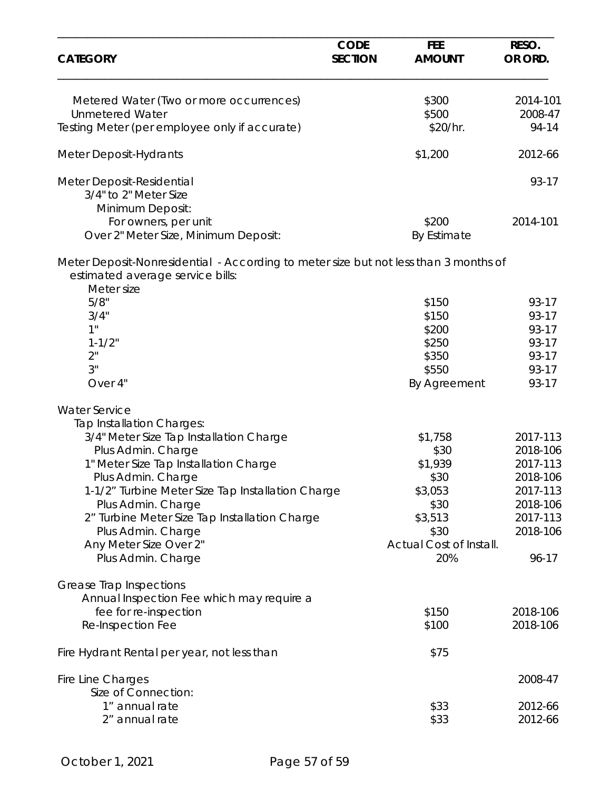| <b>CATEGORY</b>                                                                                                          | <b>CODE</b><br><b>SECTION</b> | <b>FEE</b><br><b>AMOUNT</b> | RESO.<br>OR ORD. |
|--------------------------------------------------------------------------------------------------------------------------|-------------------------------|-----------------------------|------------------|
| Metered Water (Two or more occurrences)                                                                                  |                               | \$300                       | 2014-101         |
| <b>Unmetered Water</b>                                                                                                   |                               | \$500                       | 2008-47          |
| Testing Meter (per employee only if accurate)                                                                            |                               | \$20/hr.                    | 94-14            |
| <b>Meter Deposit-Hydrants</b>                                                                                            |                               | \$1,200                     | 2012-66          |
| Meter Deposit-Residential                                                                                                |                               |                             | 93-17            |
| 3/4" to 2" Meter Size                                                                                                    |                               |                             |                  |
| Minimum Deposit:                                                                                                         |                               |                             |                  |
| For owners, per unit                                                                                                     |                               | \$200                       | 2014-101         |
| Over 2" Meter Size, Minimum Deposit:                                                                                     |                               | By Estimate                 |                  |
| Meter Deposit-Nonresidential - According to meter size but not less than 3 months of<br>estimated average service bills: |                               |                             |                  |
| Meter size<br>5/8"                                                                                                       |                               |                             |                  |
| 3/4"                                                                                                                     |                               | \$150<br>\$150              | 93-17<br>93-17   |
| 1"                                                                                                                       |                               | \$200                       | 93-17            |
| $1 - 1/2"$                                                                                                               |                               | \$250                       | 93-17            |
| 2"                                                                                                                       |                               | \$350                       | 93-17            |
| 3"                                                                                                                       |                               | \$550                       | 93-17            |
| Over 4"                                                                                                                  |                               | By Agreement                | 93-17            |
| <b>Water Service</b>                                                                                                     |                               |                             |                  |
| Tap Installation Charges:                                                                                                |                               |                             |                  |
| 3/4" Meter Size Tap Installation Charge                                                                                  |                               | \$1,758                     | 2017-113         |
| Plus Admin. Charge                                                                                                       |                               | \$30                        | 2018-106         |
| 1" Meter Size Tap Installation Charge                                                                                    |                               | \$1,939                     | 2017-113         |
| Plus Admin. Charge                                                                                                       |                               | \$30                        | 2018-106         |
| 1-1/2" Turbine Meter Size Tap Installation Charge                                                                        |                               | \$3,053                     | 2017-113         |
| Plus Admin. Charge                                                                                                       |                               | \$30                        | 2018-106         |
| 2" Turbine Meter Size Tap Installation Charge                                                                            |                               | \$3,513                     | 2017-113         |
| Plus Admin. Charge                                                                                                       |                               | \$30                        | 2018-106         |
| Any Meter Size Over 2"                                                                                                   |                               | Actual Cost of Install.     |                  |
| Plus Admin. Charge                                                                                                       |                               | 20%                         | $96 - 17$        |
| <b>Grease Trap Inspections</b>                                                                                           |                               |                             |                  |
| Annual Inspection Fee which may require a                                                                                |                               |                             |                  |
| fee for re-inspection                                                                                                    |                               | \$150                       | 2018-106         |
| Re-Inspection Fee                                                                                                        |                               | \$100                       | 2018-106         |
| Fire Hydrant Rental per year, not less than                                                                              |                               | \$75                        |                  |
| <b>Fire Line Charges</b><br>Size of Connection:                                                                          |                               |                             | 2008-47          |
| 1" annual rate                                                                                                           |                               | \$33                        | 2012-66          |
| 2" annual rate                                                                                                           |                               | \$33                        | 2012-66          |
|                                                                                                                          |                               |                             |                  |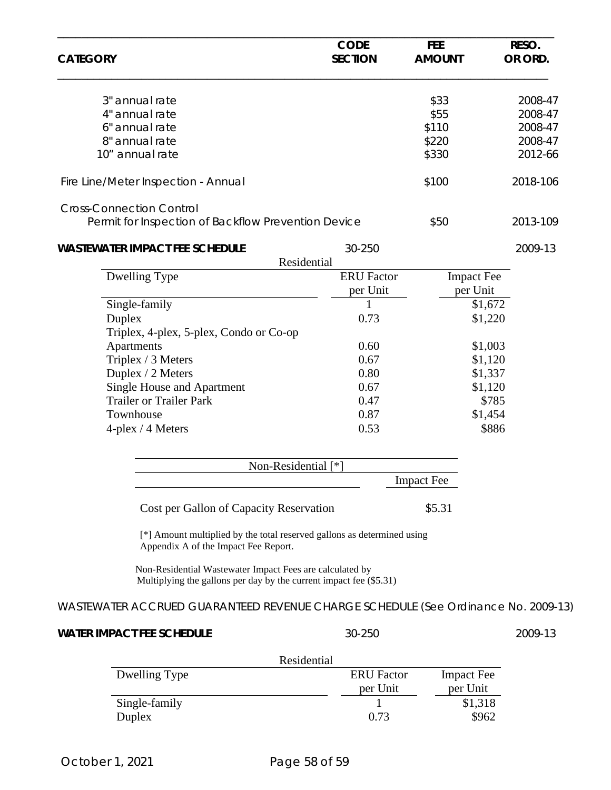| <b>CATEGORY</b> |                                                                                                                                | <b>CODE</b><br><b>SECTION</b> | <b>FEE</b><br><b>AMOUNT</b> | RESO.<br>OR ORD. |
|-----------------|--------------------------------------------------------------------------------------------------------------------------------|-------------------------------|-----------------------------|------------------|
|                 | 3" annual rate                                                                                                                 |                               | \$33                        | 2008-47          |
|                 | 4" annual rate                                                                                                                 |                               | \$55                        | 2008-47          |
|                 | 6" annual rate                                                                                                                 |                               | \$110                       | 2008-47          |
|                 | 8" annual rate                                                                                                                 |                               | \$220                       | 2008-47          |
|                 | 10" annual rate                                                                                                                |                               | \$330                       | 2012-66          |
|                 | Fire Line/Meter Inspection - Annual                                                                                            |                               | \$100                       | 2018-106         |
|                 | <b>Cross-Connection Control</b><br>Permit for Inspection of Backflow Prevention Device                                         |                               | \$50                        | 2013-109         |
|                 | <b>WASTEWATER IMPACT FEE SCHEDULE</b><br>Residential                                                                           | 30-250                        |                             | 2009-13          |
|                 | Dwelling Type                                                                                                                  | <b>ERU</b> Factor             | <b>Impact Fee</b>           |                  |
|                 |                                                                                                                                | per Unit                      | per Unit                    |                  |
|                 | Single-family                                                                                                                  | 1                             |                             | \$1,672          |
|                 | Duplex                                                                                                                         | 0.73                          |                             | \$1,220          |
|                 | Triplex, 4-plex, 5-plex, Condo or Co-op                                                                                        |                               |                             |                  |
|                 | Apartments                                                                                                                     | 0.60                          |                             | \$1,003          |
|                 | Triplex / 3 Meters                                                                                                             | 0.67                          |                             | \$1,120          |
|                 | Duplex / 2 Meters                                                                                                              | 0.80                          |                             | \$1,337          |
|                 | <b>Single House and Apartment</b>                                                                                              | 0.67                          |                             | \$1,120          |
|                 | <b>Trailer or Trailer Park</b>                                                                                                 | 0.47                          |                             | \$785            |
|                 | Townhouse                                                                                                                      | 0.87                          |                             | \$1,454          |
|                 | $4$ -plex / $4$ Meters                                                                                                         | 0.53                          |                             | \$886            |
|                 | Non-Residential [*]                                                                                                            |                               |                             |                  |
|                 |                                                                                                                                |                               | <b>Impact Fee</b>           |                  |
|                 | Cost per Gallon of Capacity Reservation                                                                                        |                               | \$5.31                      |                  |
|                 | [*] Amount multiplied by the total reserved gallons as determined using<br>Appendix A of the Impact Fee Report.                |                               |                             |                  |
|                 | Non-Residential Wastewater Impact Fees are calculated by<br>Multiplying the gallons per day by the current impact fee (\$5.31) |                               |                             |                  |
|                 | WASTEWATER ACCRUED GUARANTEED REVENUE CHARGE SCHEDULE (See Ordinance No. 2009-13)                                              |                               |                             |                  |
|                 | <b>WATER IMPACT FEE SCHEDULE</b>                                                                                               | 30-250                        |                             | 2009-13          |
|                 | Residential                                                                                                                    |                               |                             |                  |
|                 | Dwelling Type                                                                                                                  | <b>ERU</b> Factor             | <b>Impact Fee</b>           |                  |
|                 |                                                                                                                                | per Unit                      | per Unit                    |                  |
|                 | Single-family                                                                                                                  | 1                             | \$1,318                     |                  |
|                 | Duplex                                                                                                                         | 0.73                          | \$962                       |                  |